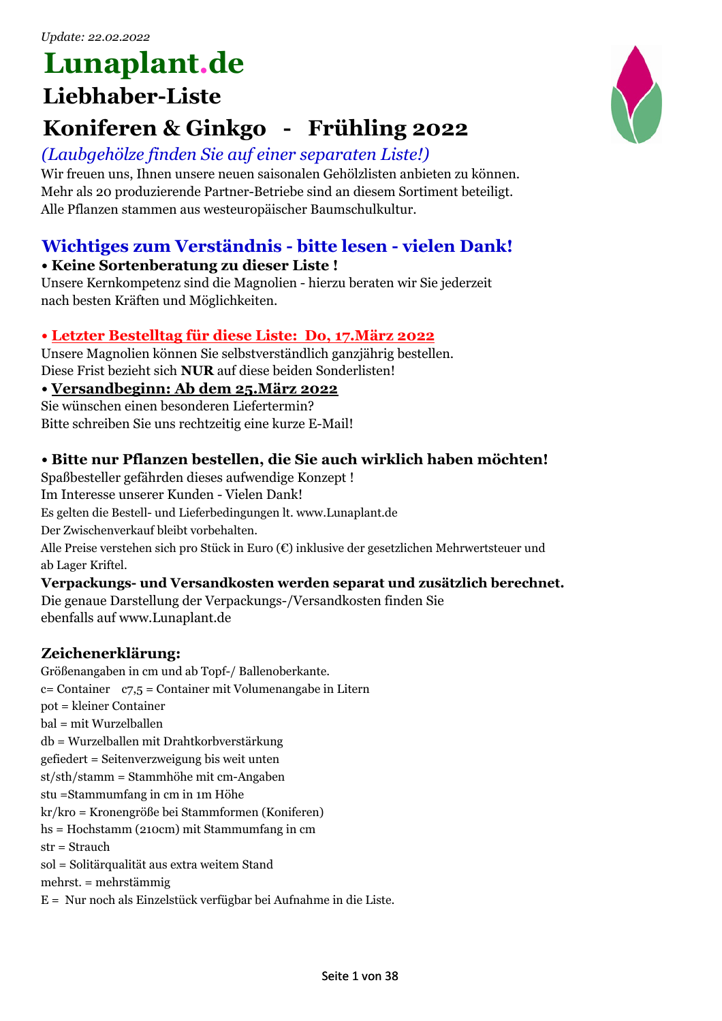# **Lunaplant.de**

### **Liebhaber-Liste**

### **Koniferen & Ginkgo - Frühling 2022**

### *(Laubgehölze finden Sie auf einer separaten Liste!)*

Wir freuen uns, Ihnen unsere neuen saisonalen Gehölzlisten anbieten zu können. Mehr als 20 produzierende Partner-Betriebe sind an diesem Sortiment beteiligt. Alle Pflanzen stammen aus westeuropäischer Baumschulkultur.

### **Wichtiges zum Verständnis - bitte lesen - vielen Dank!**

### **• Keine Sortenberatung zu dieser Liste !**

Unsere Kernkompetenz sind die Magnolien - hierzu beraten wir Sie jederzeit nach besten Kräften und Möglichkeiten.

### **• Letzter Bestelltag für diese Liste: Do, 17.März 2022**

Unsere Magnolien können Sie selbstverständlich ganzjährig bestellen. Diese Frist bezieht sich **NUR** auf diese beiden Sonderlisten!

### **• Versandbeginn: Ab dem 25.März 2022**

Sie wünschen einen besonderen Liefertermin? Bitte schreiben Sie uns rechtzeitig eine kurze E-Mail!

### **• Bitte nur Pflanzen bestellen, die Sie auch wirklich haben möchten!**

Spaßbesteller gefährden dieses aufwendige Konzept ! Im Interesse unserer Kunden - Vielen Dank! Es gelten die Bestell- und Lieferbedingungen lt. www.Lunaplant.de Der Zwischenverkauf bleibt vorbehalten. Alle Preise verstehen sich pro Stück in Euro (€) inklusive der gesetzlichen Mehrwertsteuer und ab Lager Kriftel.

### **Verpackungs- und Versandkosten werden separat und zusätzlich berechnet.**

Die genaue Darstellung der Verpackungs-/Versandkosten finden Sie ebenfalls auf www.Lunaplant.de

### **Zeichenerklärung:**

Größenangaben in cm und ab Topf-/ Ballenoberkante. c= Container c7,5 = Container mit Volumenangabe in Litern pot = kleiner Container bal = mit Wurzelballen db = Wurzelballen mit Drahtkorbverstärkung gefiedert = Seitenverzweigung bis weit unten st/sth/stamm = Stammhöhe mit cm-Angaben stu =Stammumfang in cm in 1m Höhe kr/kro = Kronengröße bei Stammformen (Koniferen) hs = Hochstamm (210cm) mit Stammumfang in cm str = Strauch sol = Solitärqualität aus extra weitem Stand mehrst. = mehrstämmig E = Nur noch als Einzelstück verfügbar bei Aufnahme in die Liste.

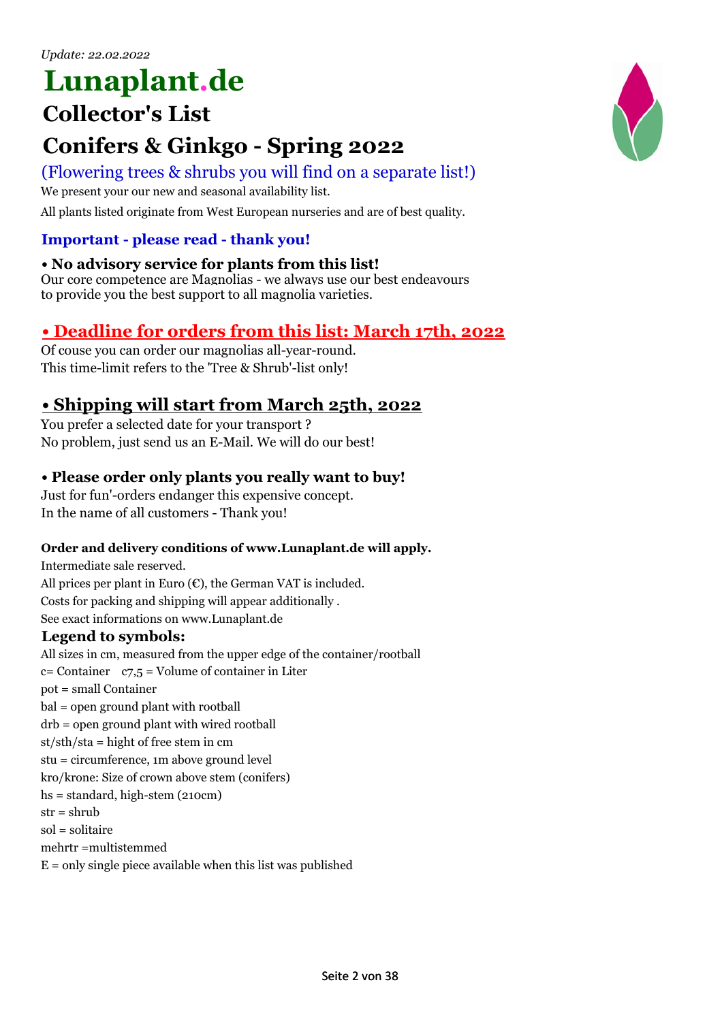## **Lunaplant.de**

### **Collector's List**

### **Conifers & Ginkgo - Spring 2022**

### (Flowering trees & shrubs you will find on a separate list!)

We present your our new and seasonal availability list.

All plants listed originate from West European nurseries and are of best quality.

### **Important - please read - thank you!**

### **• No advisory service for plants from this list!**

Our core competence are Magnolias - we always use our best endeavours to provide you the best support to all magnolia varieties.

### **• Deadline for orders from this list: March 17th, 2022**

Of couse you can order our magnolias all-year-round. This time-limit refers to the 'Tree & Shrub'-list only!

### **• Shipping will start from March 25th, 2022**

You prefer a selected date for your transport ? No problem, just send us an E-Mail. We will do our best!

### **• Please order only plants you really want to buy!**

Just for fun'-orders endanger this expensive concept. In the name of all customers - Thank you!

#### **Order and delivery conditions of www.Lunaplant.de will apply.**

Intermediate sale reserved. All prices per plant in Euro  $(\epsilon)$ , the German VAT is included. Costs for packing and shipping will appear additionally . See exact informations on www.Lunaplant.de

#### **Legend to symbols:**

All sizes in cm, measured from the upper edge of the container/rootball  $c =$  Container  $c = 7.5$  = Volume of container in Liter pot = small Container bal = open ground plant with rootball drb = open ground plant with wired rootball st/sth/sta = hight of free stem in cm stu = circumference, 1m above ground level kro/krone: Size of crown above stem (conifers) hs = standard, high-stem (210cm)  $str = shrub$ sol = solitaire mehrtr =multistemmed  $E =$  only single piece available when this list was published

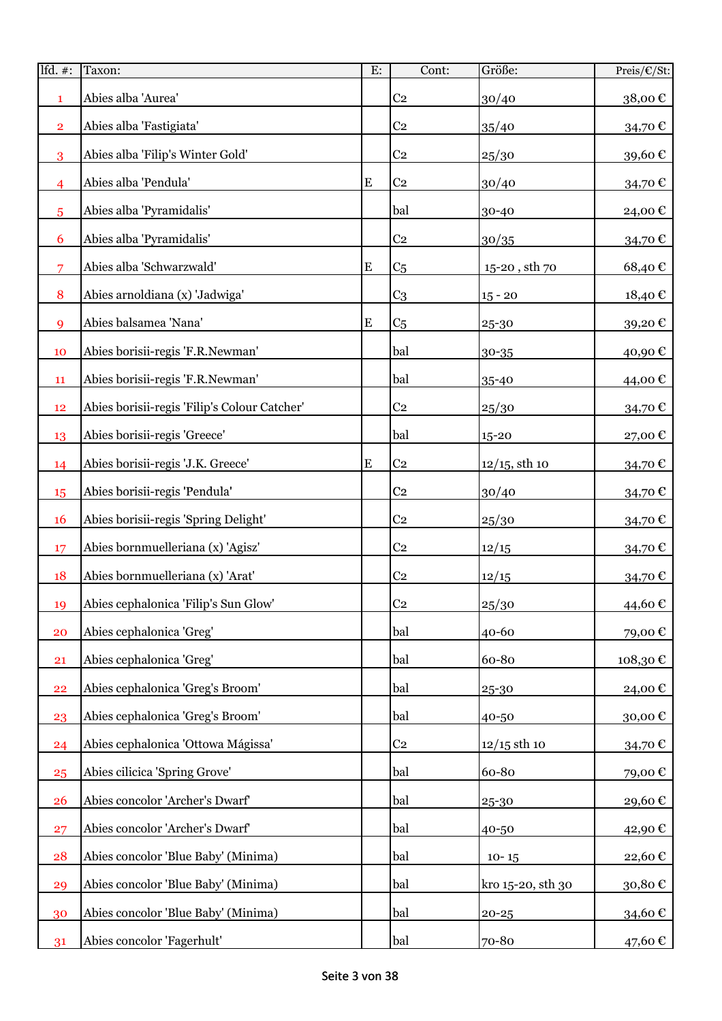| Ifd. $#$ :              | Taxon:                                       | E:        | Cont:          | Größe:                    | Preis/€/St:         |
|-------------------------|----------------------------------------------|-----------|----------------|---------------------------|---------------------|
| $\mathbf{1}$            | Abies alba 'Aurea'                           |           | C <sub>2</sub> | 30/40                     | 38,00€              |
| $\overline{\mathbf{2}}$ | Abies alba 'Fastigiata'                      |           | C <sub>2</sub> | 35/40                     | 34,70€              |
| 3                       | Abies alba 'Filip's Winter Gold'             |           | C <sub>2</sub> | 25/30                     | 39,60€              |
| $\overline{4}$          | Abies alba 'Pendula'                         | E         | C <sub>2</sub> | 30/40                     | 34,70€              |
| 5                       | Abies alba 'Pyramidalis'                     |           | bal            | 30-40                     | 24,00€              |
| 6                       | Abies alba 'Pyramidalis'                     |           | C <sub>2</sub> | 30/35                     | 34,70€              |
| $\overline{7}$          | Abies alba 'Schwarzwald'                     | ${\bf E}$ | C <sub>5</sub> | $15\mbox{-}20$ , sth $70$ | 68,40€              |
| 8                       | Abies arnoldiana (x) 'Jadwiga'               |           | C <sub>3</sub> | $15 - 20$                 | 18,40€              |
| 9                       | Abies balsamea 'Nana'                        | ${\bf E}$ | C <sub>5</sub> | 25-30                     | 39,20€              |
| 10                      | Abies borisii-regis 'F.R.Newman'             |           | bal            | 30-35                     | 40,90€              |
| 11                      | Abies borisii-regis 'F.R.Newman'             |           | bal            | 35-40                     | 44,00€              |
| 12                      | Abies borisii-regis 'Filip's Colour Catcher' |           | C <sub>2</sub> | 25/30                     | 34,70€              |
| 13                      | Abies borisii-regis 'Greece'                 |           | bal            | 15-20                     | 27,00€              |
| 14                      | Abies borisii-regis 'J.K. Greece'            | ${\bf E}$ | C <sub>2</sub> | $12/15$ , sth 10          | 34,70€              |
| 15                      | Abies borisii-regis 'Pendula'                |           | C <sub>2</sub> | 30/40                     | 34,70€              |
| <b>16</b>               | Abies borisii-regis 'Spring Delight'         |           | C <sub>2</sub> | 25/30                     | 34,70€              |
| 17                      | Abies bornmuelleriana (x) 'Agisz'            |           | C <sub>2</sub> | 12/15                     | 34,70€              |
| 18                      | Abies bornmuelleriana (x) 'Arat'             |           | C <sub>2</sub> | 12/15                     | 34,70€              |
| 19                      | Abies cephalonica 'Filip's Sun Glow'         |           | C <sub>2</sub> | 25/30                     | 44,60€              |
| 20                      | Abies cephalonica 'Greg'                     |           | bal            | 40-60                     | 79,00€              |
| 21                      | Abies cephalonica 'Greg'                     |           | bal            | 60-80                     | 108,30€             |
| 22                      | Abies cephalonica 'Greg's Broom'             |           | bal            | 25-30                     | 24,00€              |
| 23                      | Abies cephalonica 'Greg's Broom'             |           | bal            | 40-50                     | 30,00 $\mathbf \in$ |
| 24                      | Abies cephalonica 'Ottowa Mágissa'           |           | C <sub>2</sub> | $12/15$ sth 10            | 34,70€              |
| 25                      | Abies cilicica 'Spring Grove'                |           | bal            | 60-80                     | 79,00€              |
| 26                      | Abies concolor 'Archer's Dwarf'              |           | bal            | 25-30                     | 29,60€              |
| 27                      | Abies concolor 'Archer's Dwarf'              |           | bal            | 40-50                     | 42,90€              |
| 28                      | Abies concolor 'Blue Baby' (Minima)          |           | bal            | $10 - 15$                 | 22,60€              |
| 29                      | Abies concolor 'Blue Baby' (Minima)          |           | bal            | kro 15-20, sth 30         | 30,80€              |
| 30                      | Abies concolor 'Blue Baby' (Minima)          |           | bal            | $20 - 25$                 | 34,60€              |
| 31                      | Abies concolor 'Fagerhult'                   |           | bal            | 70-80                     | 47,60 €             |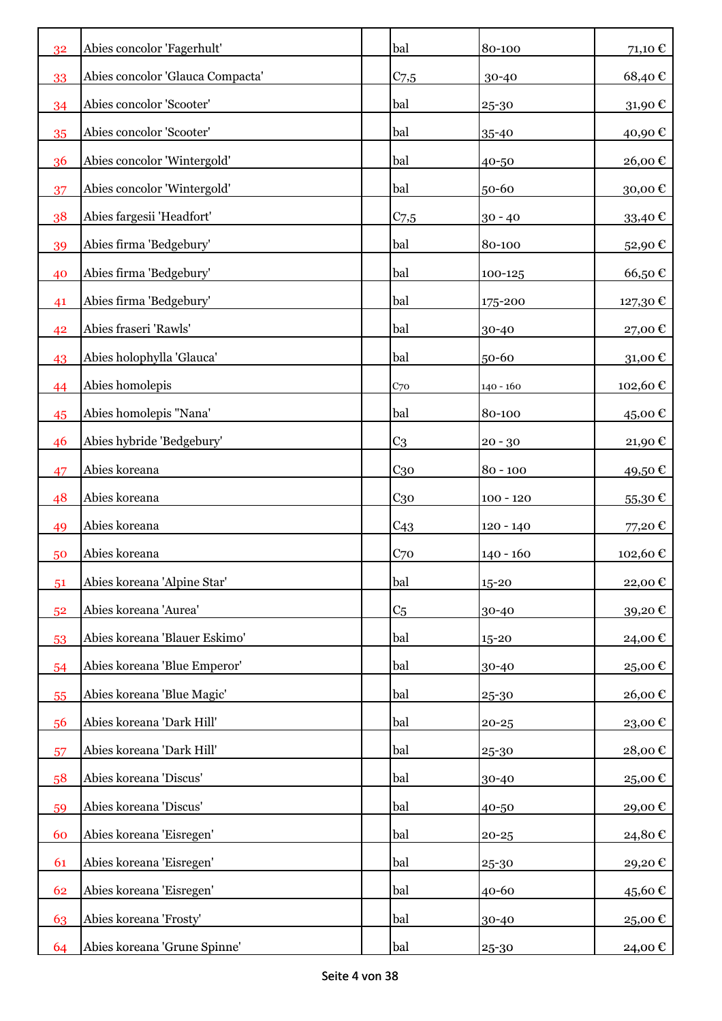| 32 | Abies concolor 'Fagerhult'       | bal              | 80-100      | 71,10€               |
|----|----------------------------------|------------------|-------------|----------------------|
| 33 | Abies concolor 'Glauca Compacta' | $C_{7,5}$        | 30-40       | 68,40€               |
| 34 | Abies concolor 'Scooter'         | bal              | 25-30       | 31,90€               |
| 35 | Abies concolor 'Scooter'         | bal              | 35-40       | 40,90€               |
| 36 | Abies concolor 'Wintergold'      | bal              | 40-50       | 26,00€               |
| 37 | Abies concolor 'Wintergold'      | bal              | 50-60       | 30,00€               |
| 38 | Abies fargesii 'Headfort'        | C <sub>7,5</sub> | $30 - 40$   | 33,40€               |
| 39 | Abies firma 'Bedgebury'          | bal              | 80-100      | 52,90€               |
| 40 | Abies firma 'Bedgebury'          | bal              | 100-125     | 66,50€               |
| 41 | Abies firma 'Bedgebury'          | bal              | 175-200     | 127,30 €             |
| 42 | Abies fraseri 'Rawls'            | bal              | 30-40       | 27,00€               |
| 43 | Abies holophylla 'Glauca'        | bal              | 50-60       | $31,00 \text{ } \in$ |
| 44 | Abies homolepis                  | C <sub>70</sub>  | 140 - 160   | 102,60€              |
| 45 | Abies homolepis "Nana'           | bal              | 80-100      | 45,00€               |
| 46 | Abies hybride 'Bedgebury'        | C <sub>3</sub>   | $20 - 30$   | 21,90€               |
| 47 | Abies koreana                    | $C_{30}$         | $80 - 100$  | 49,50€               |
| 48 | Abies koreana                    | C <sub>30</sub>  | $100 - 120$ | 55,30€               |
| 49 | Abies koreana                    | C <sub>43</sub>  | $120 - 140$ | 77,20€               |
| 50 | Abies koreana                    | C <sub>70</sub>  | $140 - 160$ | 102,60€              |
| 51 | Abies koreana 'Alpine Star'      | bal              | $15 - 20$   | 22,00€               |
| 52 | Abies koreana 'Aurea'            | C <sub>5</sub>   | 30-40       | 39,20€               |
| 53 | Abies koreana 'Blauer Eskimo'    | bal              | 15-20       | 24,00€               |
| 54 | Abies koreana 'Blue Emperor'     | bal              | 30-40       | 25,00€               |
| 55 | Abies koreana 'Blue Magic'       | bal              | 25-30       | 26,00€               |
| 56 | Abies koreana 'Dark Hill'        | bal              | $20 - 25$   | 23,00€               |
| 57 | Abies koreana 'Dark Hill'        | bal              | 25-30       | 28,00€               |
| 58 | Abies koreana 'Discus'           | bal              | 30-40       | 25,00€               |
| 59 | Abies koreana 'Discus'           | bal              | 40-50       | 29,00€               |
| 60 | Abies koreana 'Eisregen'         | bal              | $20 - 25$   | 24,80€               |
| 61 | Abies koreana 'Eisregen'         | bal              | 25-30       | 29,20€               |
| 62 | Abies koreana 'Eisregen'         | bal              | 40-60       | 45,60€               |
| 63 | Abies koreana 'Frosty'           | bal              | 30-40       | 25,00€               |
| 64 | Abies koreana 'Grune Spinne'     | bal              | 25-30       | 24,00 €              |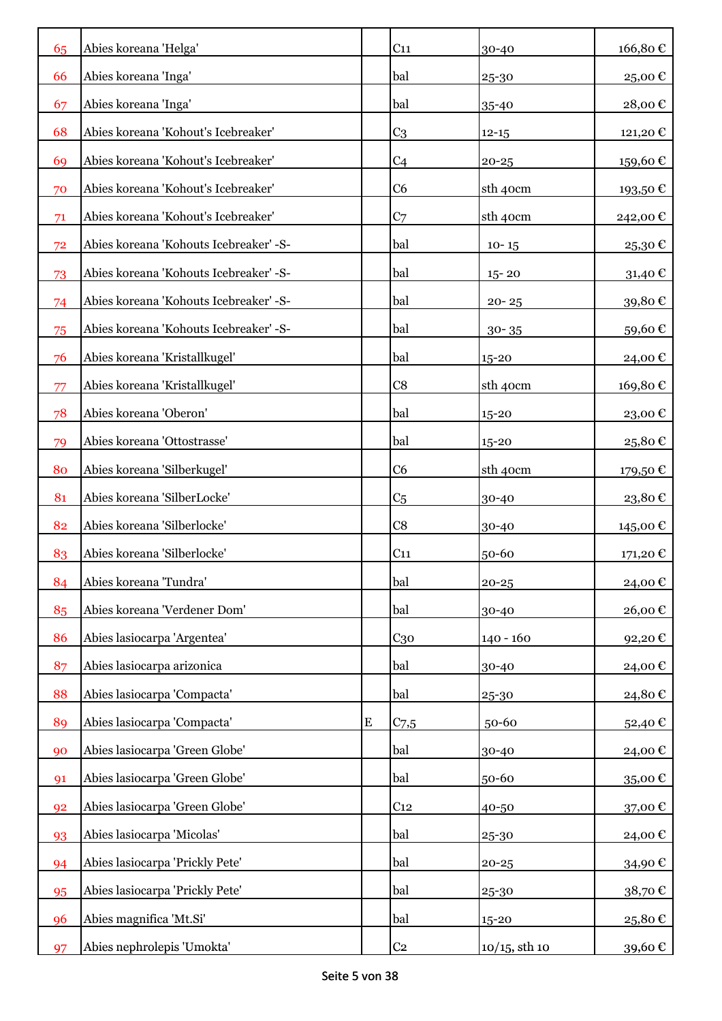| 65        | Abies koreana 'Helga'                  |           | C <sub>11</sub>  | 30-40            | 166,80€  |
|-----------|----------------------------------------|-----------|------------------|------------------|----------|
| 66        | Abies koreana 'Inga'                   |           | bal              | 25-30            | 25,00€   |
| 67        | Abies koreana 'Inga'                   |           | bal              | 35-40            | 28,00€   |
| 68        | Abies koreana 'Kohout's Icebreaker'    |           | C <sub>3</sub>   | $12 - 15$        | 121,20€  |
| <b>69</b> | Abies koreana 'Kohout's Icebreaker'    |           | C <sub>4</sub>   | $20 - 25$        | 159,60€  |
| 70        | Abies koreana 'Kohout's Icebreaker'    |           | C <sub>6</sub>   | sth 40cm         | 193,50€  |
| 71        | Abies koreana 'Kohout's Icebreaker'    |           | C <sub>7</sub>   | sth 40cm         | 242,00€  |
| 72        | Abies koreana 'Kohouts Icebreaker' -S- |           | bal              | $10 - 15$        | 25,30€   |
| 73        | Abies koreana 'Kohouts Icebreaker' -S- |           | bal              | $15 - 20$        | 31,40€   |
| 74        | Abies koreana 'Kohouts Icebreaker' -S- |           | bal              | $20 - 25$        | 39,80€   |
| 75        | Abies koreana 'Kohouts Icebreaker' -S- |           | bal              | $30 - 35$        | 59,60€   |
| 76        | Abies koreana 'Kristallkugel'          |           | bal              | 15-20            | 24,00€   |
| 77        | Abies koreana 'Kristallkugel'          |           | C8               | sth 40cm         | 169,80€  |
| 78        | Abies koreana 'Oberon'                 |           | bal              | 15-20            | 23,00€   |
| 79        | Abies koreana 'Ottostrasse'            |           | bal              | 15-20            | 25,80€   |
| 80        | Abies koreana 'Silberkugel'            |           | C <sub>6</sub>   | sth 40cm         | 179,50€  |
| 81        | Abies koreana 'SilberLocke'            |           | C <sub>5</sub>   | 30-40            | 23,80€   |
| 82        | Abies koreana 'Silberlocke'            |           | C8               | 30-40            | 145,00 € |
| 83        | Abies koreana 'Silberlocke'            |           | C <sub>11</sub>  | 50-60            | 171,20€  |
| 84        | Abies koreana 'Tundra'                 |           | bal              | $20 - 25$        | 24,00€   |
| 85        | Abies koreana 'Verdener Dom'           |           | bal              | 30-40            | 26,00€   |
| 86        | Abies lasiocarpa 'Argentea'            |           | C <sub>30</sub>  | $140 - 160$      | 92,20€   |
| 87        | Abies lasiocarpa arizonica             |           | bal              | 30-40            | 24,00€   |
| 88        | Abies lasiocarpa 'Compacta'            |           | bal              | 25-30            | 24,80€   |
| 89        | Abies lasiocarpa 'Compacta'            | ${\bf E}$ | C <sub>7.5</sub> | 50-60            | 52,40€   |
| 90        | Abies lasiocarpa 'Green Globe'         |           | bal              | 30-40            | 24,00€   |
| 91        | Abies lasiocarpa 'Green Globe'         |           | bal              | 50-60            | 35,00€   |
| 92        | Abies lasiocarpa 'Green Globe'         |           | C <sub>12</sub>  | 40-50            | 37,00€   |
| 93        | Abies lasiocarpa 'Micolas'             |           | bal              | 25-30            | 24,00€   |
| 94        | Abies lasiocarpa 'Prickly Pete'        |           | bal              | $20 - 25$        | 34,90€   |
| 95        | Abies lasiocarpa 'Prickly Pete'        |           | bal              | 25-30            | 38,70€   |
| 96        | Abies magnifica 'Mt.Si'                |           | bal              | 15-20            | 25,80€   |
| 97        | Abies nephrolepis 'Umokta'             |           | C <sub>2</sub>   | $10/15$ , sth 10 | 39,60 €  |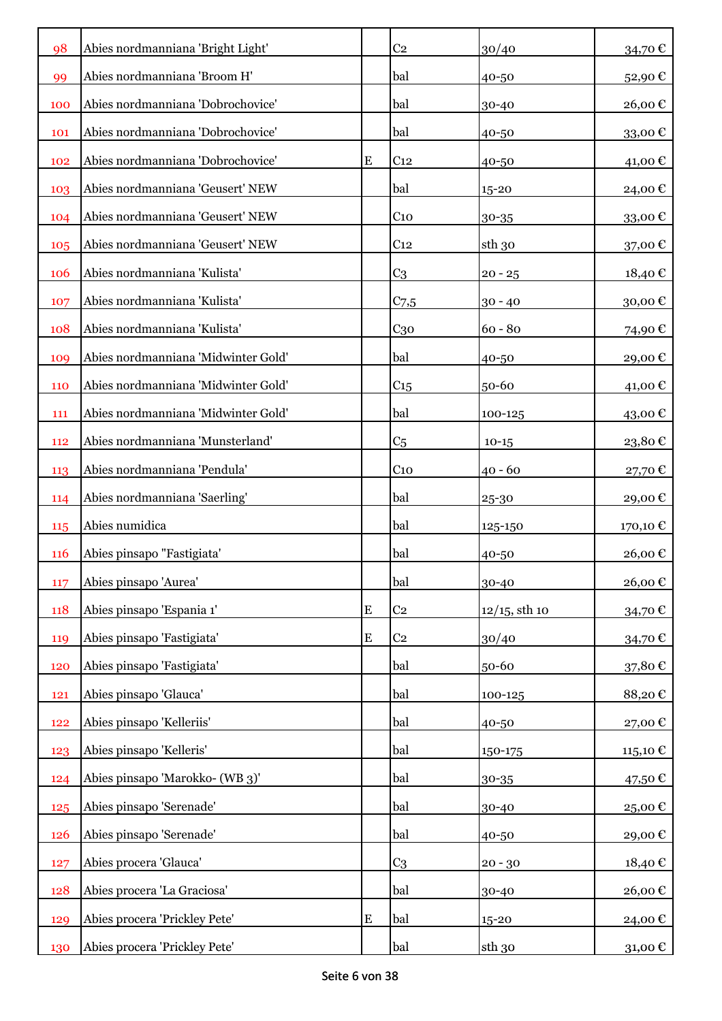| 98         | Abies nordmanniana 'Bright Light'   |           | C <sub>2</sub>  | 30/40            | 34,70€                 |
|------------|-------------------------------------|-----------|-----------------|------------------|------------------------|
| 99         | Abies nordmanniana 'Broom H'        |           | bal             | 40-50            | 52,90€                 |
| 100        | Abies nordmanniana 'Dobrochovice'   |           | bal             | 30-40            | 26,00€                 |
| 101        | Abies nordmanniana 'Dobrochovice'   |           | bal             | 40-50            | 33,00€                 |
| 102        | Abies nordmanniana 'Dobrochovice'   | ${\bf E}$ | C <sub>12</sub> | 40-50            | 41,00€                 |
| 103        | Abies nordmanniana 'Geusert' NEW    |           | bal             | 15-20            | 24,00€                 |
| 104        | Abies nordmanniana 'Geusert' NEW    |           | C <sub>10</sub> | 30-35            | 33,00€                 |
| 105        | Abies nordmanniana 'Geusert' NEW    |           | C <sub>12</sub> | sth 30           | 37,00€                 |
| 106        | Abies nordmanniana 'Kulista'        |           | C <sub>3</sub>  | $20 - 25$        | 18,40€                 |
| 107        | Abies nordmanniana 'Kulista'        |           | $C_{7,5}$       | $30 - 40$        | 30,00€                 |
| 108        | Abies nordmanniana 'Kulista'        |           | C <sub>30</sub> | $60 - 80$        | 74,90€                 |
| 109        | Abies nordmanniana 'Midwinter Gold' |           | bal             | 40-50            | 29,00€                 |
| 110        | Abies nordmanniana 'Midwinter Gold' |           | C <sub>15</sub> | 50-60            | 41,00€                 |
| 111        | Abies nordmanniana 'Midwinter Gold' |           | bal             | 100-125          | 43,00€                 |
| 112        | Abies nordmanniana 'Munsterland'    |           | C <sub>5</sub>  | $10-15$          | $23,\!80$ $\mathbb{C}$ |
| 113        | Abies nordmanniana 'Pendula'        |           | C <sub>10</sub> | $40 - 60$        | 27,70€                 |
| 114        | Abies nordmanniana 'Saerling'       |           | bal             | 25-30            | 29,00€                 |
| 115        | Abies numidica                      |           | bal             | 125-150          | 170,10 €               |
| <b>116</b> | Abies pinsapo "Fastigiata"          |           | bal             | 40-50            | 26,00€                 |
| 117        | Abies pinsapo 'Aurea'               |           | bal             | 30-40            | 26,00€                 |
| 118        | Abies pinsapo 'Espania 1'           | ${\bf E}$ | C <sub>2</sub>  | $12/15$ , sth 10 | 34,70€                 |
| 119        | Abies pinsapo 'Fastigiata'          | ${\bf E}$ | C <sub>2</sub>  | 30/40            | 34,70€                 |
| 120        | Abies pinsapo 'Fastigiata'          |           | bal             | 50-60            | 37,80€                 |
| 121        | Abies pinsapo 'Glauca'              |           | bal             | 100-125          | 88,20€                 |
| 122        | Abies pinsapo 'Kelleriis'           |           | bal             | 40-50            | 27,00€                 |
| 123        | Abies pinsapo 'Kelleris'            |           | bal             | 150-175          | 115,10€                |
| 124        | Abies pinsapo 'Marokko- (WB 3)'     |           | bal             | 30-35            | 47,50€                 |
| 125        | Abies pinsapo 'Serenade'            |           | bal             | 30-40            | 25,00€                 |
| 126        | Abies pinsapo 'Serenade'            |           | bal             | 40-50            | 29,00€                 |
| 127        | Abies procera 'Glauca'              |           | C <sub>3</sub>  | $20 - 30$        | 18,40€                 |
| 128        | Abies procera 'La Graciosa'         |           | bal             | 30-40            | 26,00€                 |
| 129        | Abies procera 'Prickley Pete'       | ${\bf E}$ | bal             | 15-20            | 24,00€                 |
| 130        | Abies procera 'Prickley Pete'       |           | bal             | sth 30           | 31,00 €                |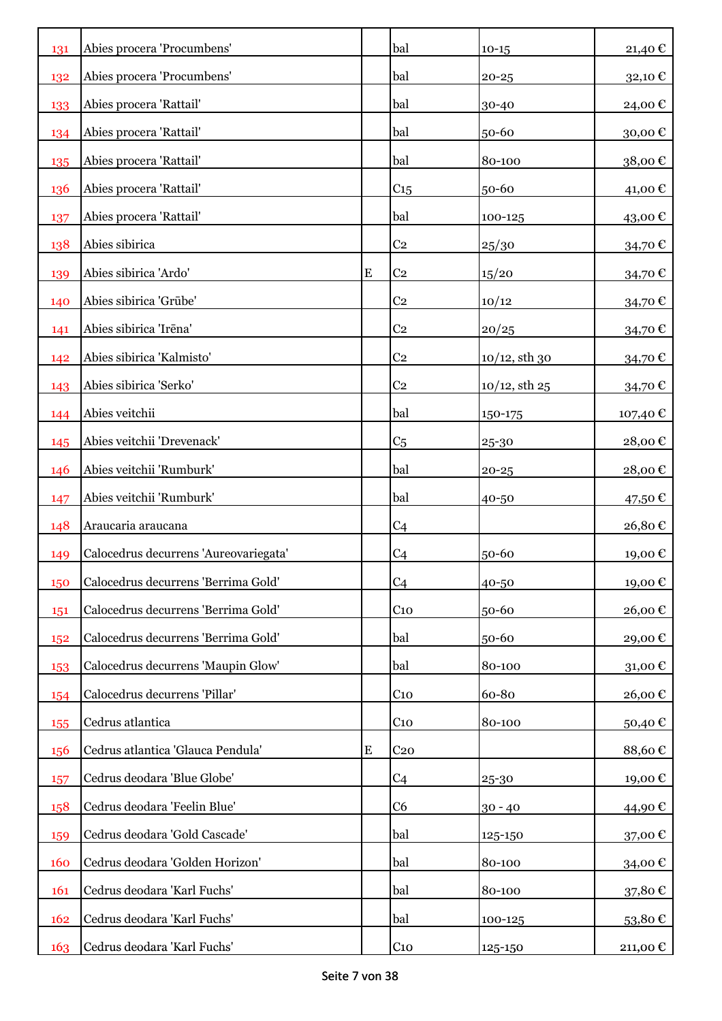| 131 | Abies procera 'Procumbens'            |           | bal             | $10 - 15$          | 21,40€   |
|-----|---------------------------------------|-----------|-----------------|--------------------|----------|
| 132 | Abies procera 'Procumbens'            |           | bal             | $20 - 25$          | 32,10€   |
| 133 | Abies procera 'Rattail'               |           | bal             | 30-40              | 24,00€   |
| 134 | Abies procera 'Rattail'               |           | bal             | 50-60              | 30,00€   |
| 135 | Abies procera 'Rattail'               |           | bal             | 80-100             | 38,00€   |
| 136 | Abies procera 'Rattail'               |           | C15             | 50-60              | 41,00€   |
| 137 | Abies procera 'Rattail'               |           | bal             | 100-125            | 43,00€   |
| 138 | Abies sibirica                        |           | C <sub>2</sub>  | 25/30              | 34,70€   |
| 139 | Abies sibirica 'Ardo'                 | ${\bf E}$ | C <sub>2</sub>  | 15/20              | 34,70€   |
| 140 | Abies sibirica 'Grūbe'                |           | C <sub>2</sub>  | 10/12              | 34,70€   |
| 141 | Abies sibirica 'Irēna'                |           | C <sub>2</sub>  | 20/25              | 34,70€   |
| 142 | Abies sibirica 'Kalmisto'             |           | C <sub>2</sub>  | $10/12$ , sth 30   | 34,70€   |
| 143 | Abies sibirica 'Serko'                |           | C <sub>2</sub>  | $10/12$ , sth $25$ | 34,70€   |
| 144 | Abies veitchii                        |           | bal             | 150-175            | 107,40 € |
| 145 | Abies veitchii 'Drevenack'            |           | C <sub>5</sub>  | 25-30              | 28,00€   |
| 146 | Abies veitchii 'Rumburk'              |           | bal             | $20 - 25$          | 28,00€   |
| 147 | Abies veitchii 'Rumburk'              |           | bal             | 40-50              | 47,50 €  |
| 148 | Araucaria araucana                    |           | C <sub>4</sub>  |                    | 26,80€   |
| 149 | Calocedrus decurrens 'Aureovariegata' |           | C <sub>4</sub>  | 50-60              | 19,00€   |
| 150 | Calocedrus decurrens 'Berrima Gold'   |           | C <sub>4</sub>  | 40-50              | 19,00€   |
| 151 | Calocedrus decurrens 'Berrima Gold'   |           | C <sub>10</sub> | 50-60              | 26,00€   |
| 152 | Calocedrus decurrens 'Berrima Gold'   |           | bal             | 50-60              | 29,00€   |
| 153 | Calocedrus decurrens 'Maupin Glow'    |           | bal             | 80-100             | 31,00€   |
| 154 | Calocedrus decurrens 'Pillar'         |           | $C_{10}$        | 60-80              | 26,00€   |
| 155 | Cedrus atlantica                      |           | C <sub>10</sub> | 80-100             | 50,40€   |
| 156 | Cedrus atlantica 'Glauca Pendula'     | ${\bf E}$ | C <sub>20</sub> |                    | 88,60€   |
| 157 | Cedrus deodara 'Blue Globe'           |           | C <sub>4</sub>  | 25-30              | 19,00€   |
| 158 | Cedrus deodara 'Feelin Blue'          |           | C6              | $30 - 40$          | 44,90€   |
| 159 | Cedrus deodara 'Gold Cascade'         |           | bal             | 125-150            | 37,00€   |
| 160 | Cedrus deodara 'Golden Horizon'       |           | bal             | 80-100             | 34,00 €  |
| 161 | Cedrus deodara 'Karl Fuchs'           |           | bal             | 80-100             | 37,80€   |
| 162 | Cedrus deodara 'Karl Fuchs'           |           | bal             | 100-125            | 53,80€   |
| 163 | Cedrus deodara 'Karl Fuchs'           |           | C <sub>10</sub> | 125-150            | 211,00 € |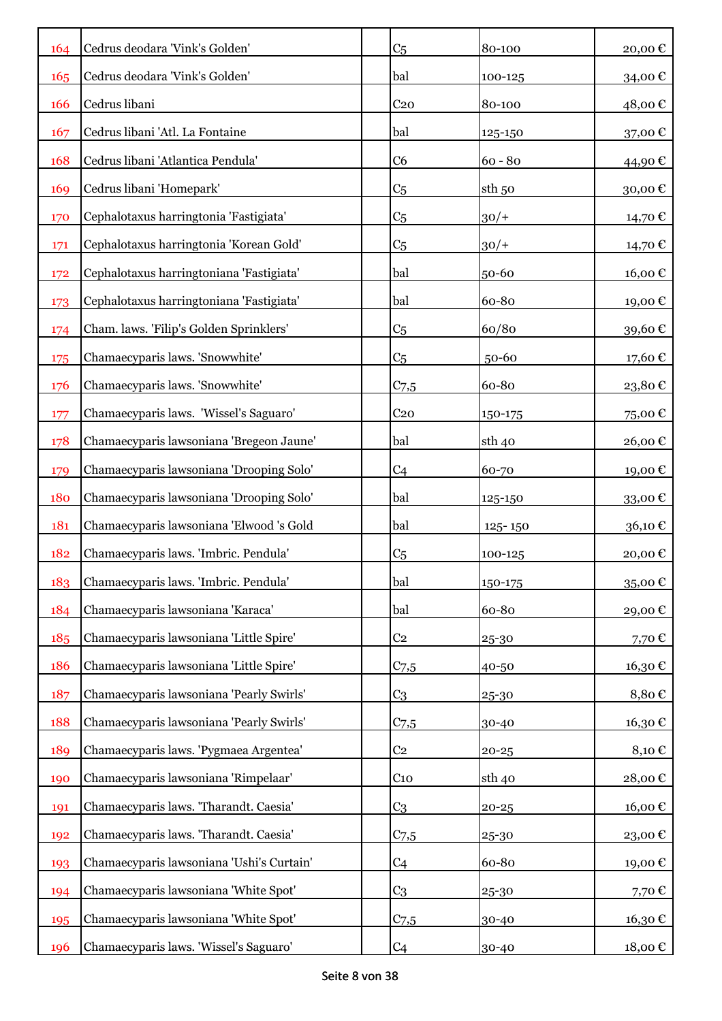| 164 | Cedrus deodara 'Vink's Golden'            | C <sub>5</sub>   | 80-100            | 20,00€                     |
|-----|-------------------------------------------|------------------|-------------------|----------------------------|
| 165 | Cedrus deodara 'Vink's Golden'            | bal              | 100-125           | 34,00€                     |
| 166 | Cedrus libani                             | C <sub>20</sub>  | 80-100            | 48,00€                     |
| 167 | Cedrus libani 'Atl. La Fontaine           | bal              | 125-150           | 37,00€                     |
| 168 | Cedrus libani 'Atlantica Pendula'         | C <sub>6</sub>   | $60 - 80$         | 44,90€                     |
| 169 | Cedrus libani 'Homepark'                  | C <sub>5</sub>   | sth <sub>50</sub> | 30,00€                     |
| 170 | Cephalotaxus harringtonia 'Fastigiata'    | C <sub>5</sub>   | $30/+$            | 14,70€                     |
| 171 | Cephalotaxus harringtonia 'Korean Gold'   | C <sub>5</sub>   | $30/+$            | 14,70€                     |
| 172 | Cephalotaxus harringtoniana 'Fastigiata'  | bal              | 50-60             | 16,00€                     |
| 173 | Cephalotaxus harringtoniana 'Fastigiata'  | bal              | 60-80             | 19,00€                     |
| 174 | Cham. laws. 'Filip's Golden Sprinklers'   | C <sub>5</sub>   | 60/80             | 39,60€                     |
| 175 | Chamaecyparis laws. 'Snowwhite'           | C <sub>5</sub>   | 50-60             | 17,60€                     |
| 176 | Chamaecyparis laws. 'Snowwhite'           | $C_{7,5}$        | 60-80             | 23,80€                     |
| 177 | Chamaecyparis laws. 'Wissel's Saguaro'    | C <sub>20</sub>  | 150-175           | 75,00€                     |
| 178 | Chamaecyparis lawsoniana 'Bregeon Jaune'  | bal              | sth 40            | 26,00€                     |
| 179 | Chamaecyparis lawsoniana 'Drooping Solo'  | C <sub>4</sub>   | 60-70             | 19,00€                     |
| 180 | Chamaecyparis lawsoniana 'Drooping Solo'  | bal              | 125-150           | 33,00€                     |
| 181 | Chamaecyparis lawsoniana 'Elwood 's Gold  | bal              | 125-150           | 36,10€                     |
| 182 | Chamaecyparis laws. 'Imbric. Pendula'     | C <sub>5</sub>   | 100-125           | 20,00€                     |
| 183 | Chamaecyparis laws. 'Imbric. Pendula'     | bal              | 150-175           | 35,00€                     |
| 184 | Chamaecyparis lawsoniana 'Karaca'         | bal              | 60-80             | 29,00€                     |
| 185 | Chamaecyparis lawsoniana 'Little Spire'   | C <sub>2</sub>   | 25-30             | 7,70€                      |
| 186 | Chamaecyparis lawsoniana 'Little Spire'   | $C_{7,5}$        | 40-50             | 16,30€                     |
| 187 | Chamaecyparis lawsoniana 'Pearly Swirls'  | C <sub>3</sub>   | 25-30             | 8,80€                      |
| 188 | Chamaecyparis lawsoniana 'Pearly Swirls'  | $C_{7,5}$        | 30-40             | 16,30€                     |
| 189 | Chamaecyparis laws. 'Pygmaea Argentea'    | C <sub>2</sub>   | $20 - 25$         | $8,10 \in$                 |
| 190 | Chamaecyparis lawsoniana 'Rimpelaar'      | $C_{10}$         | sth 40            | 28,00€                     |
| 191 | Chamaecyparis laws. 'Tharandt. Caesia'    | C <sub>3</sub>   | $20 - 25$         | $16,00 \text{ }\mathbb{C}$ |
| 192 | Chamaecyparis laws. 'Tharandt. Caesia'    | C <sub>7,5</sub> | 25-30             | 23,00€                     |
| 193 | Chamaecyparis lawsoniana 'Ushi's Curtain' | C <sub>4</sub>   | 60-80             | 19,00€                     |
| 194 | Chamaecyparis lawsoniana 'White Spot'     | C <sub>3</sub>   | 25-30             | 7,70€                      |
| 195 | Chamaecyparis lawsoniana 'White Spot'     | $C_{7,5}$        | 30-40             | 16,30 €                    |
| 196 | Chamaecyparis laws. 'Wissel's Saguaro'    | C <sub>4</sub>   | 30-40             | 18,00 €                    |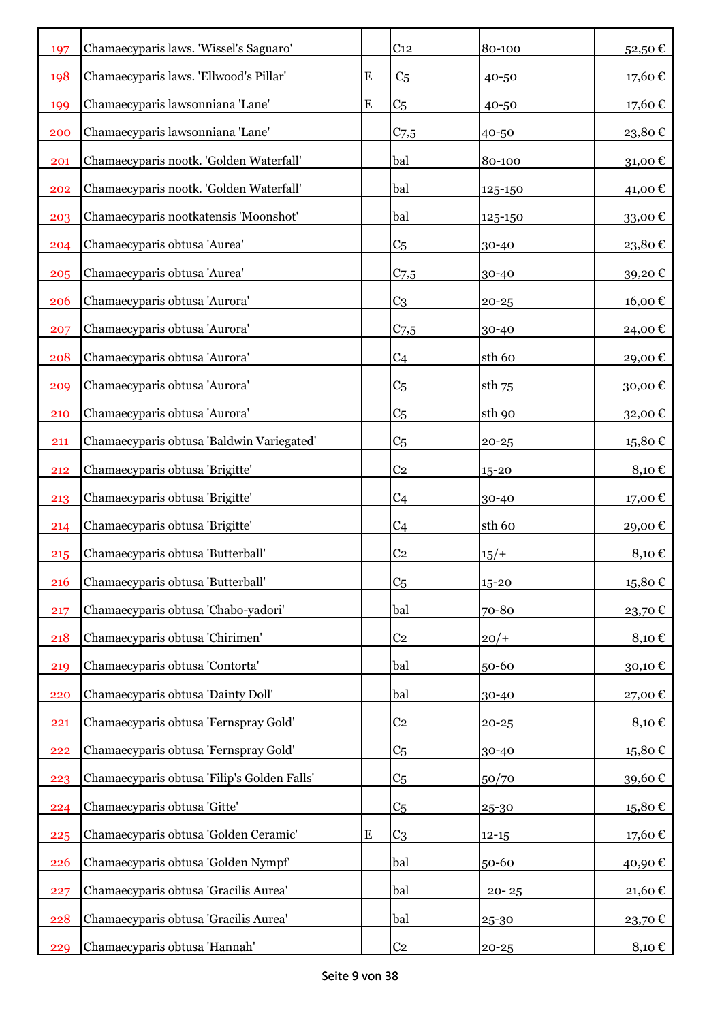| 197 | Chamaecyparis laws. 'Wissel's Saguaro'      |           | C <sub>12</sub> | 80-100    | 52,50€  |
|-----|---------------------------------------------|-----------|-----------------|-----------|---------|
| 198 | Chamaecyparis laws. 'Ellwood's Pillar'      | ${\bf E}$ | C <sub>5</sub>  | 40-50     | 17,60€  |
| 199 | Chamaecyparis lawsonniana 'Lane'            | ${\bf E}$ | C <sub>5</sub>  | 40-50     | 17,60€  |
| 200 | Chamaecyparis lawsonniana 'Lane'            |           | $C_{7,5}$       | 40-50     | 23,80€  |
| 201 | Chamaecyparis nootk. 'Golden Waterfall'     |           | bal             | 80-100    | 31,00€  |
| 202 | Chamaecyparis nootk. 'Golden Waterfall'     |           | bal             | 125-150   | 41,00€  |
| 203 | Chamaecyparis nootkatensis 'Moonshot'       |           | bal             | 125-150   | 33,00€  |
| 204 | Chamaecyparis obtusa 'Aurea'                |           | C <sub>5</sub>  | 30-40     | 23,80€  |
| 205 | Chamaecyparis obtusa 'Aurea'                |           | $C$ 7,5         | 30-40     | 39,20€  |
| 206 | Chamaecyparis obtusa 'Aurora'               |           | C <sub>3</sub>  | $20 - 25$ | 16,00€  |
| 207 | Chamaecyparis obtusa 'Aurora'               |           | $C_{7,5}$       | 30-40     | 24,00 € |
| 208 | Chamaecyparis obtusa 'Aurora'               |           | C <sub>4</sub>  | sth 60    | 29,00€  |
| 209 | Chamaecyparis obtusa 'Aurora'               |           | C <sub>5</sub>  | $sth$ 75  | 30,00€  |
| 210 | Chamaecyparis obtusa 'Aurora'               |           | C <sub>5</sub>  | sth 90    | 32,00€  |
| 211 | Chamaecyparis obtusa 'Baldwin Variegated'   |           | C <sub>5</sub>  | $20 - 25$ | 15,80€  |
| 212 | Chamaecyparis obtusa 'Brigitte'             |           | C <sub>2</sub>  | 15-20     | 8,10€   |
| 213 | Chamaecyparis obtusa 'Brigitte'             |           | C <sub>4</sub>  | 30-40     | 17,00 € |
| 214 | Chamaecyparis obtusa 'Brigitte'             |           | C <sub>4</sub>  | sth 60    | 29,00 € |
| 215 | Chamaecyparis obtusa 'Butterball'           |           | C <sub>2</sub>  | $15/+$    | 8,10€   |
| 216 | Chamaecyparis obtusa 'Butterball'           |           | C <sub>5</sub>  | $15 - 20$ | 15,80€  |
| 217 | Chamaecyparis obtusa 'Chabo-yadori'         |           | bal             | 70-80     | 23,70€  |
| 218 | Chamaecyparis obtusa 'Chirimen'             |           | C <sub>2</sub>  | $20/+$    | 8,10€   |
| 219 | Chamaecyparis obtusa 'Contorta'             |           | bal             | 50-60     | 30,10€  |
| 220 | Chamaecyparis obtusa 'Dainty Doll'          |           | bal             | 30-40     | 27,00€  |
| 221 | Chamaecyparis obtusa 'Fernspray Gold'       |           | C <sub>2</sub>  | $20 - 25$ | 8,10€   |
| 222 | Chamaecyparis obtusa 'Fernspray Gold'       |           | C <sub>5</sub>  | 30-40     | 15,80€  |
| 223 | Chamaecyparis obtusa 'Filip's Golden Falls' |           | C <sub>5</sub>  | 50/70     | 39,60€  |
| 224 | Chamaecyparis obtusa 'Gitte'                |           | C <sub>5</sub>  | 25-30     | 15,80€  |
| 225 | Chamaecyparis obtusa 'Golden Ceramic'       | ${\bf E}$ | C <sub>3</sub>  | $12 - 15$ | 17,60€  |
| 226 | Chamaecyparis obtusa 'Golden Nympf'         |           | bal             | 50-60     | 40,90€  |
| 227 | Chamaecyparis obtusa 'Gracilis Aurea'       |           | bal             | $20 - 25$ | 21,60€  |
| 228 | Chamaecyparis obtusa 'Gracilis Aurea'       |           | bal             | 25-30     | 23,70€  |
| 229 | Chamaecyparis obtusa 'Hannah'               |           | C <sub>2</sub>  | $20 - 25$ | 8,10 €  |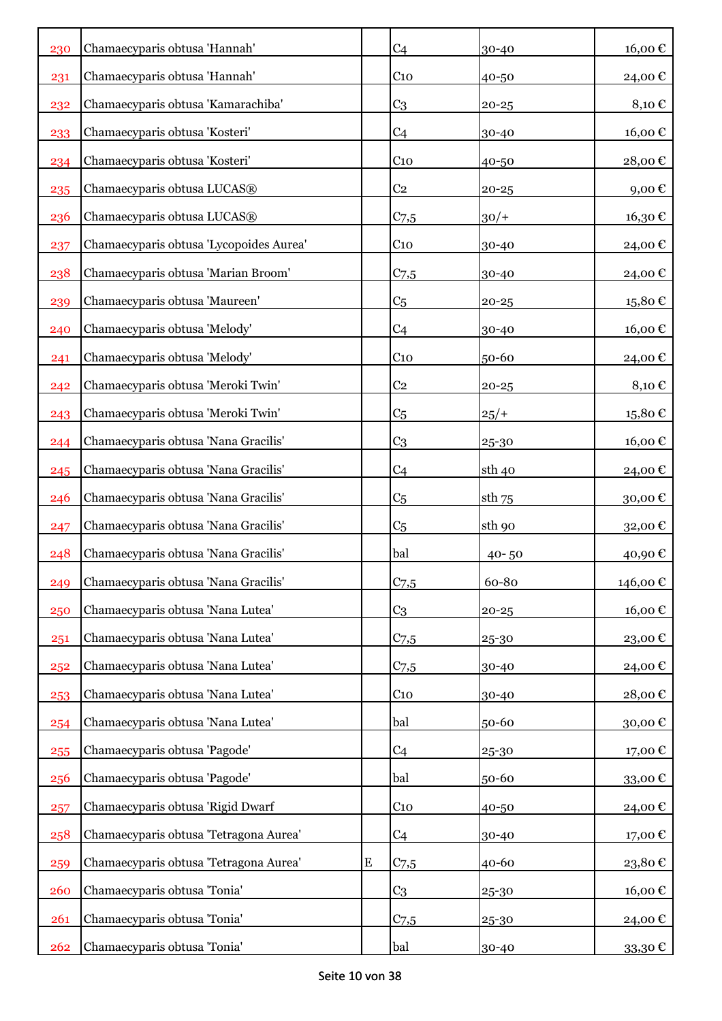| 230 | Chamaecyparis obtusa 'Hannah'           |           | C <sub>4</sub>   | 30-40     | 16,00€  |
|-----|-----------------------------------------|-----------|------------------|-----------|---------|
| 231 | Chamaecyparis obtusa 'Hannah'           |           | $C_{10}$         | 40-50     | 24,00 € |
| 232 | Chamaecyparis obtusa 'Kamarachiba'      |           | C <sub>3</sub>   | $20 - 25$ | 8,10€   |
| 233 | Chamaecyparis obtusa 'Kosteri'          |           | C <sub>4</sub>   | 30-40     | 16,00€  |
| 234 | Chamaecyparis obtusa 'Kosteri'          |           | C <sub>10</sub>  | 40-50     | 28,00€  |
| 235 | Chamaecyparis obtusa LUCAS®             |           | C <sub>2</sub>   | $20 - 25$ | 9,00€   |
| 236 | Chamaecyparis obtusa LUCAS®             |           | $C_{7,5}$        | $30/+$    | 16,30€  |
| 237 | Chamaecyparis obtusa 'Lycopoides Aurea' |           | C <sub>10</sub>  | 30-40     | 24,00€  |
| 238 | Chamaecyparis obtusa 'Marian Broom'     |           | $C_{7,5}$        | 30-40     | 24,00€  |
| 239 | Chamaecyparis obtusa 'Maureen'          |           | C <sub>5</sub>   | $20 - 25$ | 15,80€  |
| 240 | Chamaecyparis obtusa 'Melody'           |           | C <sub>4</sub>   | 30-40     | 16,00€  |
| 241 | Chamaecyparis obtusa 'Melody'           |           | C <sub>10</sub>  | 50-60     | 24,00 € |
| 242 | Chamaecyparis obtusa 'Meroki Twin'      |           | C <sub>2</sub>   | $20 - 25$ | 8,10€   |
| 243 | Chamaecyparis obtusa 'Meroki Twin'      |           | C <sub>5</sub>   | 25/       | 15,80€  |
| 244 | Chamaecyparis obtusa 'Nana Gracilis'    |           | C <sub>3</sub>   | 25-30     | 16,00€  |
| 245 | Chamaecyparis obtusa 'Nana Gracilis'    |           | C <sub>4</sub>   | sth 40    | 24,00 € |
| 246 | Chamaecyparis obtusa 'Nana Gracilis'    |           | C <sub>5</sub>   | $sth$ 75  | 30,00€  |
| 247 | Chamaecyparis obtusa 'Nana Gracilis'    |           | C <sub>5</sub>   | sth 90    | 32,00€  |
| 248 | Chamaecyparis obtusa 'Nana Gracilis'    |           | bal              | $40 - 50$ | 40,90€  |
| 249 | Chamaecyparis obtusa 'Nana Gracilis'    |           | $C$ 7,5          | 60-80     | 146,00€ |
| 250 | Chamaecyparis obtusa 'Nana Lutea'       |           | C <sub>3</sub>   | $20 - 25$ | 16,00€  |
| 251 | Chamaecyparis obtusa 'Nana Lutea'       |           | C <sub>7,5</sub> | 25-30     | 23,00€  |
| 252 | Chamaecyparis obtusa 'Nana Lutea'       |           | C <sub>7,5</sub> | 30-40     | 24,00€  |
| 253 | Chamaecyparis obtusa 'Nana Lutea'       |           | C <sub>10</sub>  | 30-40     | 28,00€  |
| 254 | Chamaecyparis obtusa 'Nana Lutea'       |           | bal              | 50-60     | 30,00€  |
| 255 | Chamaecyparis obtusa 'Pagode'           |           | C <sub>4</sub>   | 25-30     | 17,00€  |
| 256 | Chamaecyparis obtusa 'Pagode'           |           | bal              | 50-60     | 33,00€  |
| 257 | Chamaecyparis obtusa 'Rigid Dwarf       |           | $C_{10}$         | 40-50     | 24,00€  |
| 258 | Chamaecyparis obtusa 'Tetragona Aurea'  |           | C <sub>4</sub>   | 30-40     | 17,00€  |
| 259 | Chamaecyparis obtusa 'Tetragona Aurea'  | ${\bf E}$ | C <sub>7,5</sub> | 40-60     | 23,80€  |
| 260 | Chamaecyparis obtusa 'Tonia'            |           | C <sub>3</sub>   | 25-30     | 16,00€  |
| 261 | Chamaecyparis obtusa 'Tonia'            |           | C <sub>7,5</sub> | 25-30     | 24,00€  |
| 262 | Chamaecyparis obtusa 'Tonia'            |           | bal              | 30-40     | 33,30 € |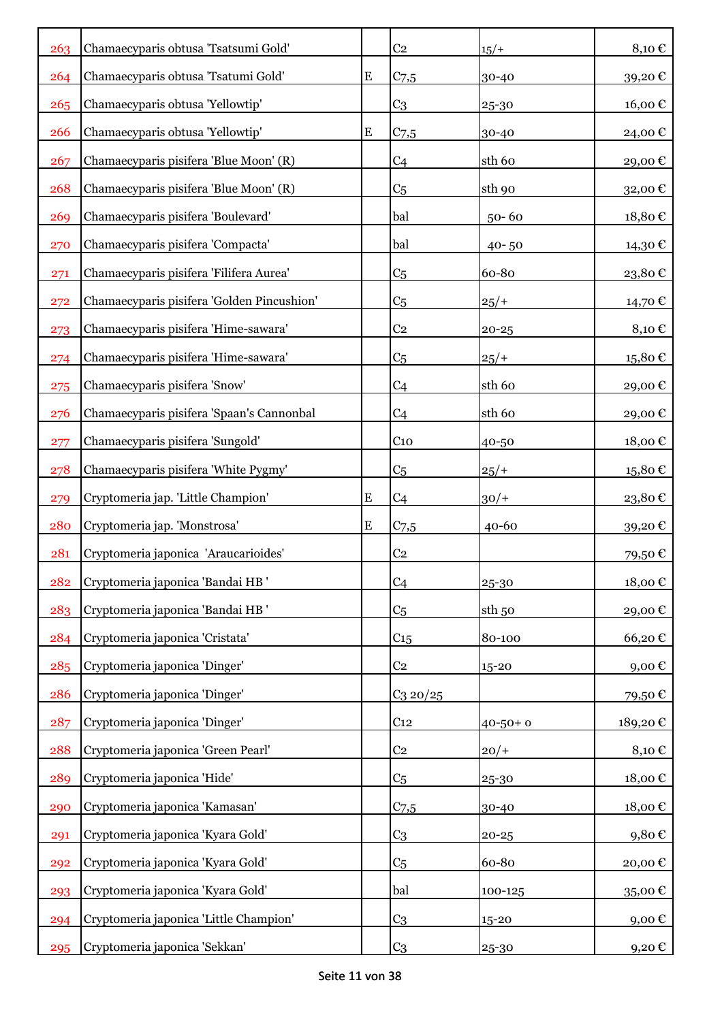| 263 | Chamaecyparis obtusa 'Tsatsumi Gold'       |           | C <sub>2</sub>   | $15/+$        | 8,10€                |
|-----|--------------------------------------------|-----------|------------------|---------------|----------------------|
| 264 | Chamaecyparis obtusa 'Tsatumi Gold'        | ${\bf E}$ | C <sub>7,5</sub> | 30-40         | 39,20€               |
| 265 | Chamaecyparis obtusa 'Yellowtip'           |           | C <sub>3</sub>   | 25-30         | 16,00€               |
| 266 | Chamaecyparis obtusa 'Yellowtip'           | E         | $C_{7,5}$        | 30-40         | 24,00€               |
| 267 | Chamaecyparis pisifera 'Blue Moon' (R)     |           | C <sub>4</sub>   | sth 60        | 29,00€               |
| 268 | Chamaecyparis pisifera 'Blue Moon' (R)     |           | C <sub>5</sub>   | sth 90        | 32,00€               |
| 269 | Chamaecyparis pisifera 'Boulevard'         |           | bal              | $50 - 60$     | 18,80€               |
| 270 | Chamaecyparis pisifera 'Compacta'          |           | bal              | $40 - 50$     | 14,30 €              |
| 271 | Chamaecyparis pisifera 'Filifera Aurea'    |           | C <sub>5</sub>   | 60-80         | 23,80€               |
| 272 | Chamaecyparis pisifera 'Golden Pincushion' |           | C <sub>5</sub>   | $25/+$        | 14,70 €              |
| 273 | Chamaecyparis pisifera 'Hime-sawara'       |           | C <sub>2</sub>   | $20 - 25$     | 8,10€                |
| 274 | Chamaecyparis pisifera 'Hime-sawara'       |           | C <sub>5</sub>   | $25/+$        | 15,80€               |
| 275 | Chamaecyparis pisifera 'Snow'              |           | C <sub>4</sub>   | sth 60        | 29,00€               |
| 276 | Chamaecyparis pisifera 'Spaan's Cannonbal  |           | C <sub>4</sub>   | sth 60        | 29,00€               |
| 277 | Chamaecyparis pisifera 'Sungold'           |           | C <sub>10</sub>  | 40-50         | 18,00€               |
| 278 | Chamaecyparis pisifera 'White Pygmy'       |           | C <sub>5</sub>   | $25/+$        | 15,80€               |
| 279 | Cryptomeria jap. 'Little Champion'         | ${\bf E}$ | C <sub>4</sub>   | $30/+$        | 23,80€               |
| 280 | Cryptomeria jap. 'Monstrosa'               | ${\bf E}$ | $C_{7,5}$        | $40 - 60$     | 39,20€               |
| 281 | Cryptomeria japonica 'Araucarioides'       |           | C <sub>2</sub>   |               | 79,50€               |
| 282 | Cryptomeria japonica 'Bandai HB'           |           | C <sub>4</sub>   | 25-30         | $18,00 \text{ } \in$ |
| 283 | Cryptomeria japonica 'Bandai HB'           |           | C <sub>5</sub>   | sth 50        | 29,00€               |
| 284 | Cryptomeria japonica 'Cristata'            |           | C <sub>15</sub>  | 80-100        | 66,20€               |
| 285 | Cryptomeria japonica 'Dinger'              |           | C <sub>2</sub>   | 15-20         | 9,00€                |
| 286 | Cryptomeria japonica 'Dinger'              |           | $C_3$ 20/25      |               | 79,50€               |
| 287 | Cryptomeria japonica 'Dinger'              |           | C <sub>12</sub>  | $40 - 50 + 0$ | 189,20€              |
| 288 | Cryptomeria japonica 'Green Pearl'         |           | C <sub>2</sub>   | $20/+$        | 8,10€                |
| 289 | Cryptomeria japonica 'Hide'                |           | C <sub>5</sub>   | 25-30         | 18,00€               |
| 290 | Cryptomeria japonica 'Kamasan'             |           | C <sub>7,5</sub> | 30-40         | 18,00€               |
| 291 | Cryptomeria japonica 'Kyara Gold'          |           | C <sub>3</sub>   | $20 - 25$     | 9,80€                |
| 292 | Cryptomeria japonica 'Kyara Gold'          |           | C <sub>5</sub>   | 60-80         | 20,00€               |
| 293 | Cryptomeria japonica 'Kyara Gold'          |           | bal              | 100-125       | 35,00€               |
| 294 | Cryptomeria japonica 'Little Champion'     |           | C <sub>3</sub>   | 15-20         | 9,00€                |
| 295 | Cryptomeria japonica 'Sekkan'              |           | C <sub>3</sub>   | 25-30         | 9,20 €               |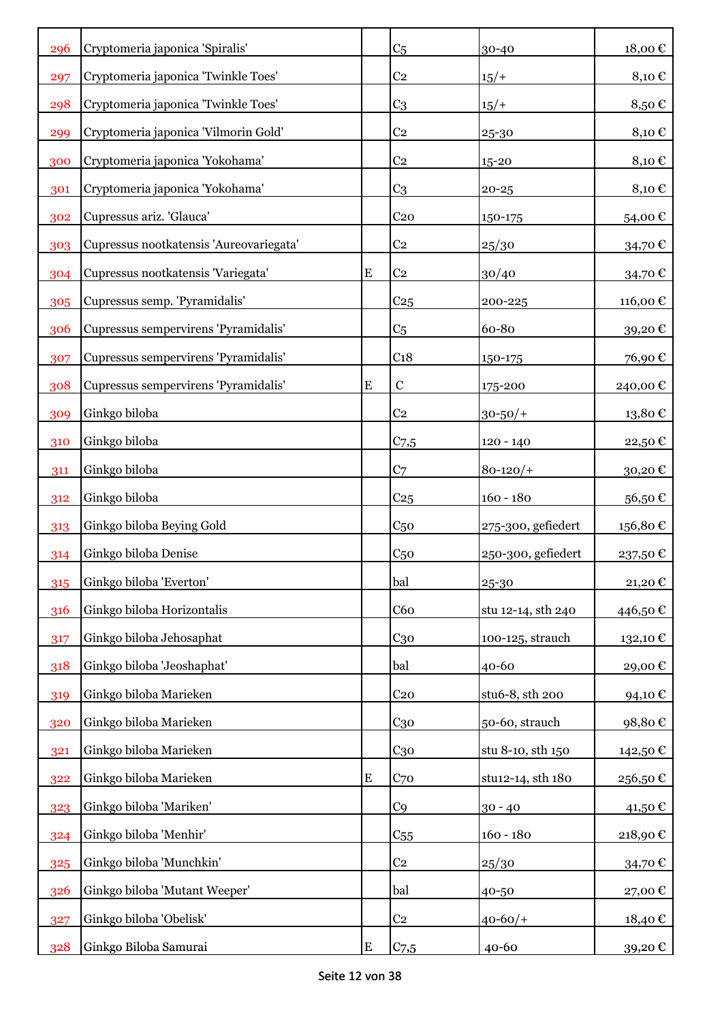| 296 | Cryptomeria japonica 'Spiralis'         |           | C <sub>5</sub>   | 30-40              | 18,00€     |
|-----|-----------------------------------------|-----------|------------------|--------------------|------------|
| 297 | Cryptomeria japonica 'Twinkle Toes'     |           | C <sub>2</sub>   | $15/+$             | 8,10€      |
| 298 | Cryptomeria japonica 'Twinkle Toes'     |           | C <sub>3</sub>   | $15/+$             | 8,50€      |
| 299 | Cryptomeria japonica 'Vilmorin Gold'    |           | C <sub>2</sub>   | 25-30              | 8,10€      |
| 300 | Cryptomeria japonica 'Yokohama'         |           | C <sub>2</sub>   | 15-20              | 8,10€      |
| 301 | Cryptomeria japonica 'Yokohama'         |           | C <sub>3</sub>   | $20 - 25$          | $8,10 \in$ |
| 302 | Cupressus ariz. 'Glauca'                |           | C <sub>20</sub>  | 150-175            | 54,00€     |
| 303 | Cupressus nootkatensis 'Aureovariegata' |           | C <sub>2</sub>   | 25/30              | 34,70€     |
| 304 | Cupressus nootkatensis 'Variegata'      | ${\bf E}$ | C <sub>2</sub>   | 30/40              | 34,70€     |
| 305 | Cupressus semp. 'Pyramidalis'           |           | C <sub>25</sub>  | 200-225            | 116,00€    |
| 306 | Cupressus sempervirens 'Pyramidalis'    |           | C <sub>5</sub>   | 60-80              | 39,20€     |
| 307 | Cupressus sempervirens 'Pyramidalis'    |           | C <sub>18</sub>  | 150-175            | 76,90€     |
| 308 | Cupressus sempervirens 'Pyramidalis'    | E         | $\mathbf C$      | 175-200            | 240,00€    |
| 309 | Ginkgo biloba                           |           | C <sub>2</sub>   | $30 - 50/$ +       | 13,80€     |
| 310 | Ginkgo biloba                           |           | $C_{7,5}$        | $120 - 140$        | 22,50€     |
| 311 | Ginkgo biloba                           |           | C <sub>7</sub>   | $80 - 120/$        | 30,20€     |
| 312 | Ginkgo biloba                           |           | C <sub>25</sub>  | $160 - 180$        | 56,50€     |
| 313 | Ginkgo biloba Beying Gold               |           | C <sub>50</sub>  | 275-300, gefiedert | 156,80€    |
| 314 | Ginkgo biloba Denise                    |           | C <sub>50</sub>  | 250-300, gefiedert | 237,50€    |
| 315 | Ginkgo biloba 'Everton'                 |           | bal              | 25-30              | 21,20€     |
| 316 | Ginkgo biloba Horizontalis              |           | C60              | stu 12-14, sth 240 | 446,50€    |
| 317 | Ginkgo biloba Jehosaphat                |           | $C_{30}$         | 100-125, strauch   | 132,10 €   |
| 318 | Ginkgo biloba 'Jeoshaphat'              |           | bal              | 40-60              | 29,00€     |
| 319 | Ginkgo biloba Marieken                  |           | C <sub>20</sub>  | stu6-8, sth 200    | 94,10€     |
| 320 | Ginkgo biloba Marieken                  |           | $C_{30}$         | 50-60, strauch     | 98,80€     |
| 321 | Ginkgo biloba Marieken                  |           | C <sub>30</sub>  | stu 8-10, sth 150  | 142,50€    |
| 322 | Ginkgo biloba Marieken                  | ${\bf E}$ | C <sub>70</sub>  | stu12-14, sth 180  | 256,50€    |
| 323 | Ginkgo biloba 'Mariken'                 |           | C <sub>9</sub>   | $30 - 40$          | 41,50€     |
| 324 | Ginkgo biloba 'Menhir'                  |           | C <sub>55</sub>  | $160 - 180$        | 218,90€    |
| 325 | Ginkgo biloba 'Munchkin'                |           | C <sub>2</sub>   | 25/30              | 34,70€     |
| 326 | Ginkgo biloba 'Mutant Weeper'           |           | bal              | 40-50              | 27,00€     |
| 327 | Ginkgo biloba 'Obelisk'                 |           | C <sub>2</sub>   | $40 - 60/$ +       | 18,40 €    |
| 328 | Ginkgo Biloba Samurai                   | E         | C <sub>7,5</sub> | 40-60              | 39,20 €    |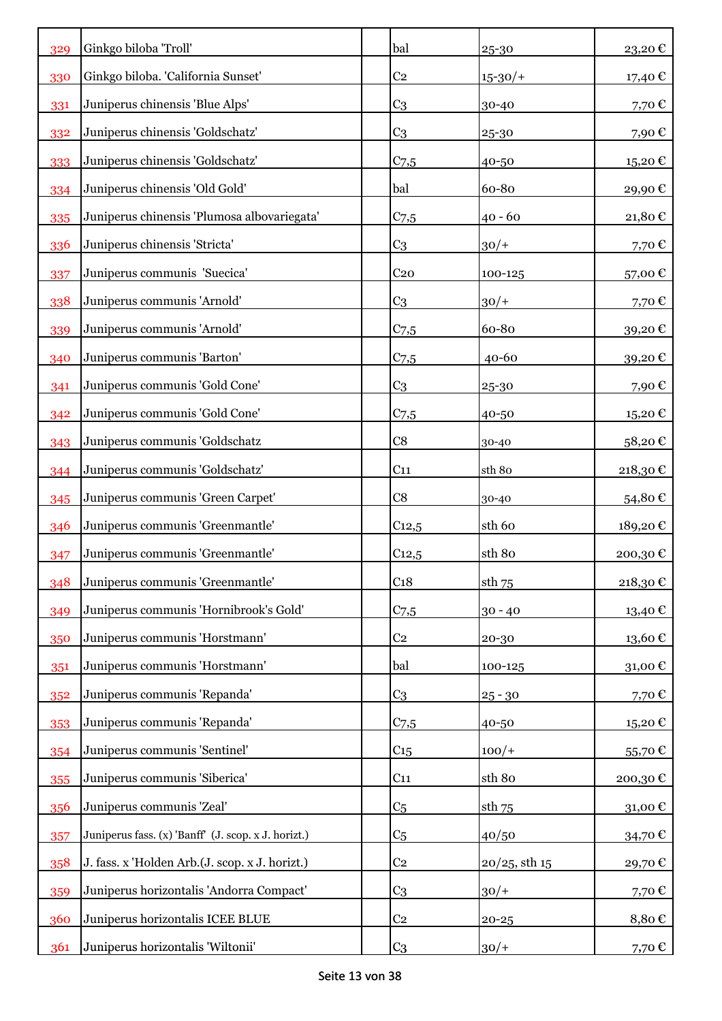| 329 | Ginkgo biloba 'Troll'                               | bal              | 25-30            | 23,20€  |
|-----|-----------------------------------------------------|------------------|------------------|---------|
| 330 | Ginkgo biloba. 'California Sunset'                  | C <sub>2</sub>   | $15 - 30/$       | 17,40 € |
| 331 | Juniperus chinensis 'Blue Alps'                     | C <sub>3</sub>   | 30-40            | 7,70€   |
| 332 | Juniperus chinensis 'Goldschatz'                    | C <sub>3</sub>   | 25-30            | 7,90€   |
| 333 | Juniperus chinensis 'Goldschatz'                    | $C_{7,5}$        | 40-50            | 15,20€  |
| 334 | Juniperus chinensis 'Old Gold'                      | bal              | 60-80            | 29,90€  |
| 335 | Juniperus chinensis 'Plumosa albovariegata'         | C <sub>7,5</sub> | $40 - 60$        | 21,80€  |
| 336 | Juniperus chinensis 'Stricta'                       | C <sub>3</sub>   | $30/+$           | 7,70€   |
| 337 | Juniperus communis 'Suecica'                        | C <sub>20</sub>  | 100-125          | 57,00€  |
| 338 | Juniperus communis 'Arnold'                         | C <sub>3</sub>   | $30/+$           | 7,70€   |
| 339 | Juniperus communis 'Arnold'                         | $C_{7,5}$        | 60-80            | 39,20€  |
| 340 | Juniperus communis 'Barton'                         | $C$ 7,5          | $40 - 60$        | 39,20€  |
| 341 | Juniperus communis 'Gold Cone'                      | C <sub>3</sub>   | 25-30            | 7,90€   |
| 342 | Juniperus communis 'Gold Cone'                      | $C_{7,5}$        | 40-50            | 15,20€  |
| 343 | Juniperus communis 'Goldschatz                      | C8               | 30-40            | 58,20€  |
| 344 | Juniperus communis 'Goldschatz'                     | C <sub>11</sub>  | sth 80           | 218,30€ |
| 345 | Juniperus communis 'Green Carpet'                   | C8               | 30-40            | 54,80€  |
| 346 | Juniperus communis 'Greenmantle'                    | $C_{12,5}$       | sth 60           | 189,20€ |
| 347 | Juniperus communis 'Greenmantle'                    | $C_{12,5}$       | sth 80           | 200,30€ |
| 348 | Juniperus communis 'Greenmantle'                    | C <sub>18</sub>  | sth 75           | 218,30€ |
| 349 | Juniperus communis 'Hornibrook's Gold'              | C <sub>7,5</sub> | $30 - 40$        | 13,40 € |
| 350 | Juniperus communis 'Horstmann'                      | C <sub>2</sub>   | 20-30            | 13,60€  |
| 351 | Juniperus communis 'Horstmann'                      | bal              | 100-125          | 31,00€  |
| 352 | Juniperus communis 'Repanda'                        | C <sub>3</sub>   | $25 - 30$        | 7,70 €  |
| 353 | Juniperus communis 'Repanda'                        | $C_{7,5}$        | 40-50            | 15,20€  |
| 354 | Juniperus communis 'Sentinel'                       | C <sub>15</sub>  | $100/+$          | 55,70€  |
| 355 | Juniperus communis 'Siberica'                       | C <sub>11</sub>  | sth 80           | 200,30€ |
| 356 | Juniperus communis 'Zeal'                           | C <sub>5</sub>   | sth 75           | 31,00€  |
| 357 | Juniperus fass. (x) 'Banff' (J. scop. x J. horizt.) | C <sub>5</sub>   | 40/50            | 34,70€  |
| 358 | J. fass. x 'Holden Arb.(J. scop. x J. horizt.)      | C <sub>2</sub>   | $20/25$ , sth 15 | 29,70€  |
| 359 | Juniperus horizontalis 'Andorra Compact'            | C <sub>3</sub>   | $30/+$           | 7,70€   |
| 360 | Juniperus horizontalis ICEE BLUE                    | C <sub>2</sub>   | $20 - 25$        | 8,80€   |
| 361 | Juniperus horizontalis 'Wiltonii'                   | C <sub>3</sub>   | $30/+$           | 7,70 €  |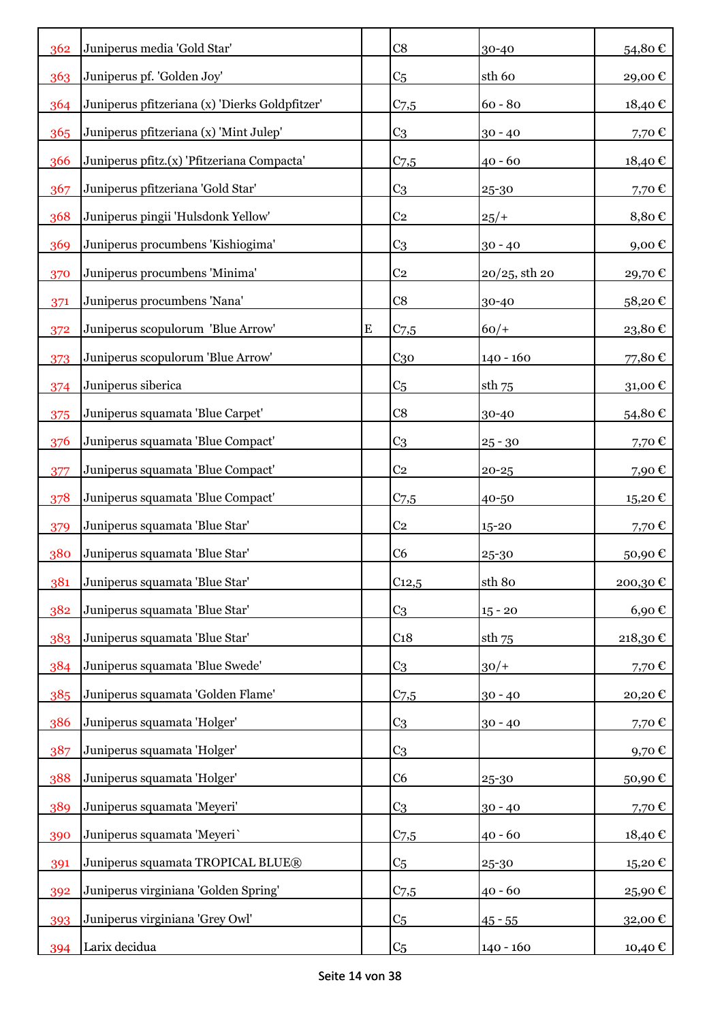| 362        | Juniperus media 'Gold Star'                    |           | C8                                | 30-40                  | 54,80€                 |
|------------|------------------------------------------------|-----------|-----------------------------------|------------------------|------------------------|
| 363        | Juniperus pf. 'Golden Joy'                     |           | C <sub>5</sub>                    | sth <sub>60</sub>      | 29,00€                 |
| 364        | Juniperus pfitzeriana (x) 'Dierks Goldpfitzer' |           | $C_{7,5}$                         | $60 - 80$              | 18,40€                 |
| 365        | Juniperus pfitzeriana (x) 'Mint Julep'         |           | C <sub>3</sub>                    | $30 - 40$              | 7,70€                  |
| 366        | Juniperus pfitz.(x) 'Pfitzeriana Compacta'     |           | $C_{7,5}$                         | $40 - 60$              | 18,40€                 |
| 367        | Juniperus pfitzeriana 'Gold Star'              |           | C <sub>3</sub>                    | 25-30                  | 7,70€                  |
| 368        | Juniperus pingii 'Hulsdonk Yellow'             |           | C <sub>2</sub>                    | 25/                    | 8,80€                  |
| 369        | Juniperus procumbens 'Kishiogima'              |           | C <sub>3</sub>                    | $30 - 40$              | 9,00€                  |
| 370        | Juniperus procumbens 'Minima'                  |           | C <sub>2</sub>                    | $20/25$ , sth 20       | 29,70€                 |
| 371        | Juniperus procumbens 'Nana'                    |           | C8                                | 30-40                  | 58,20€                 |
| 372        | Juniperus scopulorum 'Blue Arrow'              | ${\bf E}$ | C <sub>7,5</sub>                  | $60/+$                 | $23,\!80$ $\mathbb{C}$ |
| 373        | Juniperus scopulorum 'Blue Arrow'              |           | C <sub>30</sub>                   | $140 - 160$            | 77,80€                 |
| 374        | Juniperus siberica                             |           | C <sub>5</sub>                    | sth 75                 | 31,00€                 |
| 375        | Juniperus squamata 'Blue Carpet'               |           | C8                                | 30-40                  | 54,80€                 |
| 376        | Juniperus squamata 'Blue Compact'              |           | C <sub>3</sub>                    |                        | 7,70€                  |
| 377        | Juniperus squamata 'Blue Compact'              |           | C <sub>2</sub>                    | $25 - 30$<br>$20 - 25$ | 7,90€                  |
| 378        | Juniperus squamata 'Blue Compact'              |           | $C_{7,5}$                         | 40-50                  |                        |
|            | Juniperus squamata 'Blue Star'                 |           | C <sub>2</sub>                    | 15-20                  | 15,20€<br>7,70€        |
| 379<br>380 | Juniperus squamata 'Blue Star'                 |           | C <sub>6</sub>                    |                        |                        |
| 381        | Juniperus squamata 'Blue Star'                 |           | $C_{12,5}$                        | 25-30<br>sth 80        | 50,90€<br>200,30€      |
| 382        | Juniperus squamata 'Blue Star'                 |           |                                   |                        |                        |
|            |                                                |           | C <sub>3</sub><br>C <sub>18</sub> | $15 - 20$              | $6,90 \in$             |
| 383        | Juniperus squamata 'Blue Star'                 |           |                                   | $sth$ 75               | $218{,}30 \in$         |
| 384        | Juniperus squamata 'Blue Swede'                |           | C <sub>3</sub>                    | $30/+$                 | 7,70€                  |
| 385        | Juniperus squamata 'Golden Flame'              |           | C <sub>7,5</sub>                  | $30 - 40$              | 20,20€                 |
| 386        | Juniperus squamata 'Holger'                    |           | C <sub>3</sub>                    | $30 - 40$              | 7,70€                  |
| 387        | Juniperus squamata 'Holger'                    |           | C <sub>3</sub>                    |                        | 9,70€                  |
| 388        | Juniperus squamata 'Holger'                    |           | C <sub>6</sub>                    | 25-30                  | 50,90€                 |
| 389        | Juniperus squamata 'Meyeri'                    |           | C <sub>3</sub>                    | $30 - 40$              | 7,70€                  |
| 390        | Juniperus squamata 'Meyeri'                    |           | $C$ 7,5                           | 40 - 60                | 18,40 $\epsilon$       |
| 391        | Juniperus squamata TROPICAL BLUE®              |           | C <sub>5</sub>                    | 25-30                  | 15,20€                 |
| 392        | Juniperus virginiana 'Golden Spring'           |           | $C_{7,5}$                         | $40 - 60$              | 25,90€                 |
| 393        | Juniperus virginiana 'Grey Owl'                |           | C <sub>5</sub>                    | $45 - 55$              | 32,00€                 |
| 394        | Larix decidua                                  |           | C <sub>5</sub>                    | 140 - 160              | 10,40 €                |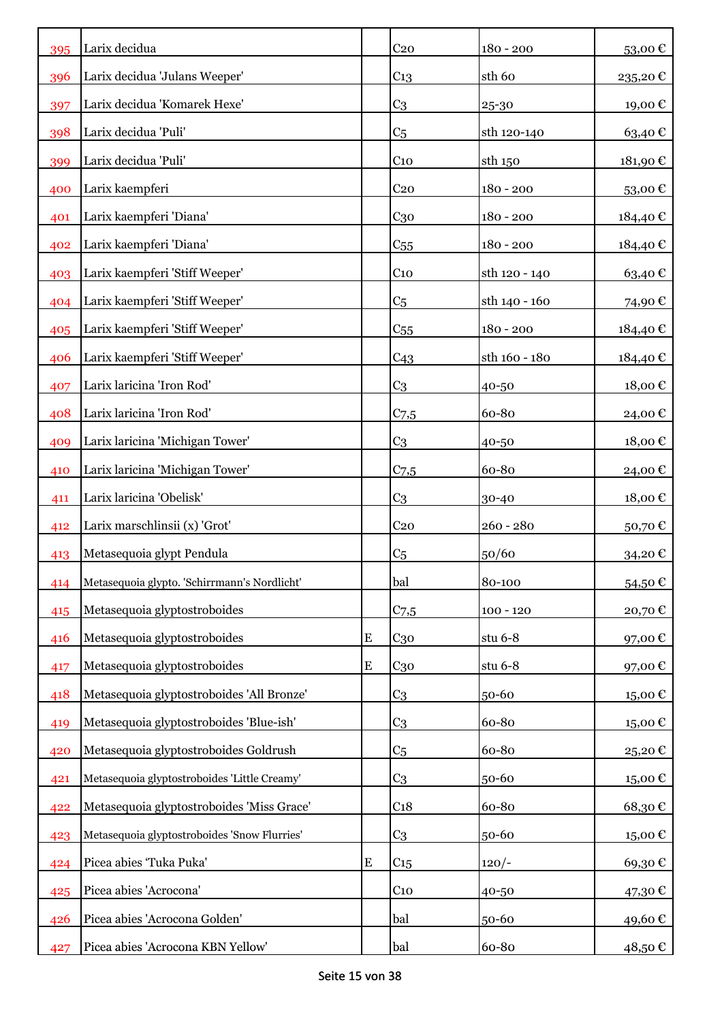| 395 | Larix decidua                                |           | C <sub>20</sub>  | $180 - 200$   | 53,00€  |
|-----|----------------------------------------------|-----------|------------------|---------------|---------|
| 396 | Larix decidua 'Julans Weeper'                |           | C <sub>13</sub>  | sth 60        | 235,20€ |
| 397 | Larix decidua 'Komarek Hexe'                 |           | C <sub>3</sub>   | 25-30         | 19,00€  |
| 398 | Larix decidua 'Puli'                         |           | C <sub>5</sub>   | sth 120-140   | 63,40€  |
| 399 | Larix decidua 'Puli'                         |           | C <sub>10</sub>  | sth 150       | 181,90€ |
| 400 | Larix kaempferi                              |           | C <sub>20</sub>  | $180 - 200$   | 53,00€  |
| 401 | Larix kaempferi 'Diana'                      |           | C <sub>30</sub>  | $180 - 200$   | 184,40€ |
| 402 | Larix kaempferi 'Diana'                      |           | $C_{55}$         | $180 - 200$   | 184,40€ |
| 403 | Larix kaempferi 'Stiff Weeper'               |           | C <sub>10</sub>  | sth 120 - 140 | 63,40€  |
| 404 | Larix kaempferi 'Stiff Weeper'               |           | C <sub>5</sub>   | sth 140 - 160 | 74,90€  |
| 405 | Larix kaempferi 'Stiff Weeper'               |           | C <sub>55</sub>  | $180 - 200$   | 184,40€ |
| 406 | Larix kaempferi 'Stiff Weeper'               |           | C <sub>43</sub>  | sth 160 - 180 | 184,40€ |
| 407 | Larix laricina 'Iron Rod'                    |           | C <sub>3</sub>   | 40-50         | 18,00€  |
| 408 | Larix laricina 'Iron Rod'                    |           | $C_{7,5}$        | 60-80         | 24,00 € |
| 409 | Larix laricina 'Michigan Tower'              |           | C <sub>3</sub>   | 40-50         | 18,00€  |
| 410 | Larix laricina 'Michigan Tower'              |           | $C_{7,5}$        | 60-80         | 24,00 € |
| 411 | Larix laricina 'Obelisk'                     |           | C <sub>3</sub>   | 30-40         | 18,00€  |
| 412 | Larix marschlinsii (x) 'Grot'                |           | C <sub>20</sub>  | $260 - 280$   | 50,70€  |
| 413 | Metasequoia glypt Pendula                    |           | C <sub>5</sub>   | 50/60         | 34,20€  |
| 414 | Metasequoia glypto. 'Schirrmann's Nordlicht' |           | bal              | 80-100        | 54,50€  |
| 415 | Metasequoia glyptostroboides                 |           | C <sub>7,5</sub> | $100 - 120$   | 20,70€  |
| 416 | Metasequoia glyptostroboides                 | ${\bf E}$ | $C_{30}$         | stu $6-8$     | 97,00€  |
| 417 | Metasequoia glyptostroboides                 | ${\bf E}$ | $C_{30}$         | stu $6-8$     | 97,00€  |
| 418 | Metasequoia glyptostroboides 'All Bronze'    |           | C <sub>3</sub>   | 50-60         | 15,00€  |
| 419 | Metasequoia glyptostroboides 'Blue-ish'      |           | C <sub>3</sub>   | 60-80         | 15,00€  |
| 420 | Metasequoia glyptostroboides Goldrush        |           | C <sub>5</sub>   | 60-80         | 25,20€  |
| 421 | Metasequoia glyptostroboides 'Little Creamy' |           | C <sub>3</sub>   | 50-60         | 15,00€  |
| 422 | Metasequoia glyptostroboides 'Miss Grace'    |           | C <sub>18</sub>  | 60-80         | 68,30€  |
| 423 | Metasequoia glyptostroboides 'Snow Flurries' |           | C <sub>3</sub>   | 50-60         | 15,00€  |
| 424 | Picea abies 'Tuka Puka'                      | ${\bf E}$ | C <sub>15</sub>  | $120/-$       | 69,30€  |
| 425 | Picea abies 'Acrocona'                       |           | C <sub>10</sub>  | 40-50         | 47,30 € |
| 426 | Picea abies 'Acrocona Golden'                |           | bal              | 50-60         | 49,60 € |
| 427 | Picea abies 'Acrocona KBN Yellow'            |           | bal              | 60-80         | 48,50 € |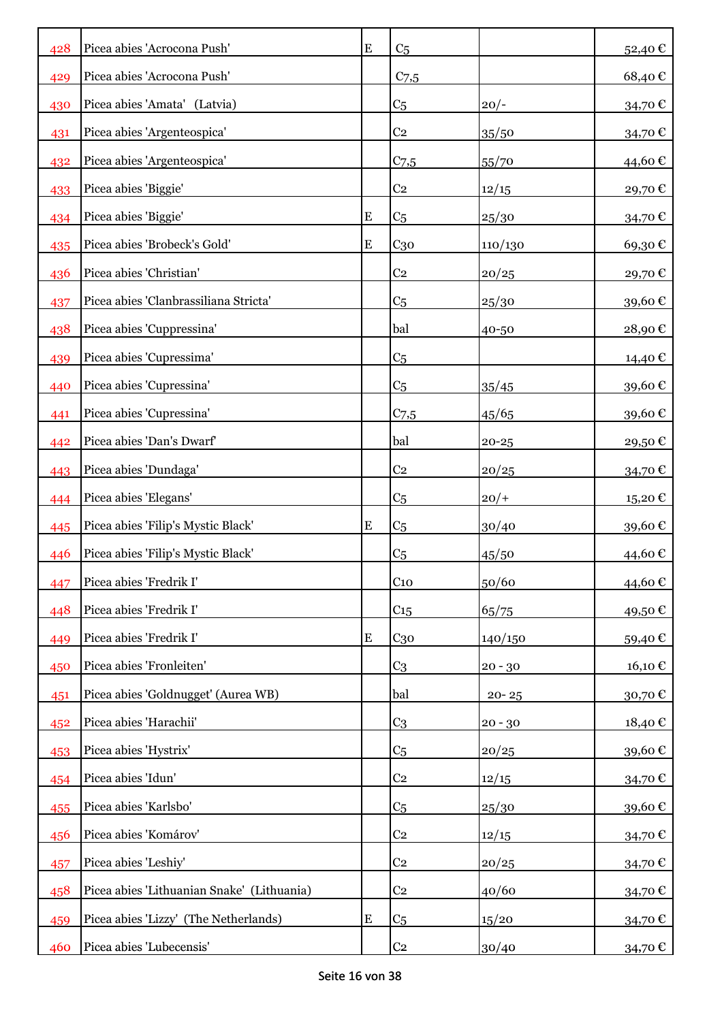| 428 | Picea abies 'Acrocona Push'                | E         | C <sub>5</sub>   |           | 52,40€           |
|-----|--------------------------------------------|-----------|------------------|-----------|------------------|
| 429 | Picea abies 'Acrocona Push'                |           | C <sub>7,5</sub> |           | 68,40€           |
| 430 | Picea abies 'Amata' (Latvia)               |           | C <sub>5</sub>   | $20/-$    | 34,70€           |
| 431 | Picea abies 'Argenteospica'                |           | C <sub>2</sub>   | 35/50     | 34,70€           |
| 432 | Picea abies 'Argenteospica'                |           | $C_{7,5}$        | 55/70     | 44,60€           |
| 433 | Picea abies 'Biggie'                       |           | C <sub>2</sub>   | 12/15     | 29,70€           |
| 434 | Picea abies 'Biggie'                       | E         | C <sub>5</sub>   | 25/30     | 34,70€           |
| 435 | Picea abies 'Brobeck's Gold'               | E         | C <sub>30</sub>  | 110/130   | 69,30€           |
| 436 | Picea abies 'Christian'                    |           | C <sub>2</sub>   | 20/25     | 29,70€           |
| 437 | Picea abies 'Clanbrassiliana Stricta'      |           | C <sub>5</sub>   | 25/30     | 39,60€           |
| 438 | Picea abies 'Cuppressina'                  |           | bal              | 40-50     | 28,90€           |
| 439 | Picea abies 'Cupressima'                   |           | C <sub>5</sub>   |           | 14,40 €          |
| 440 | Picea abies 'Cupressina'                   |           | C <sub>5</sub>   | 35/45     | 39,60€           |
| 441 | Picea abies 'Cupressina'                   |           | $C_{7,5}$        | 45/65     | 39,60€           |
| 442 | Picea abies 'Dan's Dwarf'                  |           | bal              | $20 - 25$ | 29,50€           |
| 443 | Picea abies 'Dundaga'                      |           | C <sub>2</sub>   | 20/25     | 34,70€           |
| 444 | Picea abies 'Elegans'                      |           | C <sub>5</sub>   | $20/+$    | 15,20€           |
| 445 | Picea abies 'Filip's Mystic Black'         | E         | C <sub>5</sub>   | 30/40     | 39,60€           |
| 446 | Picea abies 'Filip's Mystic Black'         |           | C <sub>5</sub>   | 45/50     | 44,60€           |
| 447 | Picea abies 'Fredrik I'                    |           | C <sub>10</sub>  | 50/60     | 44,60€           |
| 448 | Picea abies 'Fredrik I'                    |           | C15              | 65/75     | 49,50€           |
| 449 | Picea abies 'Fredrik I'                    | ${\bf E}$ | C <sub>30</sub>  | 140/150   | 59,40€           |
| 450 | Picea abies 'Fronleiten'                   |           | C <sub>3</sub>   | $20 - 30$ | 16,10€           |
| 451 | Picea abies 'Goldnugget' (Aurea WB)        |           | bal              | $20 - 25$ | 30,70 $\epsilon$ |
| 452 | Picea abies 'Harachii'                     |           | C <sub>3</sub>   | $20 - 30$ | 18,40€           |
| 453 | Picea abies 'Hystrix'                      |           | C <sub>5</sub>   | 20/25     | 39,60€           |
| 454 | Picea abies 'Idun'                         |           | C <sub>2</sub>   | 12/15     | 34,70€           |
| 455 | Picea abies 'Karlsbo'                      |           | C <sub>5</sub>   | 25/30     | 39,60€           |
| 456 | Picea abies 'Komárov'                      |           | C <sub>2</sub>   | 12/15     | 34,70€           |
| 457 | Picea abies 'Leshiy'                       |           | C <sub>2</sub>   | 20/25     | 34,70€           |
| 458 | Picea abies 'Lithuanian Snake' (Lithuania) |           | C <sub>2</sub>   | 40/60     | 34,70€           |
| 459 | Picea abies 'Lizzy' (The Netherlands)      | ${\bf E}$ | C <sub>5</sub>   | 15/20     | 34,70 €          |
| 460 | Picea abies 'Lubecensis'                   |           | C <sub>2</sub>   | 30/40     | 34,70 €          |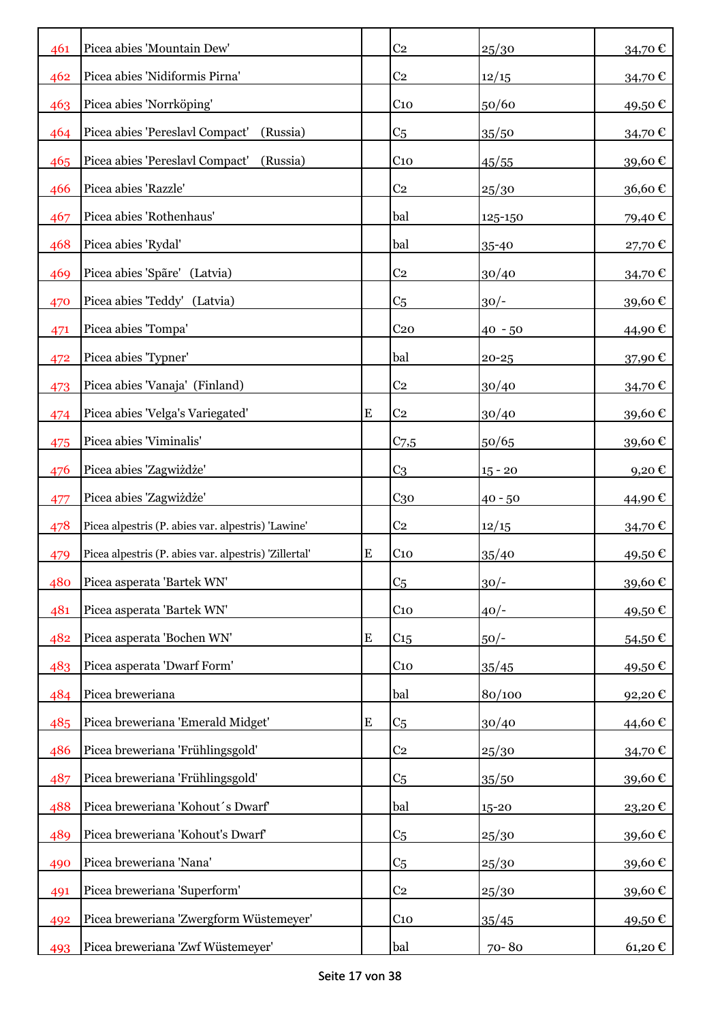| 461 | Picea abies 'Mountain Dew'                            |           | C <sub>2</sub>  | 25/30     | 34,70€               |
|-----|-------------------------------------------------------|-----------|-----------------|-----------|----------------------|
| 462 | Picea abies 'Nidiformis Pirna'                        |           | C <sub>2</sub>  | 12/15     | 34,70€               |
| 463 | Picea abies 'Norrköping'                              |           | C <sub>10</sub> | 50/60     | 49,50€               |
| 464 | Picea abies 'Pereslavl Compact'<br>(Russia)           |           | C <sub>5</sub>  | 35/50     | 34,70€               |
| 465 | Picea abies 'Pereslavl Compact'<br>(Russia)           |           | $C_{10}$        | 45/55     | 39,60€               |
| 466 | Picea abies 'Razzle'                                  |           | C <sub>2</sub>  | 25/30     | 36,60€               |
| 467 | Picea abies 'Rothenhaus'                              |           | bal             | 125-150   | 79,40€               |
| 468 | Picea abies 'Rydal'                                   |           | bal             | 35-40     | 27,70€               |
| 469 | Picea abies 'Spãre' (Latvia)                          |           | C <sub>2</sub>  | 30/40     | 34,70€               |
| 470 | Picea abies 'Teddy' (Latvia)                          |           | C <sub>5</sub>  | $30/-$    | 39,60€               |
| 471 | Picea abies 'Tompa'                                   |           | C <sub>20</sub> | $40 - 50$ | 44,90 €              |
| 472 | Picea abies 'Typner'                                  |           | bal             | $20 - 25$ | 37,90€               |
| 473 | Picea abies 'Vanaja' (Finland)                        |           | C <sub>2</sub>  | 30/40     | 34,70€               |
| 474 | Picea abies 'Velga's Variegated'                      | ${\bf E}$ | C <sub>2</sub>  | 30/40     | 39,60€               |
| 475 | Picea abies 'Viminalis'                               |           | $C_{7,5}$       | 50/65     | 39,60€               |
| 476 | Picea abies 'Zagwiżdże'                               |           | C <sub>3</sub>  | $15 - 20$ | 9,20€                |
| 477 | Picea abies 'Zagwiżdże'                               |           | C <sub>30</sub> | $40 - 50$ | 44,90 €              |
| 478 | Picea alpestris (P. abies var. alpestris) 'Lawine'    |           | C <sub>2</sub>  | 12/15     | 34,70€               |
| 479 | Picea alpestris (P. abies var. alpestris) 'Zillertal' | ${\bf E}$ | C <sub>10</sub> | 35/40     | 49,50€               |
| 480 | Picea asperata 'Bartek WN'                            |           | C <sub>5</sub>  | $30/-$    | 39,60€               |
| 481 | Picea asperata 'Bartek WN'                            |           | $C_{10}$        | $40/-$    | 49,50€               |
| 482 | Picea asperata 'Bochen WN'                            | ${\bf E}$ | C <sub>15</sub> | $50/-$    | 54,50€               |
| 483 | Picea asperata 'Dwarf Form'                           |           | C <sub>10</sub> | 35/45     | 49,50€               |
| 484 | Picea breweriana                                      |           | bal             | 80/100    | 92,20€               |
| 485 | Picea breweriana 'Emerald Midget'                     | ${\bf E}$ | C <sub>5</sub>  | 30/40     | 44,60€               |
| 486 | Picea breweriana 'Frühlingsgold'                      |           | C <sub>2</sub>  | 25/30     | 34,70€               |
| 487 | Picea breweriana 'Frühlingsgold'                      |           | C <sub>5</sub>  | 35/50     | 39,60€               |
| 488 | Picea breweriana 'Kohout's Dwarf'                     |           | bal             | 15-20     | 23,20€               |
| 489 | Picea breweriana 'Kohout's Dwarf'                     |           | C <sub>5</sub>  | 25/30     | 39,60€               |
| 490 | Picea breweriana 'Nana'                               |           | C <sub>5</sub>  | 25/30     | 39,60€               |
| 491 | Picea breweriana 'Superform'                          |           | C <sub>2</sub>  | 25/30     | 39,60€               |
| 492 | Picea breweriana 'Zwergform Wüstemeyer'               |           | C <sub>10</sub> | 35/45     | 49,50 €              |
| 493 | Picea breweriana 'Zwf Wüstemeyer'                     |           | bal             | 70-80     | $61,20 \text{ } \in$ |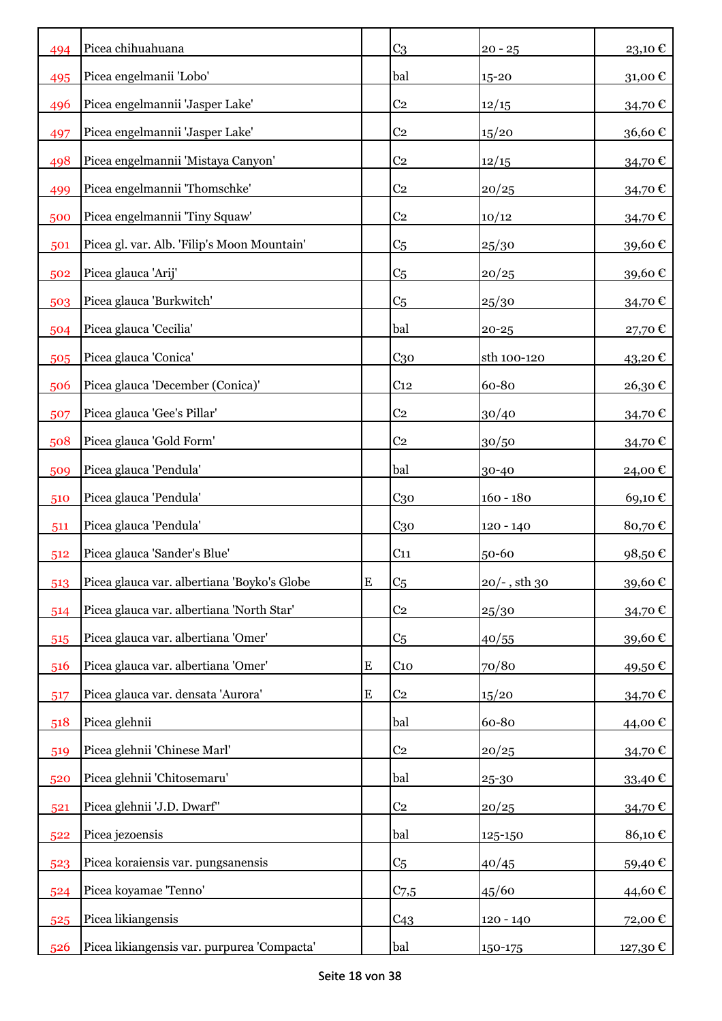| 494 | Picea chihuahuana                           |           | C <sub>3</sub>  | $20 - 25$                | $23,10$ € |
|-----|---------------------------------------------|-----------|-----------------|--------------------------|-----------|
| 495 | Picea engelmanii 'Lobo'                     |           | bal             | 15-20                    | 31,00€    |
| 496 | Picea engelmannii 'Jasper Lake'             |           | C <sub>2</sub>  | 12/15                    | 34,70€    |
| 497 | Picea engelmannii 'Jasper Lake'             |           | C <sub>2</sub>  | 15/20                    | 36,60€    |
| 498 | Picea engelmannii 'Mistaya Canyon'          |           | C <sub>2</sub>  | 12/15                    | 34,70€    |
| 499 | Picea engelmannii 'Thomschke'               |           | C <sub>2</sub>  | 20/25                    | 34,70€    |
| 500 | Picea engelmannii 'Tiny Squaw'              |           | C <sub>2</sub>  | 10/12                    | 34,70€    |
| 501 | Picea gl. var. Alb. 'Filip's Moon Mountain' |           | C <sub>5</sub>  | 25/30                    | 39,60€    |
| 502 | Picea glauca 'Arij'                         |           | C <sub>5</sub>  | 20/25                    | 39,60€    |
| 503 | Picea glauca 'Burkwitch'                    |           | C <sub>5</sub>  | 25/30                    | 34,70€    |
| 504 | Picea glauca 'Cecilia'                      |           | bal             | $20 - 25$                | 27,70€    |
| 505 | Picea glauca 'Conica'                       |           | C <sub>30</sub> | sth 100-120              | 43,20€    |
| 506 | Picea glauca 'December (Conica)'            |           | C <sub>12</sub> | 60-80                    | 26,30€    |
| 507 | Picea glauca 'Gee's Pillar'                 |           | C <sub>2</sub>  | 30/40                    | 34,70€    |
| 508 | Picea glauca 'Gold Form'                    |           | C <sub>2</sub>  | 30/50                    | 34,70€    |
| 509 | Picea glauca 'Pendula'                      |           | bal             | 30-40                    | 24,00 €   |
| 510 | Picea glauca 'Pendula'                      |           | C <sub>30</sub> | $160 - 180$              | 69,10€    |
| 511 | Picea glauca 'Pendula'                      |           | C <sub>30</sub> | $120 - 140$              | 80,70€    |
| 512 | Picea glauca 'Sander's Blue'                |           | C <sub>11</sub> | 50-60                    | 98,50€    |
| 513 | Picea glauca var. albertiana 'Boyko's Globe | E         | C <sub>5</sub>  | $20/\text{-}$ , sth $30$ | 39,60€    |
| 514 | Picea glauca var. albertiana 'North Star'   |           | C <sub>2</sub>  | 25/30                    | 34,70€    |
| 515 | Picea glauca var. albertiana 'Omer'         |           | C <sub>5</sub>  | 40/55                    | 39,60€    |
| 516 | Picea glauca var. albertiana 'Omer'         | ${\bf E}$ | $C_{10}$        | 70/80                    | 49,50€    |
| 517 | Picea glauca var. densata 'Aurora'          | ${\bf E}$ | C <sub>2</sub>  | 15/20                    | 34,70€    |
| 518 | Picea glehnii                               |           | bal             | 60-80                    | 44,00€    |
| 519 | Picea glehnii 'Chinese Marl'                |           | C <sub>2</sub>  | 20/25                    | 34,70€    |
| 520 | Picea glehnii 'Chitosemaru'                 |           | bal             | 25-30                    | 33,40€    |
| 521 | Picea glehnii 'J.D. Dwarf"                  |           | C <sub>2</sub>  | 20/25                    | 34,70€    |
| 522 | Picea jezoensis                             |           | bal             | 125-150                  | 86,10€    |
| 523 | Picea koraiensis var. pungsanensis          |           | C <sub>5</sub>  | 40/45                    | 59,40€    |
| 524 | Picea koyamae 'Tenno'                       |           | $C_{7,5}$       | 45/60                    | 44,60€    |
| 525 | Picea likiangensis                          |           | C <sub>43</sub> | 120 - 140                | 72,00€    |
| 526 | Picea likiangensis var. purpurea 'Compacta' |           | bal             | 150-175                  | 127,30 €  |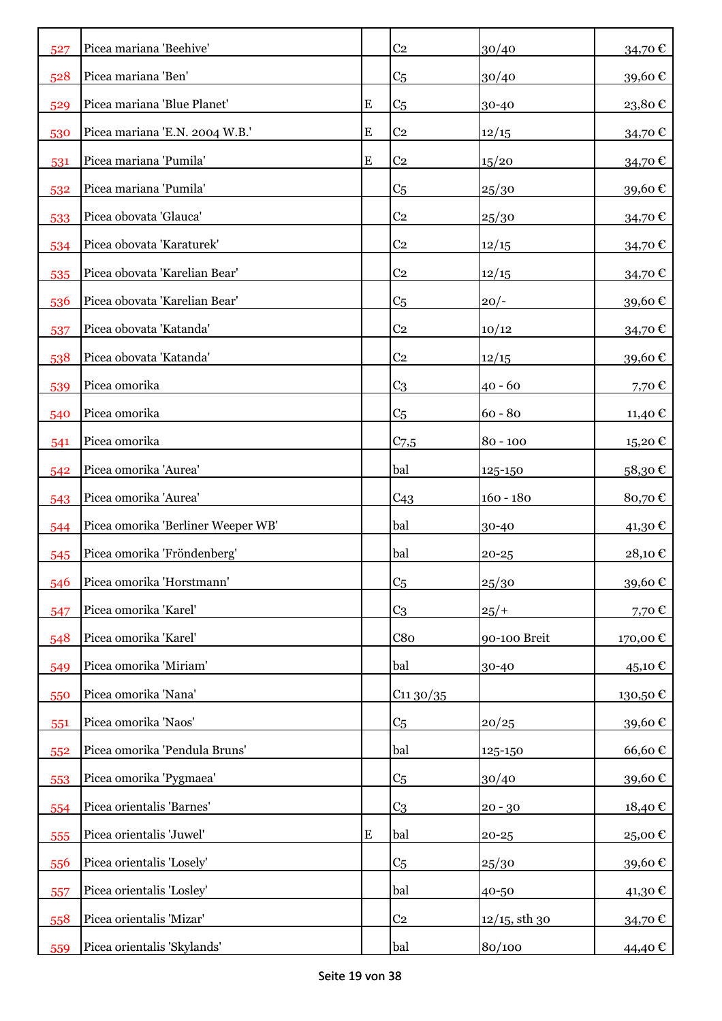| 527 | Picea mariana 'Beehive'            |           | C <sub>2</sub>  | 30/40            | 34,70€                   |
|-----|------------------------------------|-----------|-----------------|------------------|--------------------------|
| 528 | Picea mariana 'Ben'                |           | C <sub>5</sub>  | 30/40            | 39,60€                   |
| 529 | Picea mariana 'Blue Planet'        | ${\bf E}$ | C <sub>5</sub>  | 30-40            | 23,80€                   |
| 530 | Picea mariana 'E.N. 2004 W.B.'     | ${\bf E}$ | C <sub>2</sub>  | 12/15            | 34,70€                   |
| 531 | Picea mariana 'Pumila'             | E         | C <sub>2</sub>  | 15/20            | 34,70€                   |
| 532 | Picea mariana 'Pumila'             |           | C <sub>5</sub>  | 25/30            | 39,60€                   |
| 533 | Picea obovata 'Glauca'             |           | C <sub>2</sub>  | 25/30            | 34,70€                   |
| 534 | Picea obovata 'Karaturek'          |           | C <sub>2</sub>  | 12/15            | 34,70€                   |
| 535 | Picea obovata 'Karelian Bear'      |           | C <sub>2</sub>  | 12/15            | 34,70€                   |
| 536 | Picea obovata 'Karelian Bear'      |           | C <sub>5</sub>  | $20/-$           | 39,60€                   |
| 537 | Picea obovata 'Katanda'            |           | C <sub>2</sub>  | 10/12            | 34,70€                   |
| 538 | Picea obovata 'Katanda'            |           | C <sub>2</sub>  | 12/15            | 39,60€                   |
| 539 | Picea omorika                      |           | C <sub>3</sub>  | $40 - 60$        | 7,70€                    |
| 540 | Picea omorika                      |           | C <sub>5</sub>  | $60 - 80$        | 11,40 €                  |
| 541 | Picea omorika                      |           | $C_{7,5}$       | $80 - 100$       | 15,20€                   |
| 542 | Picea omorika 'Aurea'              |           | bal             | 125-150          | 58,30€                   |
| 543 | Picea omorika 'Aurea'              |           | C <sub>43</sub> | $160 - 180$      | 80,70€                   |
| 544 | Picea omorika 'Berliner Weeper WB' |           | bal             | 30-40            | 41,30€                   |
| 545 | Picea omorika 'Fröndenberg'        |           | bal             | $20 - 25$        | 28,10€                   |
| 546 | Picea omorika 'Horstmann'          |           | C <sub>5</sub>  | 25/30            | 39,60€                   |
| 547 | Picea omorika 'Karel'              |           | C <sub>3</sub>  | 25/              | 7,70€                    |
| 548 | Picea omorika 'Karel'              |           | C8 <sub>0</sub> | 90-100 Breit     | 170,00€                  |
| 549 | Picea omorika 'Miriam'             |           | bal             | 30-40            | 45,10€                   |
| 550 | Picea omorika 'Nana'               |           | C1130/35        |                  | $_{130,50}\,\varepsilon$ |
| 551 | Picea omorika 'Naos'               |           | C <sub>5</sub>  | 20/25            | 39,60€                   |
| 552 | Picea omorika 'Pendula Bruns'      |           | bal             | 125-150          | 66,60€                   |
| 553 | Picea omorika 'Pygmaea'            |           | C <sub>5</sub>  | 30/40            | 39,60€                   |
| 554 | Picea orientalis 'Barnes'          |           | C <sub>3</sub>  | $20 - 30$        | 18,40€                   |
| 555 | Picea orientalis 'Juwel'           | ${\bf E}$ | bal             | $20 - 25$        | 25,00€                   |
| 556 | Picea orientalis 'Losely'          |           | C <sub>5</sub>  | 25/30            | 39,60€                   |
| 557 | Picea orientalis 'Losley'          |           | bal             | 40-50            | 41,30 €                  |
| 558 | Picea orientalis 'Mizar'           |           | C <sub>2</sub>  | $12/15$ , sth 30 | 34,70€                   |
| 559 | Picea orientalis 'Skylands'        |           | bal             | 80/100           | 44,40 €                  |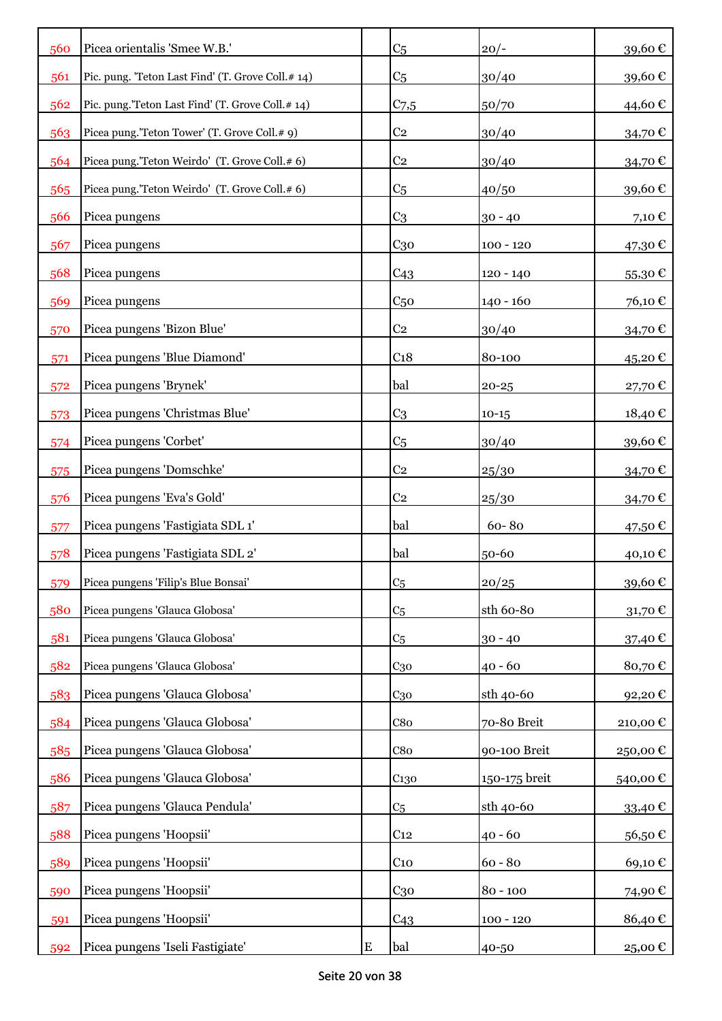| 560 | Picea orientalis 'Smee W.B.'                      |   | C <sub>5</sub>   | $20/-$        | 39,60€   |
|-----|---------------------------------------------------|---|------------------|---------------|----------|
| 561 | Pic. pung. 'Teton Last Find' (T. Grove Coll.# 14) |   | C <sub>5</sub>   | 30/40         | 39,60€   |
| 562 | Pic. pung.'Teton Last Find' (T. Grove Coll.# 14)  |   | $C_{7,5}$        | 50/70         | 44,60€   |
| 563 | Picea pung.'Teton Tower' (T. Grove Coll.# 9)      |   | C <sub>2</sub>   | 30/40         | 34,70€   |
| 564 | Picea pung.'Teton Weirdo' (T. Grove Coll.# 6)     |   | C <sub>2</sub>   | 30/40         | 34,70€   |
| 565 | Picea pung.'Teton Weirdo' (T. Grove Coll.# 6)     |   | C <sub>5</sub>   | 40/50         | 39,60€   |
| 566 | Picea pungens                                     |   | C <sub>3</sub>   | $30 - 40$     | 7,10 €   |
| 567 | Picea pungens                                     |   | $C_{30}$         | $100 - 120$   | 47,30€   |
| 568 | Picea pungens                                     |   | C <sub>43</sub>  | $120 - 140$   | 55,30€   |
| 569 | Picea pungens                                     |   | C <sub>50</sub>  | $140 - 160$   | 76,10€   |
| 570 | Picea pungens 'Bizon Blue'                        |   | C <sub>2</sub>   | 30/40         | 34,70€   |
| 571 | Picea pungens 'Blue Diamond'                      |   | C <sub>18</sub>  | 80-100        | 45,20€   |
| 572 | Picea pungens 'Brynek'                            |   | bal              | $20 - 25$     | 27,70€   |
| 573 | Picea pungens 'Christmas Blue'                    |   | C <sub>3</sub>   | $10-15$       | 18,40€   |
| 574 | Picea pungens 'Corbet'                            |   | C <sub>5</sub>   | 30/40         | 39,60€   |
| 575 | Picea pungens 'Domschke'                          |   | C <sub>2</sub>   | 25/30         | 34,70€   |
| 576 | Picea pungens 'Eva's Gold'                        |   | C <sub>2</sub>   | 25/30         | 34,70€   |
| 577 | Picea pungens 'Fastigiata SDL 1'                  |   | bal              | 60-80         | 47,50 €  |
| 578 | Picea pungens 'Fastigiata SDL 2'                  |   | bal              | 50-60         | 40,10€   |
| 579 | Picea pungens 'Filip's Blue Bonsai'               |   | C <sub>5</sub>   | 20/25         | 39,60€   |
| 580 | Picea pungens 'Glauca Globosa'                    |   | C <sub>5</sub>   | sth 60-80     | 31,70€   |
| 581 | Picea pungens 'Glauca Globosa'                    |   | C <sub>5</sub>   | $30 - 40$     | 37,40 €  |
| 582 | Picea pungens 'Glauca Globosa'                    |   | $C_{30}$         | $40 - 60$     | 80,70€   |
| 583 | Picea pungens 'Glauca Globosa'                    |   | $C_{30}$         | sth 40-60     | 92,20€   |
| 584 | Picea pungens 'Glauca Globosa'                    |   | C8 <sub>0</sub>  | 70-80 Breit   | 210,00 € |
| 585 | Picea pungens 'Glauca Globosa'                    |   | C8 <sub>0</sub>  | 90-100 Breit  | 250,00€  |
| 586 | Picea pungens 'Glauca Globosa'                    |   | C <sub>130</sub> | 150-175 breit | 540,00 € |
| 587 | Picea pungens 'Glauca Pendula'                    |   | C <sub>5</sub>   | sth 40-60     | 33,40€   |
| 588 | Picea pungens 'Hoopsii'                           |   | C <sub>12</sub>  | $40 - 60$     | 56,50€   |
| 589 | Picea pungens 'Hoopsii'                           |   | C <sub>10</sub>  | $60 - 80$     | 69,10€   |
| 590 | Picea pungens 'Hoopsii'                           |   | $C_{30}$         | $80 - 100$    | 74,90€   |
| 591 | Picea pungens 'Hoopsii'                           |   | C <sub>43</sub>  | $100 - 120$   | 86,40€   |
| 592 | Picea pungens 'Iseli Fastigiate'                  | E | bal              | 40-50         | 25,00 €  |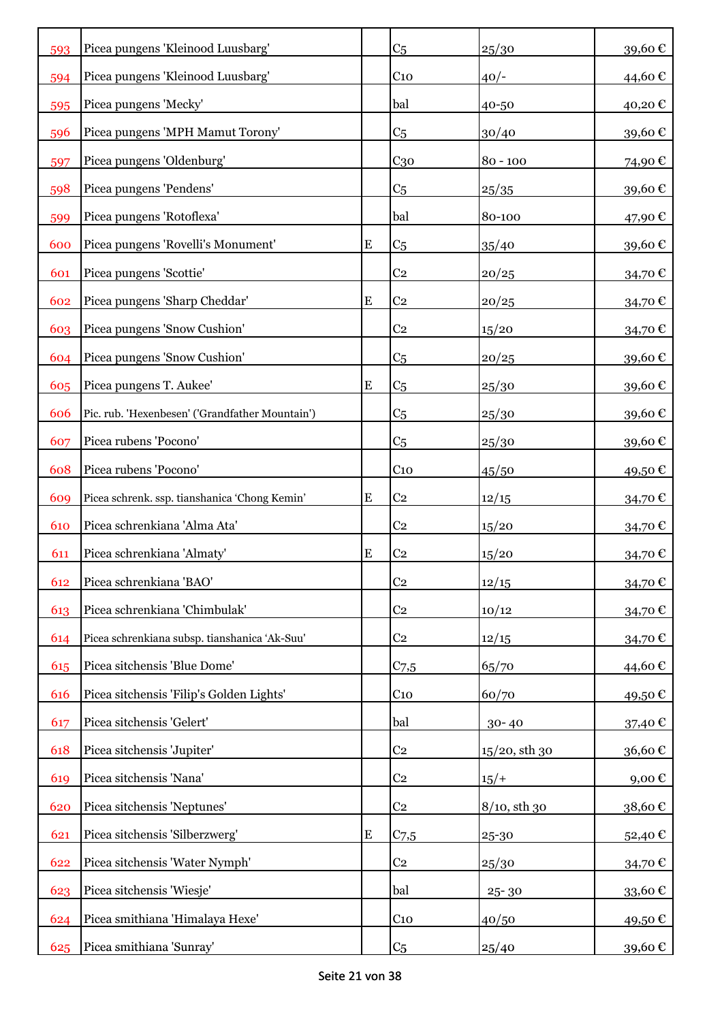| 593 | Picea pungens 'Kleinood Luusbarg'               |           | C <sub>5</sub>  | 25/30         | 39,60€     |
|-----|-------------------------------------------------|-----------|-----------------|---------------|------------|
| 594 | Picea pungens 'Kleinood Luusbarg'               |           | C <sub>10</sub> | $40/-$        | 44,60 €    |
| 595 | Picea pungens 'Mecky'                           |           | bal             | 40-50         | 40,20€     |
| 596 | Picea pungens 'MPH Mamut Torony'                |           | C <sub>5</sub>  | 30/40         | 39,60€     |
| 597 | Picea pungens 'Oldenburg'                       |           | C <sub>30</sub> | $80 - 100$    | 74,90€     |
| 598 | Picea pungens 'Pendens'                         |           | C <sub>5</sub>  | 25/35         | 39,60€     |
| 599 | Picea pungens 'Rotoflexa'                       |           | bal             | 80-100        | 47,90€     |
| 600 | Picea pungens 'Rovelli's Monument'              | ${\bf E}$ | C <sub>5</sub>  | 35/40         | 39,60€     |
| 601 | Picea pungens 'Scottie'                         |           | C <sub>2</sub>  | 20/25         | 34,70€     |
| 602 | Picea pungens 'Sharp Cheddar'                   | E         | C <sub>2</sub>  | 20/25         | 34,70€     |
| 603 | Picea pungens 'Snow Cushion'                    |           | C <sub>2</sub>  | 15/20         | 34,70€     |
| 604 | Picea pungens 'Snow Cushion'                    |           | C <sub>5</sub>  | 20/25         | 39,60€     |
| 605 | Picea pungens T. Aukee'                         | E         | C <sub>5</sub>  | 25/30         | 39,60€     |
| 606 | Pic. rub. 'Hexenbesen' ('Grandfather Mountain') |           | C <sub>5</sub>  | 25/30         | 39,60€     |
| 607 | Picea rubens 'Pocono'                           |           | C <sub>5</sub>  | 25/30         | 39,60€     |
| 608 | Picea rubens 'Pocono'                           |           | C <sub>10</sub> | 45/50         | 49,50€     |
| 609 | Picea schrenk. ssp. tianshanica 'Chong Kemin'   | ${\bf E}$ | C <sub>2</sub>  | 12/15         | 34,70€     |
| 610 | Picea schrenkiana 'Alma Ata'                    |           | C <sub>2</sub>  | 15/20         | 34,70€     |
| 611 | Picea schrenkiana 'Almaty'                      | ${\bf E}$ | C <sub>2</sub>  | 15/20         | 34,70€     |
| 612 | Picea schrenkiana 'BAO'                         |           | C <sub>2</sub>  | 12/15         | 34,70€     |
| 613 | Picea schrenkiana 'Chimbulak'                   |           | C <sub>2</sub>  | 10/12         | 34,70€     |
| 614 | Picea schrenkiana subsp. tianshanica 'Ak-Suu'   |           | C <sub>2</sub>  | 12/15         | 34,70€     |
| 615 | Picea sitchensis 'Blue Dome'                    |           | $C_{7,5}$       | 65/70         | 44,60€     |
| 616 | Picea sitchensis 'Filip's Golden Lights'        |           | C <sub>10</sub> | 60/70         | 49,50€     |
| 617 | Picea sitchensis 'Gelert'                       |           | bal             | $30 - 40$     | 37,40€     |
| 618 | Picea sitchensis 'Jupiter'                      |           | C <sub>2</sub>  | 15/20, sth 30 | 36,60€     |
| 619 | Picea sitchensis 'Nana'                         |           | C <sub>2</sub>  | $15/+$        | $9,00 \in$ |
| 620 | Picea sitchensis 'Neptunes'                     |           | C <sub>2</sub>  | 8/10, sth 30  | 38,60€     |
| 621 | Picea sitchensis 'Silberzwerg'                  | ${\bf E}$ | $C_{7,5}$       | 25-30         | 52,40€     |
| 622 | Picea sitchensis 'Water Nymph'                  |           | C <sub>2</sub>  | 25/30         | 34,70€     |
| 623 | Picea sitchensis 'Wiesje'                       |           | bal             | $25 - 30$     | 33,60€     |
| 624 | Picea smithiana 'Himalaya Hexe'                 |           | C <sub>10</sub> | 40/50         | 49,50€     |
| 625 | Picea smithiana 'Sunray'                        |           | C <sub>5</sub>  | 25/40         | 39,60€     |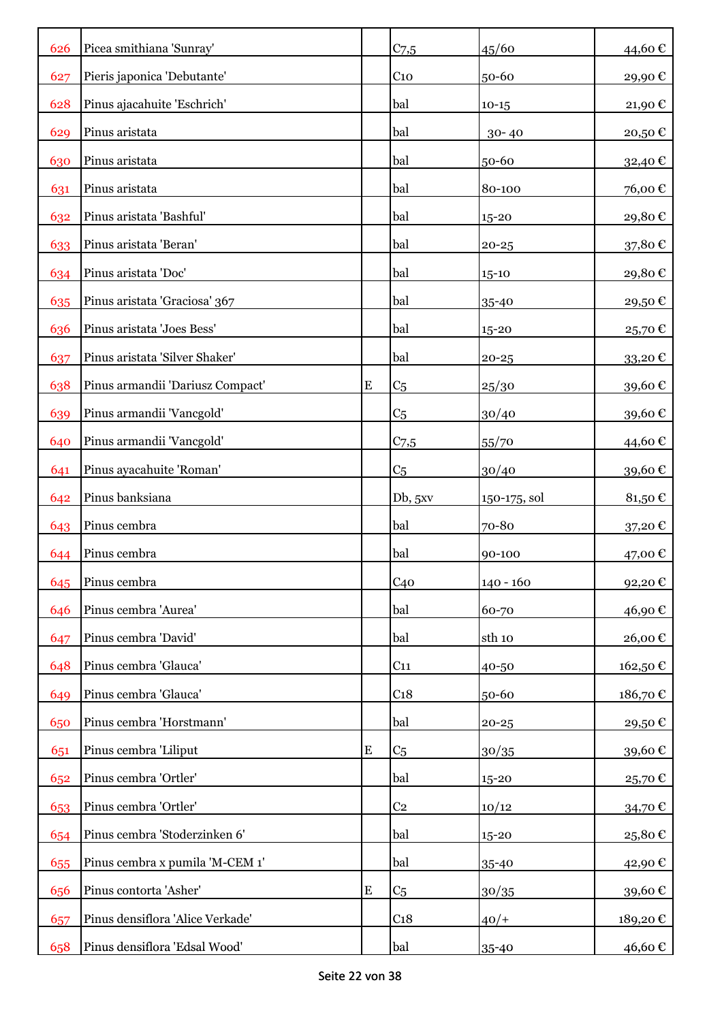| 626 | Picea smithiana 'Sunray'         |           | $C$ 7,5         | 45/60        | 44,60€  |
|-----|----------------------------------|-----------|-----------------|--------------|---------|
| 627 | Pieris japonica 'Debutante'      |           | $C_{10}$        | 50-60        | 29,90€  |
| 628 | Pinus ajacahuite 'Eschrich'      |           | bal             | $10 - 15$    | 21,90€  |
| 629 | Pinus aristata                   |           | bal             | $30 - 40$    | 20,50€  |
| 630 | Pinus aristata                   |           | bal             | 50-60        | 32,40€  |
| 631 | Pinus aristata                   |           | bal             | 80-100       | 76,00€  |
| 632 | Pinus aristata 'Bashful'         |           | bal             | 15-20        | 29,80€  |
| 633 | Pinus aristata 'Beran'           |           | bal             | $20 - 25$    | 37,80€  |
|     |                                  |           |                 |              |         |
| 634 | Pinus aristata 'Doc'             |           | bal             | $15 - 10$    | 29,80€  |
| 635 | Pinus aristata 'Graciosa' 367    |           | bal             | $35 - 40$    | 29,50€  |
| 636 | Pinus aristata 'Joes Bess'       |           | bal             | 15-20        | 25,70€  |
| 637 | Pinus aristata 'Silver Shaker'   |           | bal             | $20 - 25$    | 33,20€  |
| 638 | Pinus armandii 'Dariusz Compact' | ${\bf E}$ | C <sub>5</sub>  | 25/30        | 39,60€  |
| 639 | Pinus armandii 'Vancgold'        |           | C <sub>5</sub>  | 30/40        | 39,60€  |
| 640 | Pinus armandii 'Vancgold'        |           | $C_{7,5}$       | 55/70        | 44,60€  |
| 641 | Pinus ayacahuite 'Roman'         |           | C <sub>5</sub>  | 30/40        | 39,60€  |
| 642 | Pinus banksiana                  |           | Db, 5xy         | 150-175, sol | 81,50€  |
| 643 | Pinus cembra                     |           | bal             | 70-80        | 37,20€  |
| 644 | Pinus cembra                     |           | bal             | 90-100       | 47,00€  |
| 645 | Pinus cembra                     |           | C40             | 140 - 160    | 92,20€  |
| 646 | Pinus cembra 'Aurea'             |           | bal             | 60-70        | 46,90€  |
| 647 | Pinus cembra 'David'             |           | bal             | sth 10       | 26,00€  |
| 648 | Pinus cembra 'Glauca'            |           | C <sub>11</sub> | 40-50        | 162,50€ |
| 649 | Pinus cembra 'Glauca'            |           | C <sub>18</sub> | 50-60        | 186,70€ |
| 650 | Pinus cembra 'Horstmann'         |           | bal             | $20 - 25$    | 29,50€  |
| 651 | Pinus cembra 'Liliput            | ${\bf E}$ | C <sub>5</sub>  | 30/35        | 39,60€  |
| 652 | Pinus cembra 'Ortler'            |           | bal             | 15-20        | 25,70€  |
| 653 | Pinus cembra 'Ortler'            |           | C <sub>2</sub>  | 10/12        | 34,70€  |
| 654 | Pinus cembra 'Stoderzinken 6'    |           | bal             | 15-20        | 25,80€  |
| 655 | Pinus cembra x pumila 'M-CEM 1'  |           | bal             | 35-40        | 42,90€  |
| 656 | Pinus contorta 'Asher'           | E         | C <sub>5</sub>  | 30/35        | 39,60€  |
| 657 | Pinus densiflora 'Alice Verkade' |           | C <sub>18</sub> | $40/+$       | 189,20€ |
| 658 | Pinus densiflora 'Edsal Wood'    |           | bal             | 35-40        | 46,60 € |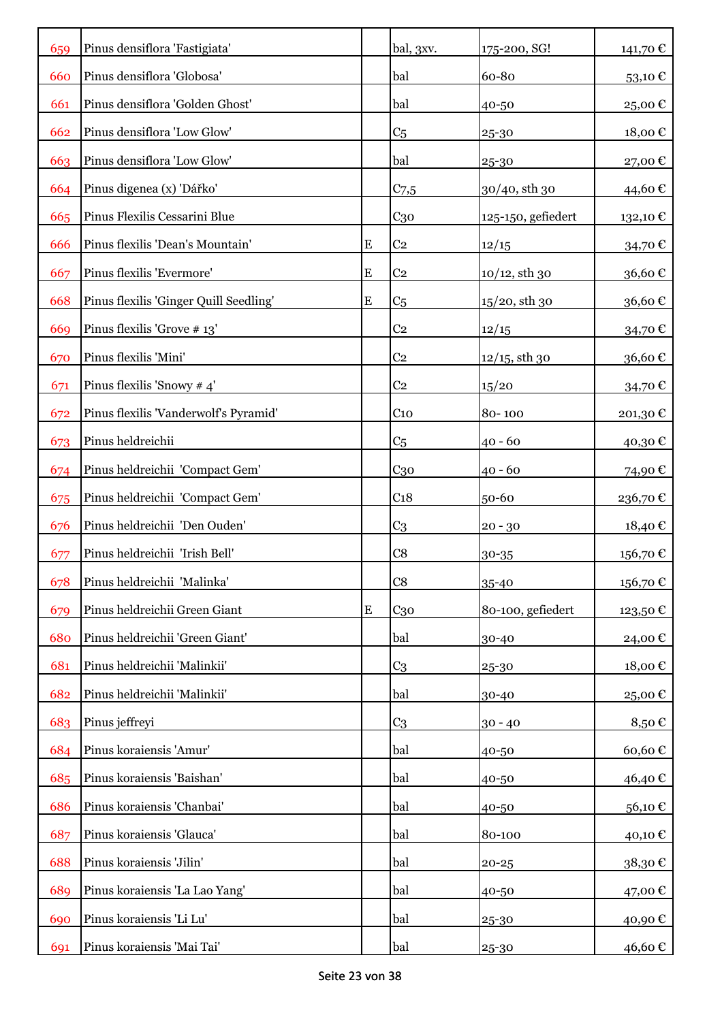| 659 | Pinus densiflora 'Fastigiata'          |           | bal, 3xv.       | 175-200, SG!       | 141,70€  |
|-----|----------------------------------------|-----------|-----------------|--------------------|----------|
| 660 | Pinus densiflora 'Globosa'             |           | bal             | 60-80              | 53,10€   |
| 661 | Pinus densiflora 'Golden Ghost'        |           | bal             | 40-50              | 25,00€   |
| 662 | Pinus densiflora 'Low Glow'            |           | C <sub>5</sub>  | 25-30              | 18,00€   |
| 663 | Pinus densiflora 'Low Glow'            |           | bal             | 25-30              | 27,00€   |
| 664 | Pinus digenea (x) 'Dářko'              |           | $C_{7,5}$       | 30/40, sth 30      | 44,60 €  |
| 665 | Pinus Flexilis Cessarini Blue          |           | C <sub>30</sub> | 125-150, gefiedert | 132,10€  |
| 666 | Pinus flexilis 'Dean's Mountain'       | E         | C <sub>2</sub>  | 12/15              | 34,70 €  |
| 667 | Pinus flexilis 'Evermore'              | E         | C <sub>2</sub>  | $10/12$ , sth 30   | 36,60€   |
| 668 | Pinus flexilis 'Ginger Quill Seedling' | E         | C <sub>5</sub>  | $15/20$ , sth 30   | 36,60€   |
| 669 | Pinus flexilis 'Grove # 13'            |           | C <sub>2</sub>  | 12/15              | 34,70€   |
| 670 | Pinus flexilis 'Mini'                  |           | C <sub>2</sub>  | $12/15$ , sth 30   | 36,60€   |
| 671 | Pinus flexilis 'Snowy # 4'             |           | C <sub>2</sub>  | 15/20              | 34,70€   |
| 672 | Pinus flexilis 'Vanderwolf's Pyramid'  |           | C <sub>10</sub> | 80-100             | 201,30€  |
| 673 | Pinus heldreichii                      |           | C <sub>5</sub>  | $40 - 60$          | 40,30€   |
| 674 | Pinus heldreichii 'Compact Gem'        |           | C <sub>30</sub> | $40 - 60$          | 74,90€   |
| 675 | Pinus heldreichii 'Compact Gem'        |           | C <sub>18</sub> | 50-60              | 236,70€  |
| 676 | Pinus heldreichii 'Den Ouden'          |           | C <sub>3</sub>  | $20 - 30$          | 18,40€   |
| 677 | Pinus heldreichii 'Irish Bell'         |           | C8              | 30-35              | 156,70€  |
| 678 | Pinus heldreichii 'Malinka'            |           | C8              | 35-40              | 156,70€  |
| 679 | Pinus heldreichii Green Giant          | ${\bf E}$ | $C_{30}$        | 80-100, gefiedert  | 123,50 € |
| 680 | Pinus heldreichii 'Green Giant'        |           | bal             | 30-40              | 24,00€   |
| 681 | Pinus heldreichii 'Malinkii'           |           | C <sub>3</sub>  | 25-30              | 18,00€   |
| 682 | Pinus heldreichii 'Malinkii'           |           | bal             | 30-40              | 25,00€   |
| 683 | Pinus jeffreyi                         |           | C <sub>3</sub>  | $30 - 40$          | 8,50€    |
| 684 | Pinus koraiensis 'Amur'                |           | bal             | 40-50              | 60,60€   |
| 685 | Pinus koraiensis 'Baishan'             |           | bal             | 40-50              | 46,40€   |
| 686 | Pinus koraiensis 'Chanbai'             |           | bal             | 40-50              | 56,10€   |
| 687 | Pinus koraiensis 'Glauca'              |           | bal             | 80-100             | 40,10 €  |
| 688 | Pinus koraiensis 'Jilin'               |           | bal             | $20 - 25$          | 38,30€   |
| 689 | Pinus koraiensis 'La Lao Yang'         |           | bal             | 40-50              | 47,00 €  |
| 690 | Pinus koraiensis 'Li Lu'               |           | bal             | 25-30              | 40,90€   |
| 691 | Pinus koraiensis 'Mai Tai'             |           | bal             | 25-30              | 46,60€   |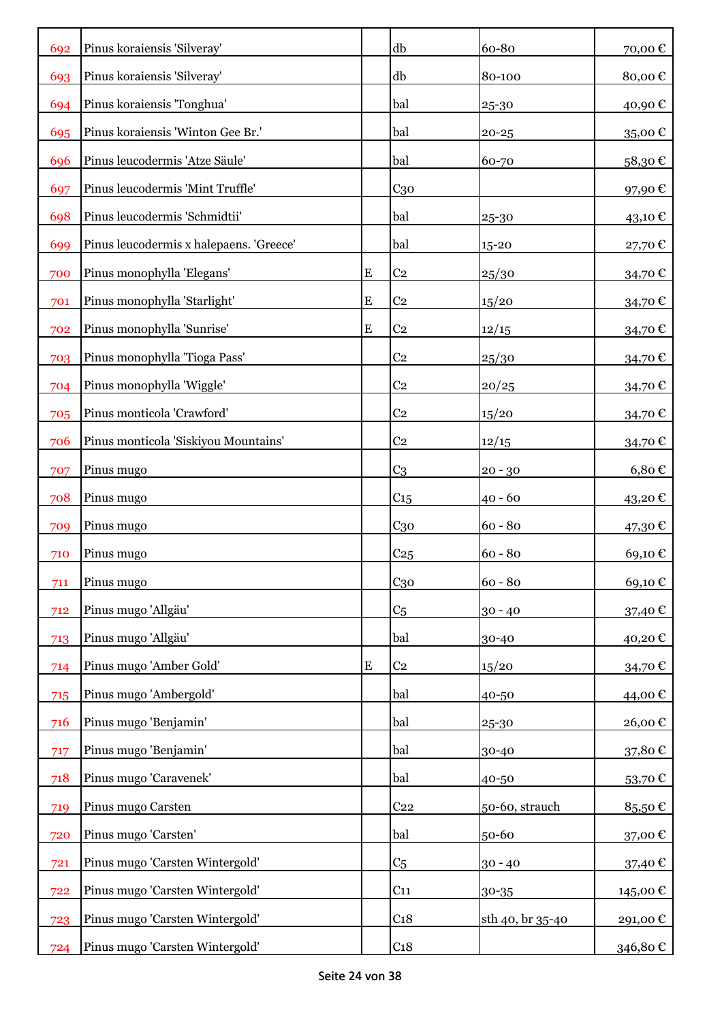| 692 | Pinus koraiensis 'Silveray'             |           | db              | 60-80            | 70,00€            |
|-----|-----------------------------------------|-----------|-----------------|------------------|-------------------|
| 693 | Pinus koraiensis 'Silveray'             |           | db              | 80-100           | 80,00€            |
| 694 | Pinus koraiensis 'Tonghua'              |           | bal             | 25-30            | 40,90€            |
| 695 | Pinus koraiensis 'Winton Gee Br.'       |           | bal             | $20 - 25$        | 35,00€            |
| 696 | Pinus leucodermis 'Atze Säule'          |           | bal             | 60-70            | 58,30€            |
| 697 | Pinus leucodermis 'Mint Truffle'        |           | $C_{30}$        |                  | 97,90€            |
| 698 | Pinus leucodermis 'Schmidtii'           |           | bal             | 25-30            | 43,10€            |
| 699 | Pinus leucodermis x halepaens. 'Greece' |           | bal             | 15-20            | 27,70€            |
| 700 | Pinus monophylla 'Elegans'              | E         | C <sub>2</sub>  | 25/30            | 34,70€            |
| 701 | Pinus monophylla 'Starlight'            | E         | C <sub>2</sub>  | 15/20            | 34,70€            |
| 702 | Pinus monophylla 'Sunrise'              | E         | C <sub>2</sub>  | 12/15            | 34,70€            |
| 703 | Pinus monophylla 'Tioga Pass'           |           | C <sub>2</sub>  | 25/30            | 34,70€            |
| 704 | Pinus monophylla 'Wiggle'               |           | C <sub>2</sub>  | 20/25            | 34,70€            |
| 705 | Pinus monticola 'Crawford'              |           | C <sub>2</sub>  | 15/20            | 34,70€            |
| 706 | Pinus monticola 'Siskiyou Mountains'    |           | C <sub>2</sub>  | 12/15            | 34,70€            |
| 707 | Pinus mugo                              |           | C <sub>3</sub>  | $20 - 30$        | $6,80 \in$        |
| 708 | Pinus mugo                              |           | C <sub>15</sub> | $40 - 60$        | 43,20€            |
| 709 | Pinus mugo                              |           | C <sub>30</sub> | $60 - 80$        | 47,30 €           |
| 710 | Pinus mugo                              |           | C <sub>25</sub> | $60 - 80$        | 69,10€            |
| 711 | Pinus mugo                              |           | C <sub>30</sub> | $60 - 80$        | 69,10€            |
| 712 | Pinus mugo 'Allgäu'                     |           | C <sub>5</sub>  | $30 - 40$        | 37,40 €           |
| 713 | Pinus mugo 'Allgäu'                     |           | bal             | 30-40            | 40,20€            |
| 714 | Pinus mugo 'Amber Gold'                 | ${\bf E}$ | C <sub>2</sub>  | 15/20            | 34,70€            |
| 715 | Pinus mugo 'Ambergold'                  |           | bal             | 40-50            | 44,00€            |
| 716 | Pinus mugo 'Benjamin'                   |           | bal             | 25-30            | 26,00€            |
| 717 | Pinus mugo 'Benjamin'                   |           | bal             | 30-40            | 37,80€            |
| 718 | Pinus mugo 'Caravenek'                  |           | bal             | 40-50            | 53,70€            |
| 719 | Pinus mugo Carsten                      |           | C <sub>22</sub> | 50-60, strauch   | 85,50€            |
| 720 | Pinus mugo 'Carsten'                    |           | bal             | 50-60            | 37,00 $\mathbb C$ |
| 721 | Pinus mugo 'Carsten Wintergold'         |           | C <sub>5</sub>  | $30 - 40$        | 37,40€            |
| 722 | Pinus mugo 'Carsten Wintergold'         |           | C <sub>11</sub> | 30-35            | 145,00 €          |
| 723 | Pinus mugo 'Carsten Wintergold'         |           | C <sub>18</sub> | sth 40, br 35-40 | 291,00 €          |
| 724 | Pinus mugo 'Carsten Wintergold'         |           | C <sub>18</sub> |                  | 346,80 €          |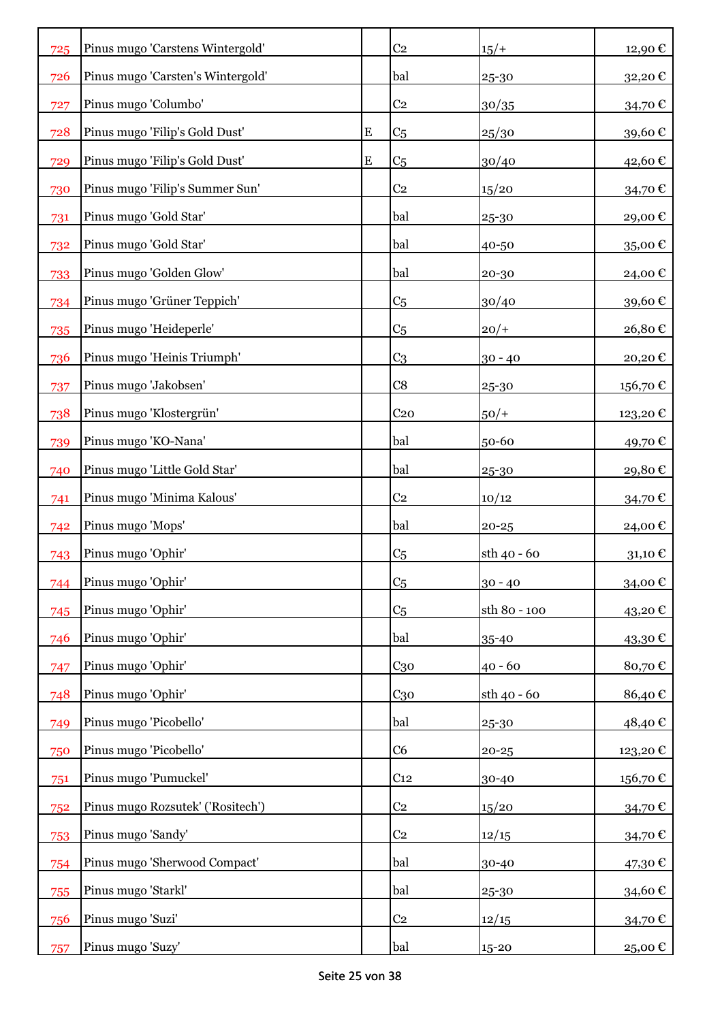| 725 | Pinus mugo 'Carstens Wintergold'  |           | C <sub>2</sub>  | $15/+$       | 12,90€  |
|-----|-----------------------------------|-----------|-----------------|--------------|---------|
| 726 | Pinus mugo 'Carsten's Wintergold' |           | bal             | 25-30        | 32,20€  |
| 727 | Pinus mugo 'Columbo'              |           | C <sub>2</sub>  | 30/35        | 34,70€  |
| 728 | Pinus mugo 'Filip's Gold Dust'    | ${\bf E}$ | C <sub>5</sub>  | 25/30        | 39,60€  |
| 729 | Pinus mugo 'Filip's Gold Dust'    | ${\bf E}$ | C <sub>5</sub>  | 30/40        | 42,60€  |
| 730 | Pinus mugo 'Filip's Summer Sun'   |           | C <sub>2</sub>  | 15/20        | 34,70€  |
| 731 | Pinus mugo 'Gold Star'            |           | bal             | 25-30        | 29,00€  |
| 732 | Pinus mugo 'Gold Star'            |           | bal             | 40-50        | 35,00€  |
| 733 | Pinus mugo 'Golden Glow'          |           | bal             | 20-30        | 24,00€  |
| 734 | Pinus mugo 'Grüner Teppich'       |           | C <sub>5</sub>  | 30/40        | 39,60€  |
| 735 | Pinus mugo 'Heideperle'           |           | C <sub>5</sub>  | $20/+$       | 26,80€  |
| 736 | Pinus mugo 'Heinis Triumph'       |           | C <sub>3</sub>  | $30 - 40$    | 20,20€  |
| 737 | Pinus mugo 'Jakobsen'             |           | C8              | $25 - 30$    | 156,70€ |
| 738 | Pinus mugo 'Klostergrün'          |           | C <sub>20</sub> | $50/+$       | 123,20€ |
| 739 | Pinus mugo 'KO-Nana'              |           | bal             | 50-60        | 49,70€  |
| 740 | Pinus mugo 'Little Gold Star'     |           | bal             | 25-30        | 29,80€  |
| 741 | Pinus mugo 'Minima Kalous'        |           | C <sub>2</sub>  | 10/12        | 34,70€  |
| 742 | Pinus mugo 'Mops'                 |           | bal             | $20 - 25$    | 24,00€  |
| 743 | Pinus mugo 'Ophir'                |           | C <sub>5</sub>  | sth 40 - 60  | 31,10€  |
| 744 | Pinus mugo 'Ophir'                |           | C <sub>5</sub>  | $30 - 40$    | 34,00€  |
| 745 | Pinus mugo 'Ophir'                |           | C <sub>5</sub>  | sth 80 - 100 | 43,20€  |
| 746 | Pinus mugo 'Ophir'                |           | bal             | 35-40        | 43,30€  |
| 747 | Pinus mugo 'Ophir'                |           | $C_{30}$        | $40 - 60$    | 80,70€  |
| 748 | Pinus mugo 'Ophir'                |           | C <sub>30</sub> | sth 40 - 60  | 86,40€  |
| 749 | Pinus mugo 'Picobello'            |           | bal             | 25-30        | 48,40€  |
| 750 | Pinus mugo 'Picobello'            |           | C6              | $20 - 25$    | 123,20€ |
| 751 | Pinus mugo 'Pumuckel'             |           | C <sub>12</sub> | 30-40        | 156,70€ |
| 752 | Pinus mugo Rozsutek' ('Rositech') |           | C <sub>2</sub>  | 15/20        | 34,70€  |
| 753 | Pinus mugo 'Sandy'                |           | C <sub>2</sub>  | 12/15        | 34,70€  |
| 754 | Pinus mugo 'Sherwood Compact'     |           | bal             | 30-40        | 47,30€  |
| 755 | Pinus mugo 'Starkl'               |           | bal             | 25-30        | 34,60€  |
| 756 | Pinus mugo 'Suzi'                 |           | C <sub>2</sub>  | 12/15        | 34,70 € |
| 757 | Pinus mugo 'Suzy'                 |           | bal             | 15-20        | 25,00 € |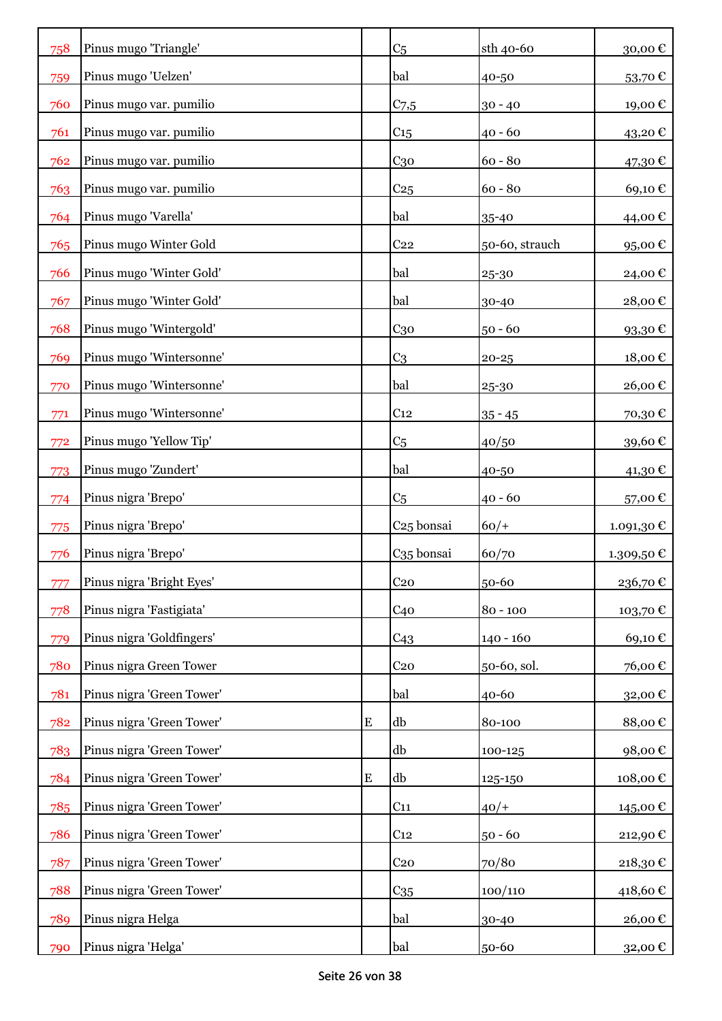| 758 | Pinus mugo 'Triangle'     |           | C <sub>5</sub>         | sth 40-60      | 30,00 $\mathbf \epsilon$ |
|-----|---------------------------|-----------|------------------------|----------------|--------------------------|
| 759 | Pinus mugo 'Uelzen'       |           | bal                    | 40-50          | 53,70€                   |
| 760 | Pinus mugo var. pumilio   |           | $C_{7,5}$              | $30 - 40$      | 19,00€                   |
| 761 | Pinus mugo var. pumilio   |           | C <sub>15</sub>        | $40 - 60$      | 43,20€                   |
| 762 | Pinus mugo var. pumilio   |           | $C_{30}$               | $60 - 80$      | 47,30€                   |
| 763 | Pinus mugo var. pumilio   |           | C <sub>25</sub>        | $60 - 80$      | 69,10€                   |
| 764 | Pinus mugo 'Varella'      |           | bal                    | 35-40          | 44,00€                   |
| 765 | Pinus mugo Winter Gold    |           | C <sub>22</sub>        | 50-60, strauch | 95,00€                   |
| 766 | Pinus mugo 'Winter Gold'  |           | bal                    | 25-30          | 24,00 €                  |
| 767 | Pinus mugo 'Winter Gold'  |           | bal                    | 30-40          | 28,00€                   |
| 768 | Pinus mugo 'Wintergold'   |           | $C_{30}$               | $50 - 60$      | 93,30€                   |
| 769 | Pinus mugo 'Wintersonne'  |           | C <sub>3</sub>         | $20 - 25$      | 18,00€                   |
| 770 | Pinus mugo 'Wintersonne'  |           | bal                    | 25-30          | 26,00€                   |
| 771 | Pinus mugo 'Wintersonne'  |           | C <sub>12</sub>        | $35 - 45$      | 70,30€                   |
| 772 | Pinus mugo 'Yellow Tip'   |           | C <sub>5</sub>         | 40/50          | 39,60€                   |
| 773 | Pinus mugo 'Zundert'      |           | bal                    | 40-50          | 41,30 €                  |
| 774 | Pinus nigra 'Brepo'       |           | C <sub>5</sub>         | $40 - 60$      | 57,00€                   |
| 775 | Pinus nigra 'Brepo'       |           | C <sub>25</sub> bonsai | $60/+$         | 1.091,30 €               |
| 776 | Pinus nigra 'Brepo'       |           | C <sub>35</sub> bonsai | 60/70          | 1.309,50 €               |
| 777 | Pinus nigra 'Bright Eyes' |           | C <sub>20</sub>        | 50-60          | 236,70€                  |
| 778 | Pinus nigra 'Fastigiata'  |           | C40                    | $80 - 100$     | 103,70€                  |
| 779 | Pinus nigra 'Goldfingers' |           | C43                    | $140 - 160$    | 69,10€                   |
| 780 | Pinus nigra Green Tower   |           | C <sub>20</sub>        | 50-60, sol.    | 76,00€                   |
| 781 | Pinus nigra 'Green Tower' |           | bal                    | 40-60          | 32,00 €                  |
| 782 | Pinus nigra 'Green Tower' | ${\bf E}$ | db                     | 80-100         | 88,00€                   |
| 783 | Pinus nigra 'Green Tower' |           | db                     | 100-125        | 98,00€                   |
| 784 | Pinus nigra 'Green Tower' | ${\bf E}$ | db                     | 125-150        | 108,00€                  |
| 785 | Pinus nigra 'Green Tower' |           | C <sub>11</sub>        | $40/+$         | 145,00€                  |
| 786 | Pinus nigra 'Green Tower' |           | C <sub>12</sub>        | $50 - 60$      | 212,90€                  |
| 787 | Pinus nigra 'Green Tower' |           | $C_{20}$               | 70/80          | 218,30€                  |
| 788 | Pinus nigra 'Green Tower' |           | C <sub>35</sub>        | 100/110        | 418,60€                  |
| 789 | Pinus nigra Helga         |           | bal                    | 30-40          | 26,00€                   |
| 790 | Pinus nigra 'Helga'       |           | bal                    | 50-60          | 32,00€                   |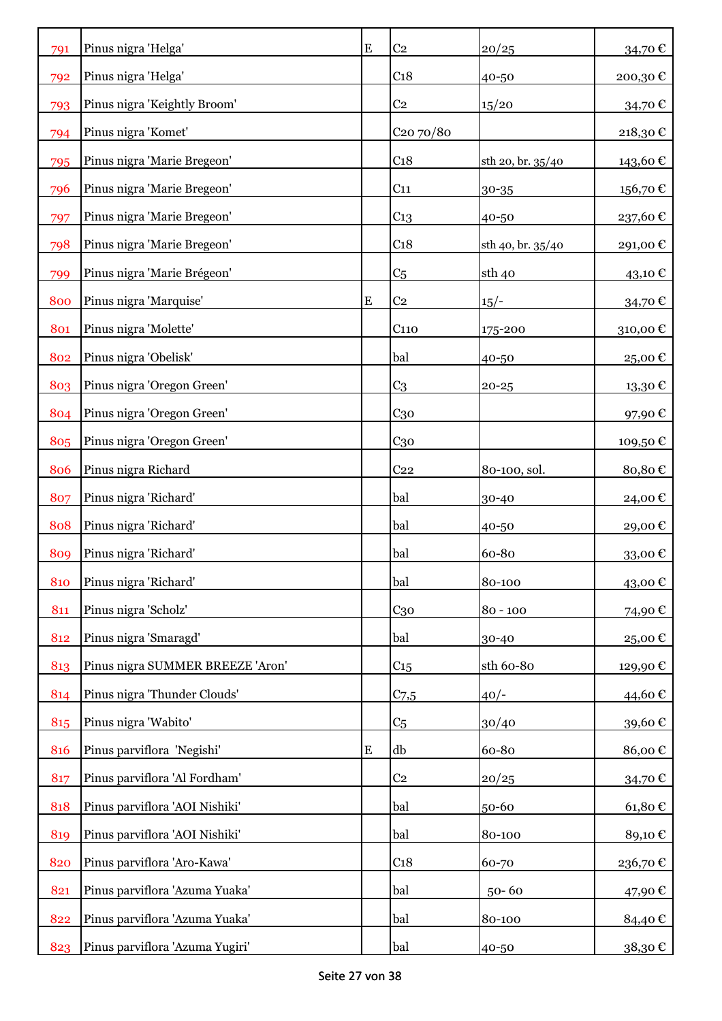| 791 | Pinus nigra 'Helga'              | E         | C <sub>2</sub>        | 20/25             | 34,70€         |
|-----|----------------------------------|-----------|-----------------------|-------------------|----------------|
| 792 | Pinus nigra 'Helga'              |           | C <sub>18</sub>       | 40-50             | 200,30€        |
| 793 | Pinus nigra 'Keightly Broom'     |           | C <sub>2</sub>        | 15/20             | 34,70€         |
| 794 | Pinus nigra 'Komet'              |           | C <sub>20</sub> 70/80 |                   | 218,30€        |
| 795 | Pinus nigra 'Marie Bregeon'      |           | C <sub>18</sub>       | sth 20, br. 35/40 | 143,60€        |
| 796 | Pinus nigra 'Marie Bregeon'      |           | C <sub>11</sub>       | 30-35             | $156{,}70 \in$ |
| 797 | Pinus nigra 'Marie Bregeon'      |           | $C_{13}$              | 40-50             | 237,60€        |
| 798 | Pinus nigra 'Marie Bregeon'      |           | C <sub>18</sub>       | sth 40, br. 35/40 | 291,00€        |
| 799 | Pinus nigra 'Marie Brégeon'      |           | C <sub>5</sub>        | sth 40            | 43,10 €        |
| 800 | Pinus nigra 'Marquise'           | E         | C <sub>2</sub>        | $15/-$            | 34,70€         |
| 801 | Pinus nigra 'Molette'            |           | C <sub>110</sub>      | 175-200           | 310,00€        |
| 802 | Pinus nigra 'Obelisk'            |           | bal                   | 40-50             | 25,00 €        |
| 803 | Pinus nigra 'Oregon Green'       |           | C <sub>3</sub>        | $20 - 25$         | 13,30€         |
| 804 | Pinus nigra 'Oregon Green'       |           | C <sub>30</sub>       |                   | 97,90€         |
| 805 | Pinus nigra 'Oregon Green'       |           | C <sub>30</sub>       |                   | 109,50€        |
| 806 | Pinus nigra Richard              |           | C <sub>22</sub>       | 80-100, sol.      | 80,80€         |
| 807 | Pinus nigra 'Richard'            |           | bal                   | 30-40             | 24,00 €        |
| 808 | Pinus nigra 'Richard'            |           | bal                   | 40-50             | 29,00€         |
| 809 | Pinus nigra 'Richard'            |           | bal                   | 60-80             | 33,00€         |
| 810 | Pinus nigra 'Richard'            |           | bal                   | 80-100            | 43,00€         |
| 811 | Pinus nigra 'Scholz'             |           | C <sub>30</sub>       | $80 - 100$        | 74,90€         |
| 812 | Pinus nigra 'Smaragd'            |           | bal                   | 30-40             | 25,00€         |
| 813 | Pinus nigra SUMMER BREEZE 'Aron' |           | C <sub>15</sub>       | sth 60-80         | 129,90€        |
| 814 | Pinus nigra 'Thunder Clouds'     |           | $C_{7,5}$             | $40/-$            | 44,60€         |
| 815 | Pinus nigra 'Wabito'             |           | C <sub>5</sub>        | 30/40             | 39,60€         |
| 816 | Pinus parviflora 'Negishi'       | ${\bf E}$ | db                    | 60-80             | 86,00€         |
| 817 | Pinus parviflora 'Al Fordham'    |           | C <sub>2</sub>        | 20/25             | 34,70€         |
| 818 | Pinus parviflora 'AOI Nishiki'   |           | bal                   | 50-60             | 61,80€         |
| 819 | Pinus parviflora 'AOI Nishiki'   |           | bal                   | 80-100            | 89,10€         |
| 820 | Pinus parviflora 'Aro-Kawa'      |           | C <sub>18</sub>       | 60-70             | 236,70€        |
| 821 | Pinus parviflora 'Azuma Yuaka'   |           | bal                   | $50 - 60$         | 47,90 €        |
| 822 | Pinus parviflora 'Azuma Yuaka'   |           | bal                   | 80-100            | 84,40€         |
| 823 | Pinus parviflora 'Azuma Yugiri'  |           | bal                   | 40-50             | 38,30 €        |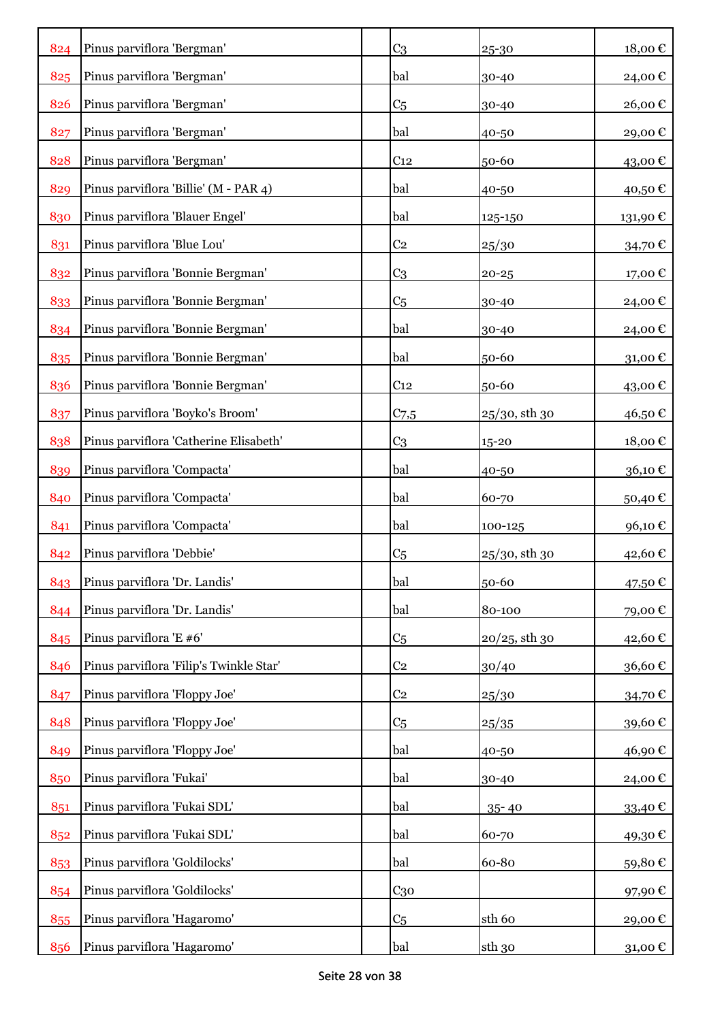| 824 | Pinus parviflora 'Bergman'              | C <sub>3</sub>  | 25-30            | 18,00€  |
|-----|-----------------------------------------|-----------------|------------------|---------|
| 825 | Pinus parviflora 'Bergman'              | bal             | 30-40            | 24,00€  |
| 826 | Pinus parviflora 'Bergman'              | C <sub>5</sub>  | 30-40            | 26,00€  |
| 827 | Pinus parviflora 'Bergman'              | bal             | 40-50            | 29,00€  |
| 828 | Pinus parviflora 'Bergman'              | C <sub>12</sub> | 50-60            | 43,00€  |
| 829 | Pinus parviflora 'Billie' (M - PAR 4)   | bal             | 40-50            | 40,50€  |
| 830 | Pinus parviflora 'Blauer Engel'         | bal             | 125-150          | 131,90€ |
| 831 | Pinus parviflora 'Blue Lou'             | C <sub>2</sub>  | 25/30            | 34,70€  |
| 832 | Pinus parviflora 'Bonnie Bergman'       | C <sub>3</sub>  | 20-25            | 17,00€  |
| 833 | Pinus parviflora 'Bonnie Bergman'       | C <sub>5</sub>  | 30-40            | 24,00 € |
| 834 | Pinus parviflora 'Bonnie Bergman'       | bal             | 30-40            | 24,00€  |
| 835 | Pinus parviflora 'Bonnie Bergman'       | bal             | 50-60            | 31,00€  |
| 836 | Pinus parviflora 'Bonnie Bergman'       | C <sub>12</sub> | 50-60            | 43,00€  |
| 837 | Pinus parviflora 'Boyko's Broom'        | $C_{7,5}$       | $25/30$ , sth 30 | 46,50€  |
| 838 | Pinus parviflora 'Catherine Elisabeth'  | C <sub>3</sub>  | 15-20            | 18,00€  |
| 839 | Pinus parviflora 'Compacta'             | bal             | 40-50            | 36,10€  |
| 840 | Pinus parviflora 'Compacta'             | bal             | 60-70            | 50,40€  |
| 841 | Pinus parviflora 'Compacta'             | bal             | 100-125          | 96,10€  |
| 842 | Pinus parviflora 'Debbie'               | C <sub>5</sub>  | $25/30$ , sth 30 | 42,60€  |
| 843 | Pinus parviflora 'Dr. Landis'           | bal             | 50-60            | 47,50€  |
| 844 | Pinus parviflora 'Dr. Landis'           | bal             | 80-100           | 79,00€  |
| 845 | Pinus parviflora 'E #6'                 | C <sub>5</sub>  | $20/25$ , sth 30 | 42,60€  |
| 846 | Pinus parviflora 'Filip's Twinkle Star' | C <sub>2</sub>  | 30/40            | 36,60€  |
| 847 | Pinus parviflora 'Floppy Joe'           | C <sub>2</sub>  | 25/30            | 34,70€  |
| 848 | Pinus parviflora 'Floppy Joe'           | C <sub>5</sub>  | 25/35            | 39,60€  |
| 849 | Pinus parviflora 'Floppy Joe'           | bal             | 40-50            | 46,90€  |
| 850 | Pinus parviflora 'Fukai'                | bal             | 30-40            | 24,00€  |
| 851 | Pinus parviflora 'Fukai SDL'            | bal             | 35-40            | 33,40€  |
| 852 | Pinus parviflora 'Fukai SDL'            | bal             | 60-70            | 49,30€  |
| 853 | Pinus parviflora 'Goldilocks'           | bal             | 60-80            | 59,80€  |
| 854 | Pinus parviflora 'Goldilocks'           | $C_{30}$        |                  | 97,90€  |
| 855 | Pinus parviflora 'Hagaromo'             | C <sub>5</sub>  | sth 60           | 29,00€  |
| 856 | Pinus parviflora 'Hagaromo'             | bal             | sth 30           | 31,00 € |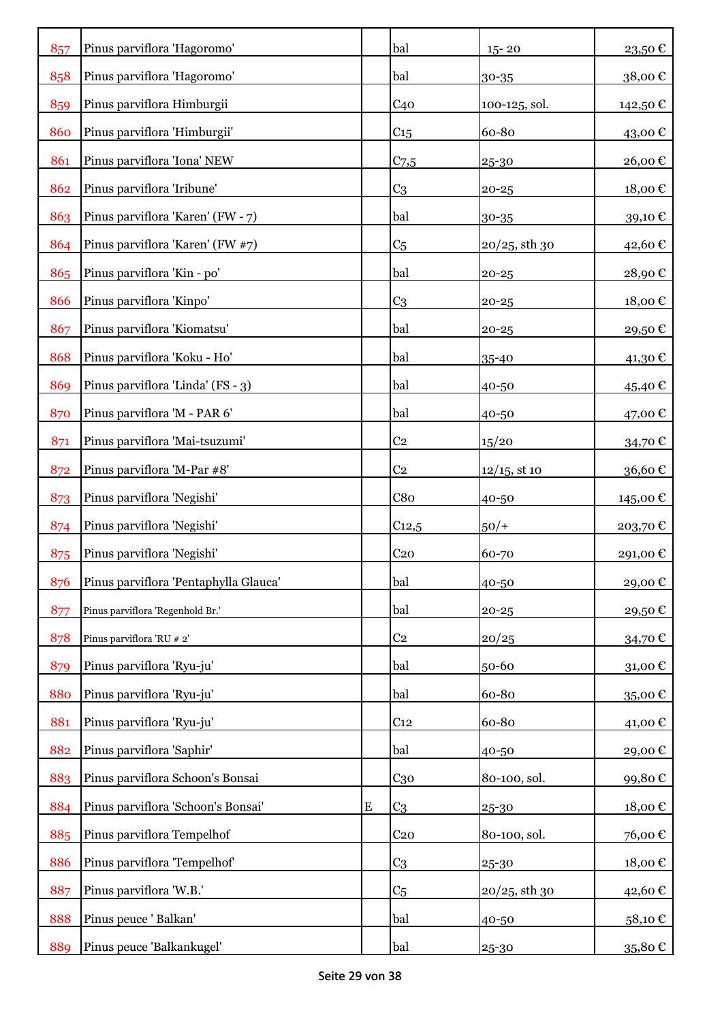| 857 | Pinus parviflora 'Hagoromo'           |           | bal             | $15 - 20$        | 23,50€                     |
|-----|---------------------------------------|-----------|-----------------|------------------|----------------------------|
| 858 | Pinus parviflora 'Hagoromo'           |           | bal             | 30-35            | 38,00€                     |
| 859 | Pinus parviflora Himburgii            |           | C <sub>40</sub> | 100-125, sol.    | 142,50€                    |
| 860 | Pinus parviflora 'Himburgii'          |           | C <sub>15</sub> | 60-80            | 43,00€                     |
| 861 | Pinus parviflora 'Iona' NEW           |           | $C_{7,5}$       | 25-30            | 26,00€                     |
| 862 | Pinus parviflora 'Iribune'            |           | C <sub>3</sub>  | $20 - 25$        | 18,00€                     |
| 863 | Pinus parviflora 'Karen' (FW - 7)     |           | bal             | 30-35            | 39,10€                     |
| 864 | Pinus parviflora 'Karen' (FW #7)      |           | C <sub>5</sub>  | $20/25$ , sth 30 | 42,60 €                    |
| 865 | Pinus parviflora 'Kin - po'           |           | bal             | $20 - 25$        | 28,90€                     |
| 866 | Pinus parviflora 'Kinpo'              |           | C <sub>3</sub>  | $20 - 25$        | 18,00€                     |
| 867 | Pinus parviflora 'Kiomatsu'           |           | bal             | $20 - 25$        | 29,50€                     |
| 868 | Pinus parviflora 'Koku - Ho'          |           | bal             | 35-40            | 41,30€                     |
| 869 | Pinus parviflora 'Linda' (FS - 3)     |           | bal             | 40-50            | 45,40 €                    |
| 870 | Pinus parviflora 'M - PAR 6'          |           | bal             | 40-50            | 47,00 €                    |
| 871 | Pinus parviflora 'Mai-tsuzumi'        |           | C <sub>2</sub>  | 15/20            | 34,70€                     |
| 872 | Pinus parviflora 'M-Par #8'           |           | C <sub>2</sub>  | $12/15$ , st 10  | 36,60€                     |
| 873 | Pinus parviflora 'Negishi'            |           | C8 <sub>0</sub> | 40-50            | 145,00€                    |
| 874 | Pinus parviflora 'Negishi'            |           | $C_{12,5}$      | $50/+$           | 203,70€                    |
| 875 | Pinus parviflora 'Negishi'            |           | C <sub>20</sub> | 60-70            | 291,00€                    |
| 876 | Pinus parviflora 'Pentaphylla Glauca' |           | bal             | 40-50            | 29,00€                     |
| 877 | Pinus parviflora 'Regenhold Br.'      |           | bal             | $20 - 25$        | 29,50€                     |
| 878 | Pinus parviflora 'RU # 2'             |           | C <sub>2</sub>  | 20/25            | 34,70€                     |
| 879 | Pinus parviflora 'Ryu-ju'             |           | bal             | 50-60            | $31,00 \text{ } \in$       |
| 880 | Pinus parviflora 'Ryu-ju'             |           | bal             | 60-80            | 35,00€                     |
| 881 | Pinus parviflora 'Ryu-ju'             |           | C <sub>12</sub> | 60-80            | 41,00€                     |
| 882 | Pinus parviflora 'Saphir'             |           | bal             | 40-50            | 29,00€                     |
| 883 | Pinus parviflora Schoon's Bonsai      |           | C <sub>30</sub> | 80-100, sol.     | 99,80€                     |
| 884 | Pinus parviflora 'Schoon's Bonsai'    | ${\bf E}$ | C <sub>3</sub>  | 25-30            | $18,00 \text{ }\mathbb{C}$ |
| 885 | Pinus parviflora Tempelhof            |           | C <sub>20</sub> | 80-100, sol.     | 76,00€                     |
| 886 | Pinus parviflora 'Tempelhof'          |           | C <sub>3</sub>  | 25-30            | 18,00€                     |
| 887 | Pinus parviflora 'W.B.'               |           | C <sub>5</sub>  | $20/25$ , sth 30 | 42,60€                     |
| 888 | Pinus peuce ' Balkan'                 |           | bal             | 40-50            | 58,10€                     |
| 889 | Pinus peuce 'Balkankugel'             |           | bal             | 25-30            | 35,80 €                    |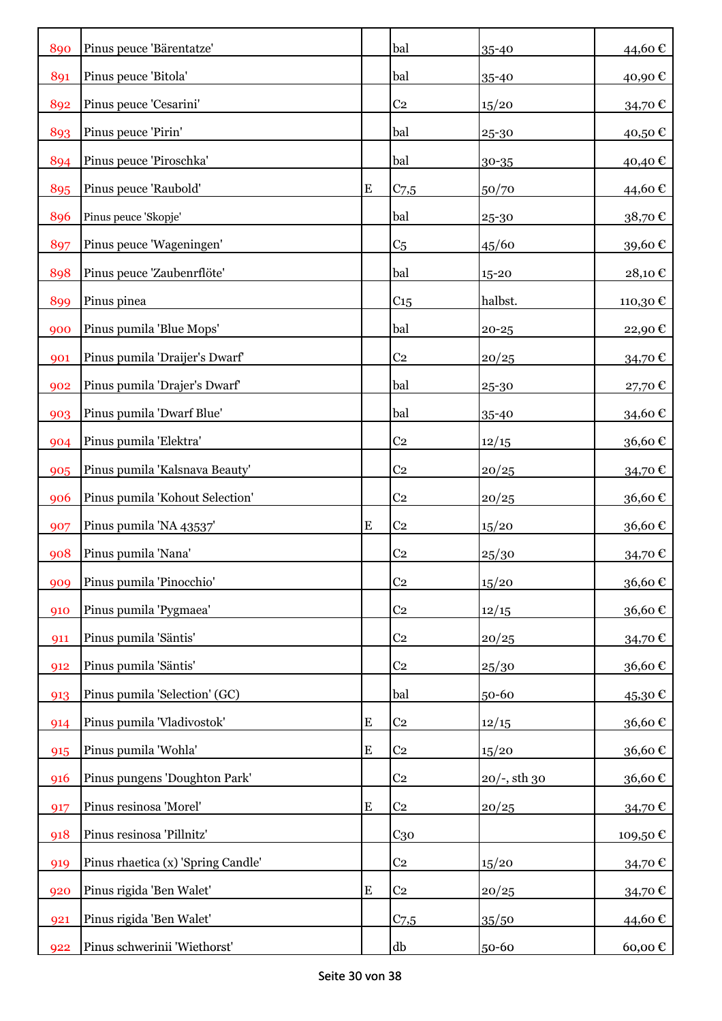| 890 | Pinus peuce 'Bärentatze'           |           | bal             | 35-40           | 44,60€  |
|-----|------------------------------------|-----------|-----------------|-----------------|---------|
| 891 | Pinus peuce 'Bitola'               |           | bal             | 35-40           | 40,90€  |
| 892 | Pinus peuce 'Cesarini'             |           | C <sub>2</sub>  | 15/20           | 34,70€  |
| 893 | Pinus peuce 'Pirin'                |           | bal             | 25-30           | 40,50€  |
| 894 | Pinus peuce 'Piroschka'            |           | bal             | 30-35           | 40,40€  |
| 895 | Pinus peuce 'Raubold'              | E         | $C_{7,5}$       | 50/70           | 44,60€  |
| 896 | Pinus peuce 'Skopje'               |           | bal             | 25-30           | 38,70€  |
| 897 | Pinus peuce 'Wageningen'           |           | C <sub>5</sub>  | 45/60           | 39,60€  |
| 898 | Pinus peuce 'Zaubenrflöte'         |           | bal             | 15-20           | 28,10€  |
| 899 | Pinus pinea                        |           | C <sub>15</sub> | halbst.         | 110,30€ |
| 900 | Pinus pumila 'Blue Mops'           |           | bal             | $20 - 25$       | 22,90€  |
| 901 | Pinus pumila 'Draijer's Dwarf'     |           | C <sub>2</sub>  | 20/25           | 34,70€  |
| 902 | Pinus pumila 'Drajer's Dwarf'      |           | bal             | 25-30           | 27,70€  |
| 903 | Pinus pumila 'Dwarf Blue'          |           | bal             | 35-40           | 34,60 € |
| 904 | Pinus pumila 'Elektra'             |           | C <sub>2</sub>  | 12/15           | 36,60€  |
| 905 | Pinus pumila 'Kalsnava Beauty'     |           | C <sub>2</sub>  | 20/25           | 34,70€  |
| 906 | Pinus pumila 'Kohout Selection'    |           | C <sub>2</sub>  | 20/25           | 36,60€  |
| 907 | Pinus pumila 'NA 43537'            | ${\bf E}$ | C <sub>2</sub>  | 15/20           | 36,60€  |
| 908 | Pinus pumila 'Nana'                |           | C <sub>2</sub>  | 25/30           | 34,70€  |
| 909 | Pinus pumila 'Pinocchio'           |           | C <sub>2</sub>  | 15/20           | 36,60€  |
| 910 | Pinus pumila 'Pygmaea'             |           | C <sub>2</sub>  | 12/15           | 36,60€  |
| 911 | Pinus pumila 'Säntis'              |           | C <sub>2</sub>  | 20/25           | 34,70€  |
| 912 | Pinus pumila 'Säntis'              |           | C <sub>2</sub>  | 25/30           | 36,60€  |
| 913 | Pinus pumila 'Selection' (GC)      |           | bal             | 50-60           | 45,30€  |
| 914 | Pinus pumila 'Vladivostok'         | E         | C <sub>2</sub>  | 12/15           | 36,60€  |
| 915 | Pinus pumila 'Wohla'               | E         | C <sub>2</sub>  | 15/20           | 36,60€  |
| 916 | Pinus pungens 'Doughton Park'      |           | C <sub>2</sub>  | $20/-$ , sth 30 | 36,60€  |
| 917 | Pinus resinosa 'Morel'             | E         | C <sub>2</sub>  | 20/25           | 34,70€  |
| 918 | Pinus resinosa 'Pillnitz'          |           | $C_{30}$        |                 | 109,50€ |
| 919 | Pinus rhaetica (x) 'Spring Candle' |           | C <sub>2</sub>  | 15/20           | 34,70€  |
| 920 | Pinus rigida 'Ben Walet'           | ${\bf E}$ | C <sub>2</sub>  | 20/25           | 34,70 € |
| 921 | Pinus rigida 'Ben Walet'           |           | $C_{7,5}$       | 35/50           | 44,60 € |
| 922 | Pinus schwerinii 'Wiethorst'       |           | db              | 50-60           | 60,00€  |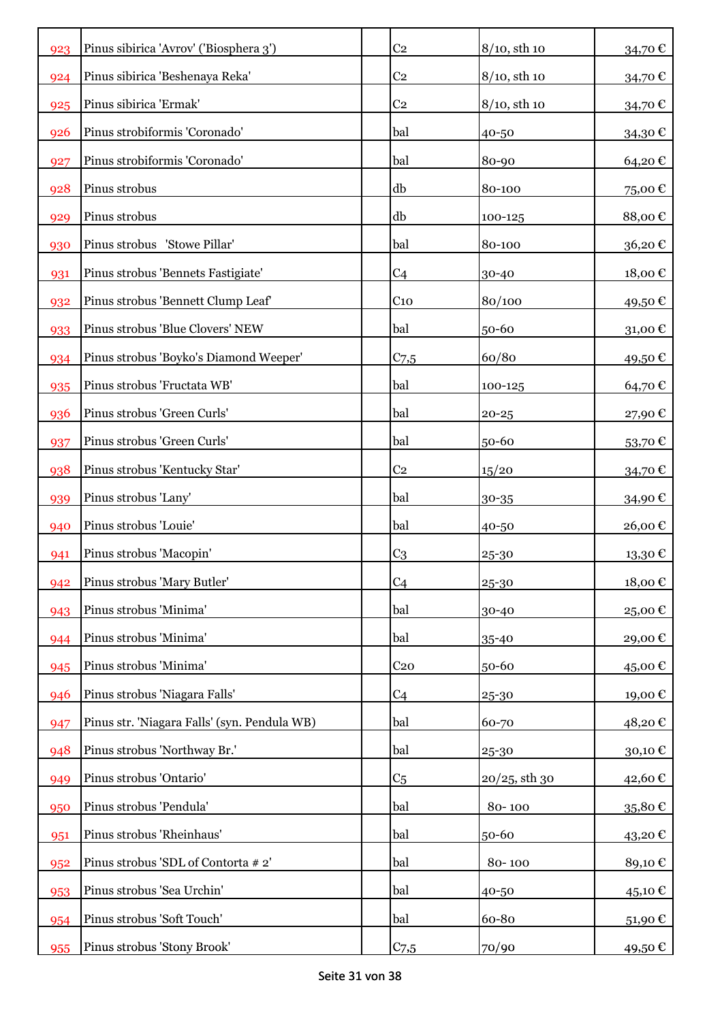| 923 | Pinus sibirica 'Avrov' ('Biosphera 3')       | C <sub>2</sub>  | $8/10$ , sth 10  | 34,70€                     |
|-----|----------------------------------------------|-----------------|------------------|----------------------------|
| 924 | Pinus sibirica 'Beshenaya Reka'              | C <sub>2</sub>  | $8/10$ , sth 10  | 34,70€                     |
| 925 | Pinus sibirica 'Ermak'                       | C <sub>2</sub>  | $8/10$ , sth 10  | 34,70€                     |
| 926 | Pinus strobiformis 'Coronado'                | bal             | 40-50            | 34,30€                     |
| 927 | Pinus strobiformis 'Coronado'                | bal             | 80-90            | 64,20€                     |
| 928 | Pinus strobus                                | db              | 80-100           | 75,00€                     |
| 929 | Pinus strobus                                | db              | 100-125          | 88,00€                     |
| 930 | Pinus strobus 'Stowe Pillar'                 | bal             | 80-100           | 36,20€                     |
| 931 | Pinus strobus 'Bennets Fastigiate'           | C <sub>4</sub>  | 30-40            | 18,00€                     |
| 932 | Pinus strobus 'Bennett Clump Leaf'           | C <sub>10</sub> | 80/100           | 49,50€                     |
| 933 | Pinus strobus 'Blue Clovers' NEW             | bal             | 50-60            | 31,00€                     |
| 934 | Pinus strobus 'Boyko's Diamond Weeper'       | $C_{7,5}$       | 60/80            | 49,50€                     |
| 935 | Pinus strobus 'Fructata WB'                  | bal             | 100-125          | 64,70€                     |
| 936 | Pinus strobus 'Green Curls'                  | bal             | $20 - 25$        | 27,90€                     |
| 937 | Pinus strobus 'Green Curls'                  | bal             | 50-60            | 53,70€                     |
| 938 | Pinus strobus 'Kentucky Star'                | C <sub>2</sub>  | 15/20            | 34,70€                     |
| 939 | Pinus strobus 'Lany'                         | bal             | 30-35            | 34,90€                     |
| 940 | Pinus strobus 'Louie'                        | bal             | 40-50            | 26,00€                     |
| 941 | Pinus strobus 'Macopin'                      | C <sub>3</sub>  | 25-30            | 13,30€                     |
| 942 | Pinus strobus 'Mary Butler'                  | C <sub>4</sub>  | 25-30            | $18,00 \text{ }\mathbb{C}$ |
| 943 | Pinus strobus 'Minima'                       | bal             | 30-40            | 25,00€                     |
| 944 | Pinus strobus 'Minima'                       | bal             | 35-40            | 29,00€                     |
| 945 | Pinus strobus 'Minima'                       | C <sub>20</sub> | 50-60            | 45,00€                     |
| 946 | Pinus strobus 'Niagara Falls'                | C <sub>4</sub>  | 25-30            | 19,00€                     |
| 947 | Pinus str. 'Niagara Falls' (syn. Pendula WB) | bal             | 60-70            | 48,20€                     |
| 948 | Pinus strobus 'Northway Br.'                 | bal             | 25-30            | 30,10€                     |
| 949 | Pinus strobus 'Ontario'                      | C <sub>5</sub>  | $20/25$ , sth 30 | 42,60€                     |
| 950 | Pinus strobus 'Pendula'                      | bal             | 80-100           | 35,80€                     |
| 951 | Pinus strobus 'Rheinhaus'                    | bal             | 50-60            | 43,20€                     |
| 952 | Pinus strobus 'SDL of Contorta # 2'          | bal             | 80-100           | 89,10€                     |
| 953 | Pinus strobus 'Sea Urchin'                   | bal             | 40-50            | 45,10 €                    |
| 954 | Pinus strobus 'Soft Touch'                   | bal             | 60-80            | 51,90 €                    |
| 955 | Pinus strobus 'Stony Brook'                  | $C_{7,5}$       | 70/90            | 49,50 €                    |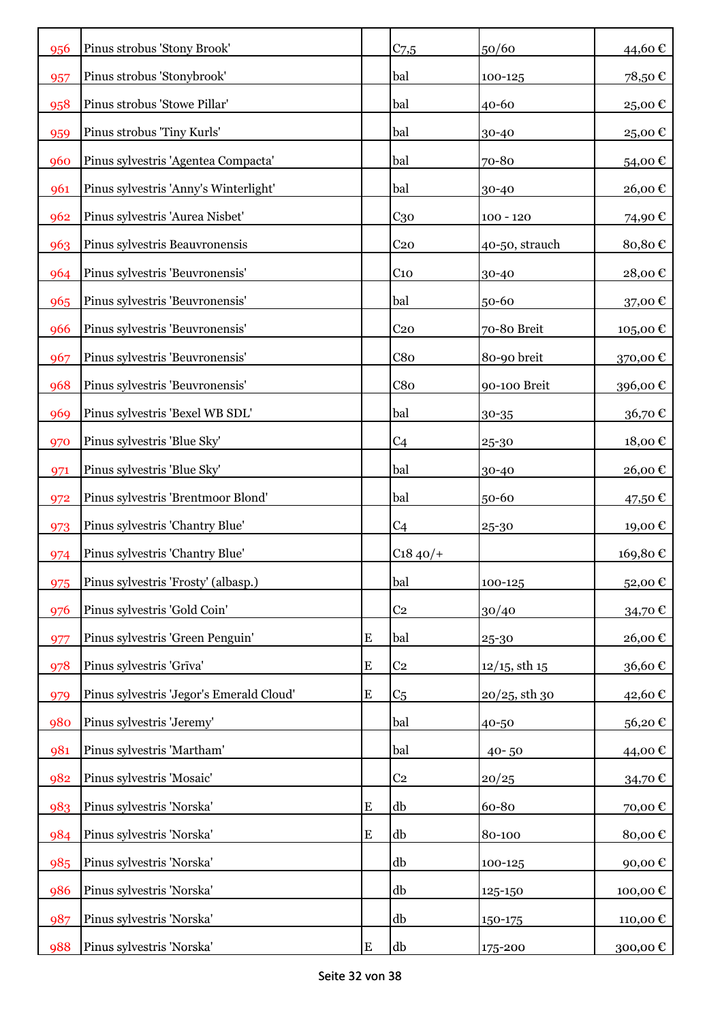| 956 | Pinus strobus 'Stony Brook'              |           | C <sub>7,5</sub> | 50/60              | 44,60€   |
|-----|------------------------------------------|-----------|------------------|--------------------|----------|
| 957 | Pinus strobus 'Stonybrook'               |           | bal              | 100-125            | 78,50€   |
| 958 | Pinus strobus 'Stowe Pillar'             |           | bal              | 40-60              | 25,00€   |
| 959 | Pinus strobus 'Tiny Kurls'               |           | bal              | 30-40              | 25,00€   |
| 960 | Pinus sylvestris 'Agentea Compacta'      |           | bal              | 70-80              | 54,00€   |
| 961 | Pinus sylvestris 'Anny's Winterlight'    |           | bal              | 30-40              | 26,00€   |
| 962 | Pinus sylvestris 'Aurea Nisbet'          |           | C <sub>30</sub>  | $100 - 120$        | 74,90€   |
| 963 | Pinus sylvestris Beauvronensis           |           | C <sub>20</sub>  | 40-50, strauch     | 80,80€   |
| 964 | Pinus sylvestris 'Beuvronensis'          |           | C <sub>10</sub>  | 30-40              | 28,00€   |
| 965 | Pinus sylvestris 'Beuvronensis'          |           | bal              | 50-60              | 37,00€   |
| 966 | Pinus sylvestris 'Beuvronensis'          |           | C <sub>20</sub>  | 70-80 Breit        | 105,00€  |
| 967 | Pinus sylvestris 'Beuvronensis'          |           | C8 <sub>0</sub>  | 80-90 breit        | 370,00€  |
| 968 | Pinus sylvestris 'Beuvronensis'          |           | C8 <sub>0</sub>  | 90-100 Breit       | 396,00€  |
| 969 | Pinus sylvestris 'Bexel WB SDL'          |           | bal              | $30 - 35$          | 36,70€   |
| 970 | Pinus sylvestris 'Blue Sky'              |           | C <sub>4</sub>   | 25-30              | 18,00€   |
| 971 | Pinus sylvestris 'Blue Sky'              |           | bal              | 30-40              | 26,00€   |
| 972 | Pinus sylvestris 'Brentmoor Blond'       |           | bal              | 50-60              | 47,50 €  |
| 973 | Pinus sylvestris 'Chantry Blue'          |           | C <sub>4</sub>   | 25-30              | 19,00€   |
| 974 | Pinus sylvestris 'Chantry Blue'          |           | $C1840/+$        |                    | 169,80€  |
| 975 | Pinus sylvestris 'Frosty' (albasp.)      |           | bal              | 100-125            | 52,00€   |
| 976 | Pinus sylvestris 'Gold Coin'             |           | C <sub>2</sub>   | 30/40              | 34,70€   |
| 977 | Pinus sylvestris 'Green Penguin'         | ${\bf E}$ | bal              | 25-30              | 26,00€   |
| 978 | Pinus sylvestris 'Grīva'                 | ${\bf E}$ | C <sub>2</sub>   | $12/15$ , sth $15$ | 36,60€   |
| 979 | Pinus sylvestris 'Jegor's Emerald Cloud' | ${\bf E}$ | C <sub>5</sub>   | $20/25$ , sth 30   | 42,60€   |
| 980 | Pinus sylvestris 'Jeremy'                |           | bal              | 40-50              | 56,20€   |
| 981 | Pinus sylvestris 'Martham'               |           | bal              | $40 - 50$          | 44,00€   |
| 982 | Pinus sylvestris 'Mosaic'                |           | C <sub>2</sub>   | 20/25              | 34,70€   |
| 983 | Pinus sylvestris 'Norska'                | E         | db               | 60-80              | 70,00€   |
| 984 | Pinus sylvestris 'Norska'                | E         | db               | 80-100             | 80,00€   |
| 985 | Pinus sylvestris 'Norska'                |           | db               | 100-125            | 90,00€   |
| 986 | Pinus sylvestris 'Norska'                |           | db               | 125-150            | 100,00€  |
| 987 | Pinus sylvestris 'Norska'                |           | db               | 150-175            | 110,00 € |
| 988 | Pinus sylvestris 'Norska'                | ${\bf E}$ | db               | 175-200            | 300,00 € |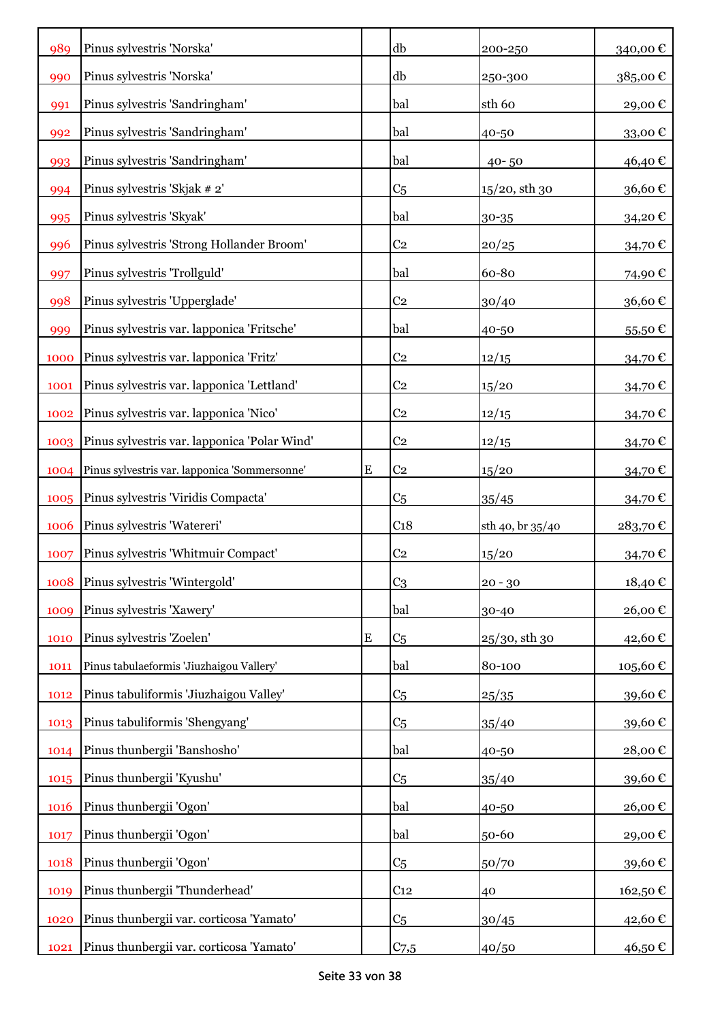| 989  | Pinus sylvestris 'Norska'                     |           | db              | 200-250          | 340,00€                |
|------|-----------------------------------------------|-----------|-----------------|------------------|------------------------|
| 990  | Pinus sylvestris 'Norska'                     |           | db              | 250-300          | 385,00€                |
| 991  | Pinus sylvestris 'Sandringham'                |           | bal             | sth 60           | 29,00€                 |
| 992  | Pinus sylvestris 'Sandringham'                |           | bal             | 40-50            | 33,00€                 |
| 993  | Pinus sylvestris 'Sandringham'                |           | bal             | $40 - 50$        | 46,40€                 |
| 994  | Pinus sylvestris 'Skjak # 2'                  |           | C <sub>5</sub>  | $15/20$ , sth 30 | $36{,}60$ $\mathbb{C}$ |
| 995  | Pinus sylvestris 'Skyak'                      |           | bal             | 30-35            | 34,20€                 |
| 996  | Pinus sylvestris 'Strong Hollander Broom'     |           | C <sub>2</sub>  | 20/25            | 34,70€                 |
| 997  | Pinus sylvestris 'Trollguld'                  |           | bal             | 60-80            | 74,90€                 |
| 998  | Pinus sylvestris 'Upperglade'                 |           | C <sub>2</sub>  | 30/40            | 36,60€                 |
| 999  | Pinus sylvestris var. lapponica 'Fritsche'    |           | bal             | 40-50            | 55,50€                 |
| 1000 | Pinus sylvestris var. lapponica 'Fritz'       |           | C <sub>2</sub>  | 12/15            | 34,70€                 |
| 1001 | Pinus sylvestris var. lapponica 'Lettland'    |           | C <sub>2</sub>  | 15/20            | 34,70€                 |
| 1002 | Pinus sylvestris var. lapponica 'Nico'        |           | C <sub>2</sub>  | 12/15            | 34,70€                 |
| 1003 | Pinus sylvestris var. lapponica 'Polar Wind'  |           | C <sub>2</sub>  | 12/15            | 34,70€                 |
| 1004 | Pinus sylvestris var. lapponica 'Sommersonne' | E         | C <sub>2</sub>  | 15/20            | 34,70€                 |
| 1005 | Pinus sylvestris 'Viridis Compacta'           |           | C <sub>5</sub>  | 35/45            | 34,70€                 |
| 1006 | Pinus sylvestris 'Watereri'                   |           | C <sub>18</sub> | sth 40, br 35/40 | 283,70€                |
| 1007 | Pinus sylvestris 'Whitmuir Compact'           |           | C <sub>2</sub>  | 15/20            | 34,70€                 |
| 1008 | Pinus sylvestris 'Wintergold'                 |           | C <sub>3</sub>  | $20 - 30$        | 18,40€                 |
| 1009 | Pinus sylvestris 'Xawery'                     |           | bal             | 30-40            | 26,00€                 |
| 1010 | Pinus sylvestris 'Zoelen'                     | ${\bf E}$ | C <sub>5</sub>  | $25/30$ , sth 30 | 42,60€                 |
| 1011 | Pinus tabulaeformis 'Jiuzhaigou Vallery'      |           | bal             | 80-100           | 105,60€                |
| 1012 | Pinus tabuliformis 'Jiuzhaigou Valley'        |           | C <sub>5</sub>  | 25/35            | 39,60€                 |
| 1013 | Pinus tabuliformis 'Shengyang'                |           | C <sub>5</sub>  | 35/40            | 39,60€                 |
| 1014 | Pinus thunbergii 'Banshosho'                  |           | bal             | 40-50            | 28,00€                 |
| 1015 |                                               |           |                 |                  |                        |
|      | Pinus thunbergii 'Kyushu'                     |           | C <sub>5</sub>  | 35/40            | 39,60€                 |
| 1016 | Pinus thunbergii 'Ogon'                       |           | bal             | 40-50            | 26,00€                 |
| 1017 | Pinus thunbergii 'Ogon'                       |           | bal             | 50-60            | 29,00€                 |
| 1018 | Pinus thunbergii 'Ogon'                       |           | C <sub>5</sub>  | 50/70            | 39,60€                 |
| 1019 | Pinus thunbergii 'Thunderhead'                |           | C <sub>12</sub> | 40               | 162,50€                |
| 1020 | Pinus thunbergii var. corticosa 'Yamato'      |           | C <sub>5</sub>  | 30/45            | 42,60€                 |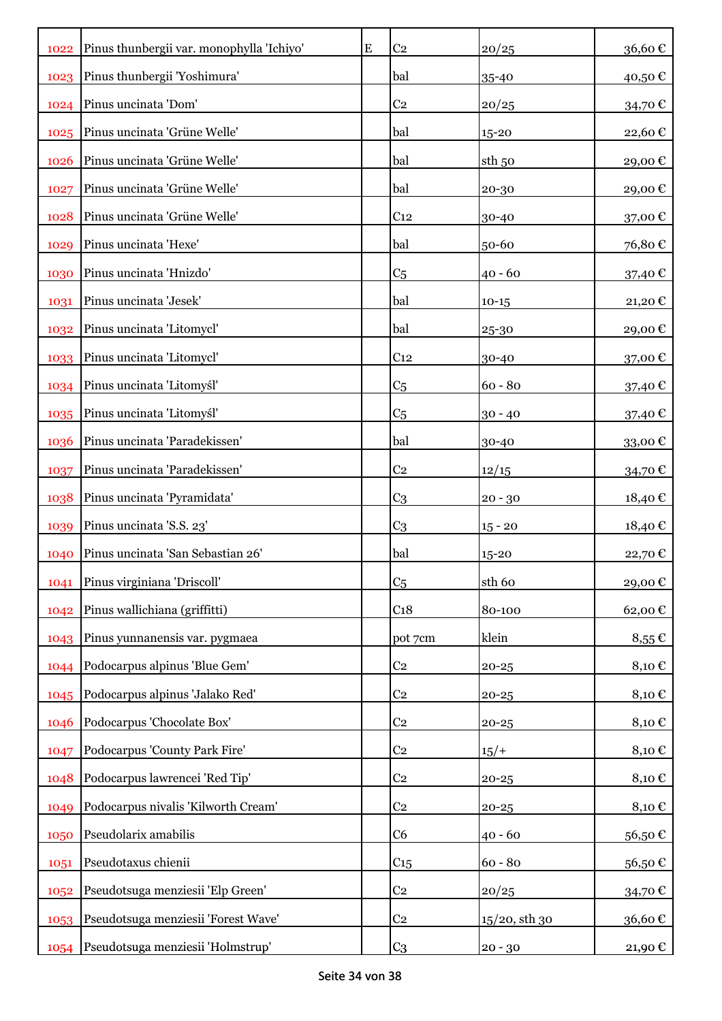|      | 1022 Pinus thunbergii var. monophylla 'Ichiyo' | ${\bf E}$ | C <sub>2</sub>  | 20/25             | 36,60€        |
|------|------------------------------------------------|-----------|-----------------|-------------------|---------------|
|      | 1023 Pinus thunbergii 'Yoshimura'              |           | bal             | 35-40             | 40,50€        |
| 1024 | Pinus uncinata 'Dom'                           |           | C <sub>2</sub>  | 20/25             | 34,70€        |
|      | 1025 Pinus uncinata 'Grüne Welle'              |           | bal             | 15-20             | 22,60€        |
| 1026 | Pinus uncinata 'Grüne Welle'                   |           | bal             | sth <sub>50</sub> | 29,00€        |
| 1027 | Pinus uncinata 'Grüne Welle'                   |           | bal             | 20-30             | 29,00€        |
| 1028 | Pinus uncinata 'Grüne Welle'                   |           | C <sub>12</sub> | 30-40             | 37,00€        |
| 1029 | Pinus uncinata 'Hexe'                          |           | bal             | 50-60             | 76,80€        |
| 1030 | Pinus uncinata 'Hnizdo'                        |           | C <sub>5</sub>  | $40 - 60$         | 37,40 €       |
| 1031 | Pinus uncinata 'Jesek'                         |           | bal             | $10-15$           | 21,20€        |
| 1032 | Pinus uncinata 'Litomycl'                      |           | bal             | 25-30             | 29,00€        |
| 1033 | Pinus uncinata 'Litomycl'                      |           | C <sub>12</sub> | 30-40             | 37,00€        |
|      | 1034 Pinus uncinata 'Litomyśl'                 |           | C <sub>5</sub>  | $60 - 80$         | 37,40 €       |
| 1035 | Pinus uncinata 'Litomyśl'                      |           | C <sub>5</sub>  | $30 - 40$         | 37,40 €       |
| 1036 | Pinus uncinata 'Paradekissen'                  |           | bal             | 30-40             | 33,00€        |
| 1037 | Pinus uncinata 'Paradekissen'                  |           | C <sub>2</sub>  | 12/15             | 34,70€        |
| 1038 | Pinus uncinata 'Pyramidata'                    |           | C <sub>3</sub>  | $20 - 30$         | 18,40€        |
| 1039 | Pinus uncinata 'S.S. 23'                       |           | C <sub>3</sub>  | $15 - 20$         | 18,40€        |
| 1040 | Pinus uncinata 'San Sebastian 26'              |           | bal             | 15-20             | 22,70€        |
| 1041 | Pinus virginiana 'Driscoll'                    |           | C <sub>5</sub>  | sth 60            | 29,00€        |
| 1042 | Pinus wallichiana (griffitti)                  |           | C <sub>18</sub> | 80-100            | 62,00€        |
| 1043 | Pinus yunnanensis var. pygmaea                 |           | pot 7cm         | klein             | $8,55 \in$    |
| 1044 | Podocarpus alpinus 'Blue Gem'                  |           | C <sub>2</sub>  | $20 - 25$         | 8,10€         |
| 1045 | Podocarpus alpinus 'Jalako Red'                |           | C <sub>2</sub>  | $20 - 25$         | 8,10€         |
| 1046 | Podocarpus 'Chocolate Box'                     |           | C <sub>2</sub>  | $20 - 25$         | 8,10€         |
| 1047 | Podocarpus 'County Park Fire'                  |           | C <sub>2</sub>  | $15/+$            | 8,10€         |
| 1048 | Podocarpus lawrencei 'Red Tip'                 |           | C <sub>2</sub>  | $20 - 25$         | 8,10€         |
| 1049 | Podocarpus nivalis 'Kilworth Cream'            |           | C <sub>2</sub>  | $20 - 25$         | 8,10€         |
| 1050 | Pseudolarix amabilis                           |           | C <sub>6</sub>  | $40 - 60$         | $56{,}50 \in$ |
| 1051 | Pseudotaxus chienii                            |           | C <sub>15</sub> | $60 - 80$         | $56{,}50 \in$ |
| 1052 | Pseudotsuga menziesii 'Elp Green'              |           | C <sub>2</sub>  | 20/25             | 34,70€        |
| 1053 | Pseudotsuga menziesii 'Forest Wave'            |           | C <sub>2</sub>  | 15/20, sth 30     | 36,60€        |
|      | 1054 Pseudotsuga menziesii 'Holmstrup'         |           | C <sub>3</sub>  | $20 - 30$         | 21,90 €       |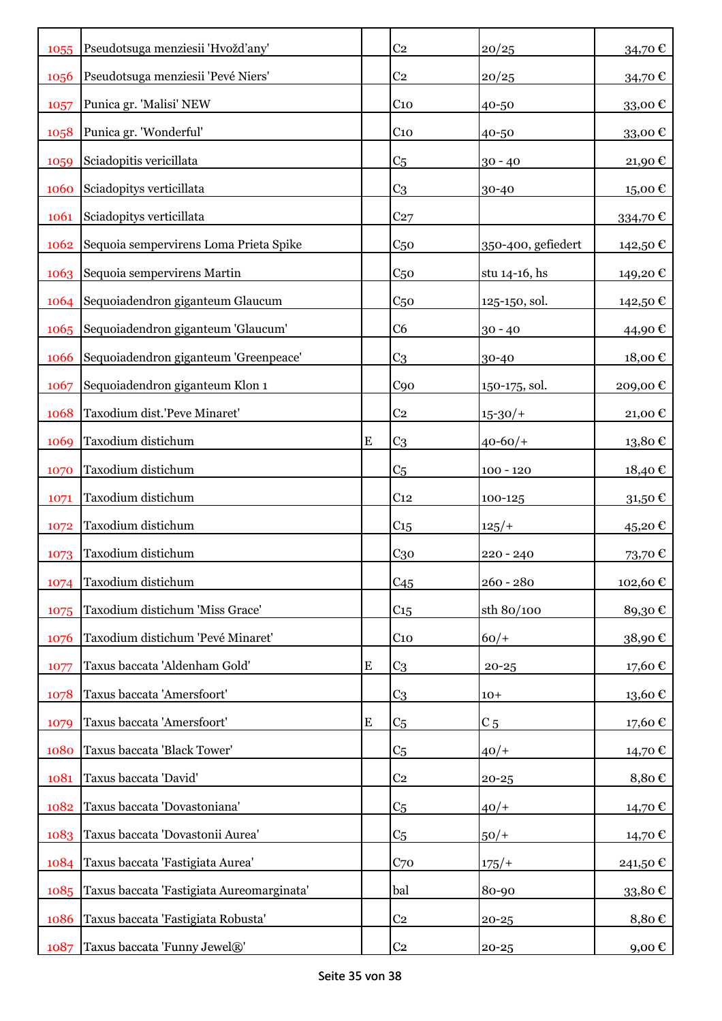| 1055 | Pseudotsuga menziesii 'Hvožd'any'         |           | C <sub>2</sub>  | 20/25              | 34,70€                 |
|------|-------------------------------------------|-----------|-----------------|--------------------|------------------------|
| 1056 | Pseudotsuga menziesii 'Pevé Niers'        |           | C <sub>2</sub>  | 20/25              | 34,70€                 |
| 1057 | Punica gr. 'Malisi' NEW                   |           | C <sub>10</sub> | 40-50              | 33,00 $\epsilon$       |
| 1058 | Punica gr. 'Wonderful'                    |           | $C_{10}$        | 40-50              | 33,00€                 |
| 1059 | Sciadopitis vericillata                   |           | C <sub>5</sub>  | $30 - 40$          | 21,90€                 |
| 1060 | Sciadopitys verticillata                  |           | C <sub>3</sub>  | 30-40              | $15{,}00$ $\mathbb{C}$ |
| 1061 | Sciadopitys verticillata                  |           | C <sub>27</sub> |                    | 334,70€                |
| 1062 | Sequoia sempervirens Loma Prieta Spike    |           | C <sub>50</sub> | 350-400, gefiedert | 142,50 €               |
| 1063 | Sequoia sempervirens Martin               |           | C <sub>50</sub> | stu 14-16, hs      | 149,20€                |
| 1064 | Sequoiadendron giganteum Glaucum          |           | C <sub>50</sub> | 125-150, sol.      | 142,50 €               |
| 1065 | Sequoiadendron giganteum 'Glaucum'        |           | C <sub>6</sub>  | $30 - 40$          | 44,90 €                |
| 1066 | Sequoiadendron giganteum 'Greenpeace'     |           | C <sub>3</sub>  | 30-40              | 18,00€                 |
| 1067 | Sequoiadendron giganteum Klon 1           |           | C90             | 150-175, sol.      | 209,00€                |
| 1068 | Taxodium dist.'Peve Minaret'              |           | C <sub>2</sub>  | $15 - 30/$         | 21,00€                 |
| 1069 | Taxodium distichum                        | ${\bf E}$ | C <sub>3</sub>  | $40 - 60/$         | 13,80€                 |
| 1070 | Taxodium distichum                        |           | C <sub>5</sub>  | $100 - 120$        | 18,40€                 |
| 1071 | Taxodium distichum                        |           | C <sub>12</sub> | 100-125            | 31,50€                 |
| 1072 | Taxodium distichum                        |           | C <sub>15</sub> | 125/               | 45,20€                 |
| 1073 | Taxodium distichum                        |           | $C_{30}$        | $220 - 240$        | 73,70€                 |
| 1074 | Taxodium distichum                        |           | C45             | $260 - 280$        | 102,60€                |
| 1075 | Taxodium distichum 'Miss Grace'           |           | C <sub>15</sub> | sth 80/100         | 89,30€                 |
| 1076 | Taxodium distichum 'Pevé Minaret'         |           | $C_{10}$        | $60/+$             | 38,90€                 |
| 1077 | Taxus baccata 'Aldenham Gold'             | ${\bf E}$ | C <sub>3</sub>  | $20 - 25$          | 17,60€                 |
| 1078 | Taxus baccata 'Amersfoort'                |           | C <sub>3</sub>  | $10+$              | $13{,}60 \in$          |
| 1079 | Taxus baccata 'Amersfoort'                | ${\bf E}$ | C <sub>5</sub>  | C <sub>5</sub>     | 17,60€                 |
| 1080 | Taxus baccata 'Black Tower'               |           | C <sub>5</sub>  | $40/+$             | 14,70€                 |
| 1081 | Taxus baccata 'David'                     |           | C <sub>2</sub>  | $20 - 25$          | 8,80€                  |
| 1082 | Taxus baccata 'Dovastoniana'              |           | C <sub>5</sub>  | $40/+$             | 14,70 €                |
| 1083 | Taxus baccata 'Dovastonii Aurea'          |           | C <sub>5</sub>  | $50/+$             | 14,70€                 |
| 1084 | Taxus baccata 'Fastigiata Aurea'          |           | C <sub>70</sub> | $175/+$            | 241,50 €               |
| 1085 | Taxus baccata 'Fastigiata Aureomarginata' |           | bal             | 80-90              | 33,80€                 |
| 1086 | Taxus baccata 'Fastigiata Robusta'        |           | C <sub>2</sub>  | $20 - 25$          | 8,80€                  |
| 1087 | Taxus baccata 'Funny Jewel®'              |           | C <sub>2</sub>  | $20 - 25$          | 9,00€                  |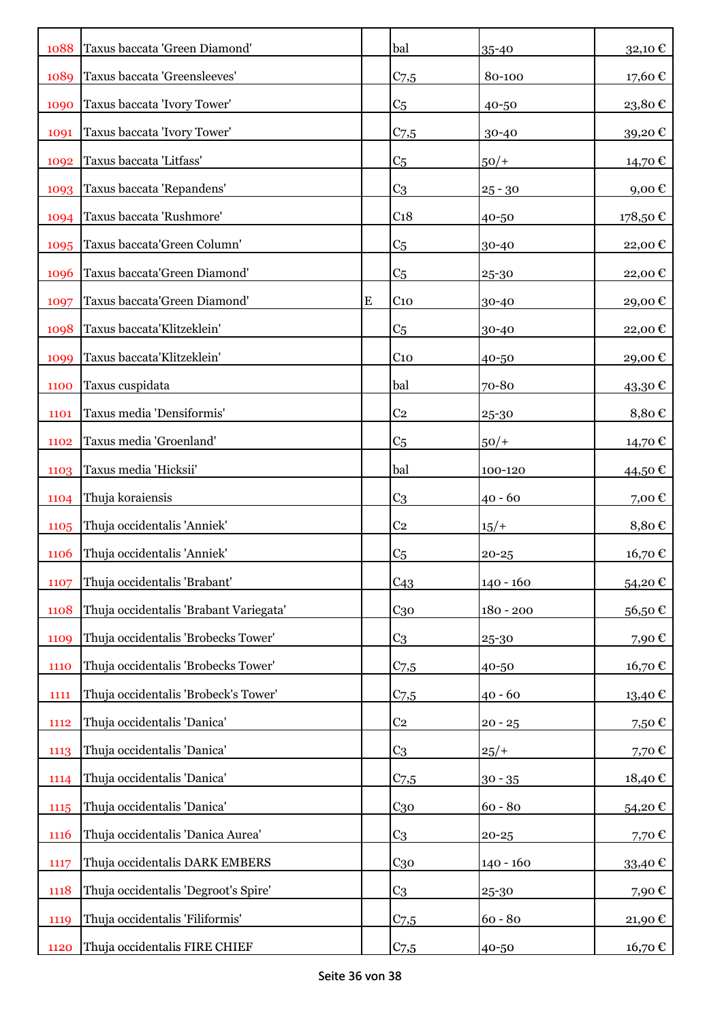| 1088        | Taxus baccata 'Green Diamond'          |   | bal              | 35-40       | 32,10€        |
|-------------|----------------------------------------|---|------------------|-------------|---------------|
| 1089        | Taxus baccata 'Greensleeves'           |   | $C_{7,5}$        | 80-100      | 17,60€        |
| 1090        | Taxus baccata 'Ivory Tower'            |   | C <sub>5</sub>   | 40-50       | 23,80€        |
| 1091        | Taxus baccata 'Ivory Tower'            |   | $C_{7,5}$        | 30-40       | 39,20€        |
| 1092        | Taxus baccata 'Litfass'                |   | C <sub>5</sub>   | $50/+$      | 14,70€        |
| 1093        | Taxus baccata 'Repandens'              |   | C <sub>3</sub>   | $25 - 30$   | 9,00€         |
| 1094        | Taxus baccata 'Rushmore'               |   | C <sub>18</sub>  | 40-50       | 178,50€       |
| 1095        | Taxus baccata'Green Column'            |   | C <sub>5</sub>   | 30-40       | 22,00€        |
| 1096        | Taxus baccata'Green Diamond'           |   | C <sub>5</sub>   | 25-30       | 22,00€        |
| 1097        | Taxus baccata'Green Diamond'           | E | C <sub>10</sub>  | 30-40       | 29,00€        |
| 1098        | Taxus baccata'Klitzeklein'             |   | C <sub>5</sub>   | 30-40       | 22,00€        |
| 1099        | Taxus baccata'Klitzeklein'             |   | $C_{10}$         | 40-50       | 29,00€        |
| 1100        | Taxus cuspidata                        |   | bal              | 70-80       | 43,30€        |
| 1101        | Taxus media 'Densiformis'              |   | C <sub>2</sub>   | 25-30       | 8,80€         |
| 1102        | Taxus media 'Groenland'                |   | C <sub>5</sub>   | $50/+$      | 14,70 €       |
| 1103        | Taxus media 'Hicksii'                  |   | bal              | 100-120     | 44,50 €       |
| 1104        | Thuja koraiensis                       |   | C <sub>3</sub>   | $40 - 60$   | 7,00 €        |
| 1105        | Thuja occidentalis 'Anniek'            |   | C <sub>2</sub>   | $15/+$      | 8,80€         |
| <b>1106</b> | Thuja occidentalis 'Anniek'            |   | C <sub>5</sub>   | $20 - 25$   | 16,70€        |
| 1107        | Thuja occidentalis 'Brabant'           |   | C <sub>43</sub>  | $140 - 160$ | 54,20€        |
| 1108        | Thuja occidentalis 'Brabant Variegata' |   | $C_{30}$         | 180 - 200   | $56{,}50 \in$ |
| 1109        | Thuja occidentalis 'Brobecks Tower'    |   | C <sub>3</sub>   | 25-30       | 7,90€         |
| 1110        | Thuja occidentalis 'Brobecks Tower'    |   | C <sub>7,5</sub> | 40-50       | 16,70€        |
| 1111        | Thuja occidentalis 'Brobeck's Tower'   |   | $C_{7,5}$        | $40 - 60$   | 13,40€        |
| 1112        | Thuja occidentalis 'Danica'            |   | C <sub>2</sub>   | $20 - 25$   | 7,50€         |
| 1113        | Thuja occidentalis 'Danica'            |   | C <sub>3</sub>   | $25/+$      | 7,70€         |
| 1114        | Thuja occidentalis 'Danica'            |   | C <sub>7,5</sub> | $30 - 35$   | 18,40€        |
| 1115        | Thuja occidentalis 'Danica'            |   | $C_{30}$         | $60 - 80$   | 54,20€        |
| 1116        | Thuja occidentalis 'Danica Aurea'      |   | C <sub>3</sub>   | $20 - 25$   | 7,70€         |
| 1117        | Thuja occidentalis DARK EMBERS         |   | $C_{30}$         | $140 - 160$ | 33,40€        |
| 1118        | Thuja occidentalis 'Degroot's Spire'   |   | C <sub>3</sub>   | 25-30       | 7,90€         |
| 1119        | Thuja occidentalis 'Filiformis'        |   | $C_{7,5}$        | $60 - 80$   | 21,90€        |
| 1120        | Thuja occidentalis FIRE CHIEF          |   | $C_{7,5}$        | 40-50       | 16,70 €       |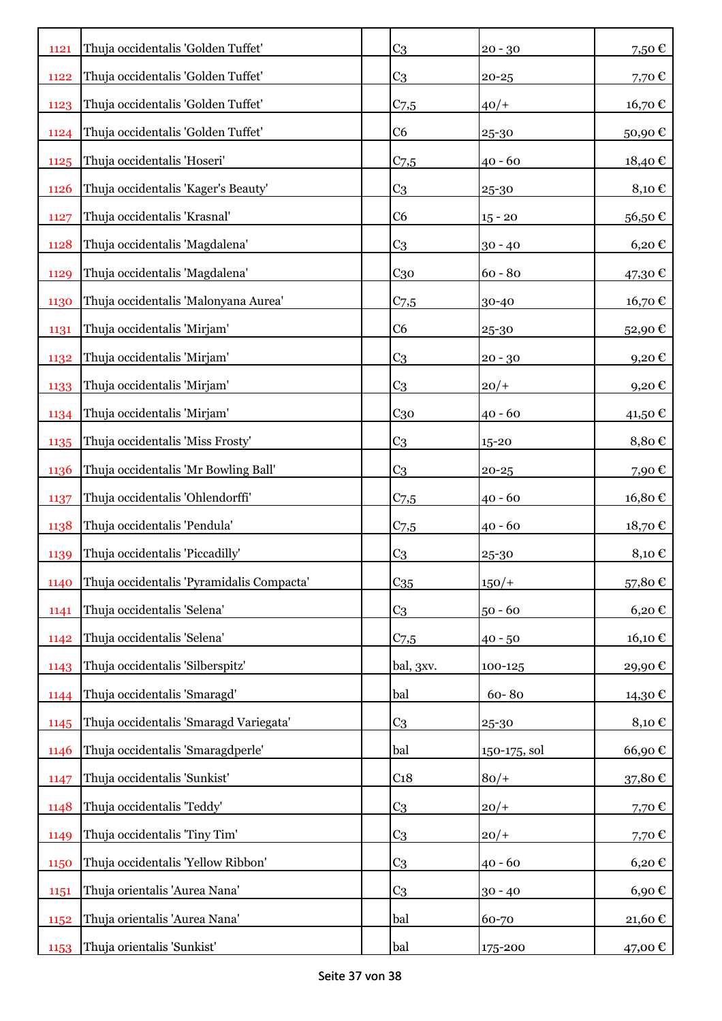| 1121        | Thuja occidentalis 'Golden Tuffet'        | C <sub>3</sub>   | $20 - 30$    | 7,50€                     |
|-------------|-------------------------------------------|------------------|--------------|---------------------------|
| 1122        | Thuja occidentalis 'Golden Tuffet'        | C <sub>3</sub>   | $20 - 25$    | 7,70€                     |
| 1123        | Thuja occidentalis 'Golden Tuffet'        | $C_{7,5}$        | $40/+$       | 16,70 €                   |
| 1124        | Thuja occidentalis 'Golden Tuffet'        | C6               | 25-30        | 50,90€                    |
| 1125        | Thuja occidentalis 'Hoseri'               | $C_{7,5}$        | $40 - 60$    | 18,40€                    |
| <b>1126</b> | Thuja occidentalis 'Kager's Beauty'       | C <sub>3</sub>   | 25-30        | 8,10€                     |
| 1127        | Thuja occidentalis 'Krasnal'              | C <sub>6</sub>   | $15 - 20$    | 56,50€                    |
| 1128        | Thuja occidentalis 'Magdalena'            | C <sub>3</sub>   | $30 - 40$    | $6,20 \text{ }\mathbb{C}$ |
| 1129        | Thuja occidentalis 'Magdalena'            | $C_{30}$         | $60 - 80$    | 47,30 €                   |
| 1130        | Thuja occidentalis 'Malonyana Aurea'      | $C_{7,5}$        | 30-40        | 16,70 €                   |
| 1131        | Thuja occidentalis 'Mirjam'               | C6               | 25-30        | 52,90€                    |
| 1132        | Thuja occidentalis 'Mirjam'               | C <sub>3</sub>   | $20 - 30$    | 9,20€                     |
| 1133        | Thuja occidentalis 'Mirjam'               | C <sub>3</sub>   | $20/+$       | $9,20$ €                  |
| 1134        | Thuja occidentalis 'Mirjam'               | C <sub>30</sub>  | $40 - 60$    | 41,50 €                   |
| 1135        | Thuja occidentalis 'Miss Frosty'          | C <sub>3</sub>   | $15 - 20$    | 8,80€                     |
| 1136        | Thuja occidentalis 'Mr Bowling Ball'      | C <sub>3</sub>   | $20 - 25$    | 7,90€                     |
| 1137        | Thuja occidentalis 'Ohlendorffi'          | $C_{7,5}$        | $40 - 60$    | 16,80€                    |
| 1138        | Thuja occidentalis 'Pendula'              | $C_{7,5}$        | $40 - 60$    | 18,70€                    |
| 1139        | Thuja occidentalis 'Piccadilly'           | C <sub>3</sub>   | 25-30        | 8,10€                     |
| 1140        | Thuja occidentalis 'Pyramidalis Compacta' | $C_{35}$         | $150/+$      | 57,80€                    |
| 1141        | Thuja occidentalis 'Selena'               | C <sub>3</sub>   | $50 - 60$    | $6,20 \text{ } \in$       |
| 1142        | Thuja occidentalis 'Selena'               | C <sub>7,5</sub> | $40 - 50$    | 16,10€                    |
| 1143        | Thuja occidentalis 'Silberspitz'          | bal, 3xv.        | 100-125      | 29,90€                    |
| 1144        | Thuja occidentalis 'Smaragd'              | bal              | 60-80        | 14,30€                    |
| 1145        | Thuja occidentalis 'Smaragd Variegata'    | C <sub>3</sub>   | 25-30        | 8,10€                     |
| 1146        | Thuja occidentalis 'Smaragdperle'         | bal              | 150-175, sol | 66,90€                    |
| 1147        | Thuja occidentalis 'Sunkist'              | C <sub>18</sub>  | $80/+$       | 37,80€                    |
| 1148        | Thuja occidentalis 'Teddy'                | C <sub>3</sub>   | $20/+$       | 7,70€                     |
| 1149        | Thuja occidentalis 'Tiny Tim'             | C <sub>3</sub>   | $20/+$       | 7,70€                     |
| 1150        | Thuja occidentalis 'Yellow Ribbon'        | C <sub>3</sub>   | $40 - 60$    | $6,20 \text{ } \in$       |
| 1151        | Thuja orientalis 'Aurea Nana'             | C <sub>3</sub>   | $30 - 40$    | $6,90 \in$                |
| 1152        | Thuja orientalis 'Aurea Nana'             | bal              | 60-70        | 21,60 €                   |
| 1153        | Thuja orientalis 'Sunkist'                | bal              | 175-200      | 47,00 €                   |